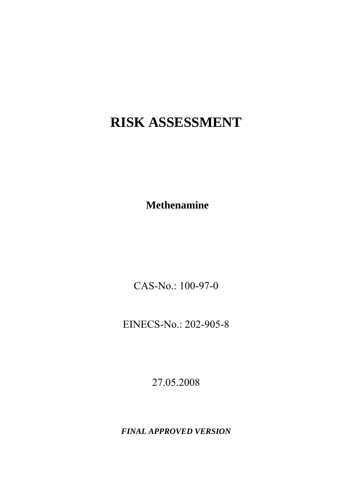# **RISK ASSESSMENT**

 **Methenamine** 

CAS-No.: 100-97-0

EINECS-No.: 202-905-8

27.05.2008

*FINAL APPROVED VERSION*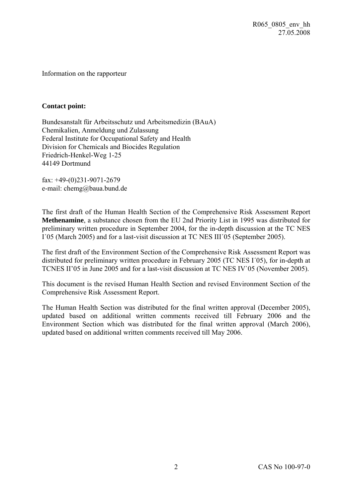Information on the rapporteur

#### **Contact point:**

Bundesanstalt für Arbeitsschutz und Arbeitsmedizin (BAuA) Chemikalien, Anmeldung und Zulassung Federal Institute for Occupational Safety and Health Division for Chemicals and Biocides Regulation Friedrich-Henkel-Weg 1-25 44149 Dortmund

fax: +49-(0)231-9071-2679 e-mail: chemg@baua.bund.de

The first draft of the Human Health Section of the Comprehensive Risk Assessment Report **Methenamine**, a substance chosen from the EU 2nd Priority List in 1995 was distributed for preliminary written procedure in September 2004, for the in-depth discussion at the TC NES I´05 (March 2005) and for a last-visit discussion at TC NES III´05 (September 2005).

The first draft of the Environment Section of the Comprehensive Risk Assessment Report was distributed for preliminary written procedure in February 2005 (TC NES I´05), for in-depth at TCNES II'05 in June 2005 and for a last-visit discussion at TC NES IV`05 (November 2005).

This document is the revised Human Health Section and revised Environment Section of the Comprehensive Risk Assessment Report.

The Human Health Section was distributed for the final written approval (December 2005), updated based on additional written comments received till February 2006 and the Environment Section which was distributed for the final written approval (March 2006), updated based on additional written comments received till May 2006.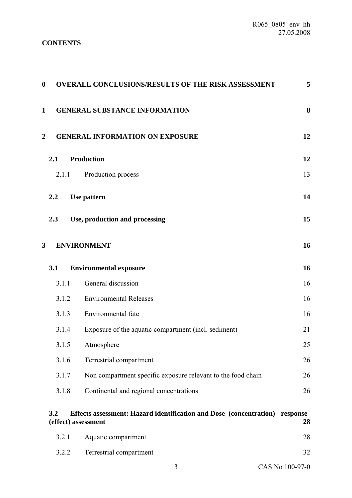R065\_0805\_env\_hh 27.05.2008

# **CONTENTS**

| $\boldsymbol{0}$ |                            | <b>OVERALL CONCLUSIONS/RESULTS OF THE RISK ASSESSMENT</b>                     | 5  |
|------------------|----------------------------|-------------------------------------------------------------------------------|----|
| $\mathbf{1}$     |                            | <b>GENERAL SUBSTANCE INFORMATION</b>                                          | 8  |
| 2                |                            | <b>GENERAL INFORMATION ON EXPOSURE</b>                                        | 12 |
|                  | 2.1                        | <b>Production</b>                                                             | 12 |
|                  | 2.1.1                      | Production process                                                            | 13 |
|                  | 2.2                        | Use pattern                                                                   | 14 |
|                  | 2.3                        | Use, production and processing                                                | 15 |
| 3                |                            | <b>ENVIRONMENT</b>                                                            | 16 |
|                  | 3.1                        | <b>Environmental exposure</b>                                                 | 16 |
|                  | 3.1.1                      | General discussion                                                            | 16 |
|                  | 3.1.2                      | <b>Environmental Releases</b>                                                 | 16 |
|                  | 3.1.3                      | Environmental fate                                                            | 16 |
|                  | 3.1.4                      | Exposure of the aquatic compartment (incl. sediment)                          | 21 |
|                  | 3.1.5                      | Atmosphere                                                                    | 25 |
|                  | 3.1.6                      | Terrestrial compartment                                                       | 26 |
|                  | 3.1.7                      | Non compartment specific exposure relevant to the food chain                  | 26 |
|                  | 3.1.8                      | Continental and regional concentrations                                       | 26 |
|                  | 3.2<br>(effect) assessment | Effects assessment: Hazard identification and Dose (concentration) - response | 28 |
|                  | 3.2.1                      | Aquatic compartment                                                           | 28 |
|                  | 3.2.2                      | Terrestrial compartment                                                       | 32 |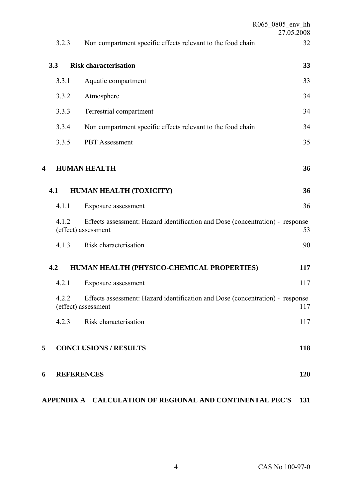|                         | R065 0805 env hh<br>27.05.2008 |                                                                                                      |            |
|-------------------------|--------------------------------|------------------------------------------------------------------------------------------------------|------------|
|                         | 3.2.3                          | Non compartment specific effects relevant to the food chain                                          | 32         |
|                         | 3.3                            | <b>Risk characterisation</b>                                                                         | 33         |
|                         | 3.3.1                          | Aquatic compartment                                                                                  | 33         |
|                         | 3.3.2                          | Atmosphere                                                                                           | 34         |
|                         | 3.3.3                          | Terrestrial compartment                                                                              | 34         |
|                         | 3.3.4                          | Non compartment specific effects relevant to the food chain                                          | 34         |
|                         | 3.3.5                          | <b>PBT</b> Assessment                                                                                | 35         |
| $\overline{\mathbf{4}}$ |                                | <b>HUMAN HEALTH</b>                                                                                  | 36         |
|                         | 4.1                            | HUMAN HEALTH (TOXICITY)                                                                              | 36         |
|                         | 4.1.1                          | Exposure assessment                                                                                  | 36         |
|                         | 4.1.2                          | Effects assessment: Hazard identification and Dose (concentration) - response<br>(effect) assessment | 53         |
|                         | 4.1.3                          | Risk characterisation                                                                                | 90         |
|                         | 4.2                            | HUMAN HEALTH (PHYSICO-CHEMICAL PROPERTIES)                                                           | 117        |
|                         | 4.2.1                          | Exposure assessment                                                                                  | 117        |
|                         | 4.2.2                          | Effects assessment: Hazard identification and Dose (concentration) - response<br>(effect) assessment | 117        |
|                         | 4.2.3                          | Risk characterisation                                                                                | 117        |
| 5                       |                                | <b>CONCLUSIONS / RESULTS</b>                                                                         | 118        |
| 6                       | <b>REFERENCES</b>              |                                                                                                      | <b>120</b> |

# **APPENDIX A CALCULATION OF REGIONAL AND CONTINENTAL PEC'S [131](#page-130-0)**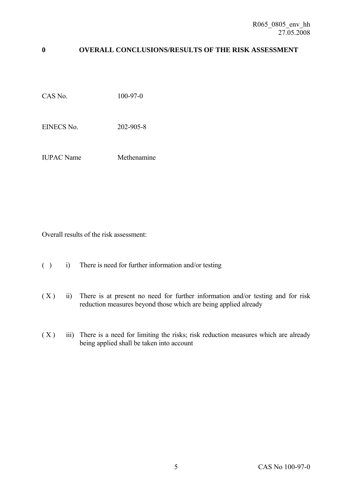#### <span id="page-4-0"></span>**0 OVERALL CONCLUSIONS/RESULTS OF THE RISK ASSESSMENT**

CAS No. 100-97-0

EINECS No. 202-905-8

IUPAC Name Methenamine

Overall results of the risk assessment:

- ( ) i) There is need for further information and/or testing
- $(X)$  ii) There is at present no need for further information and/or testing and for risk reduction measures beyond those which are being applied already
- $(X)$  iii) There is a need for limiting the risks; risk reduction measures which are already being applied shall be taken into account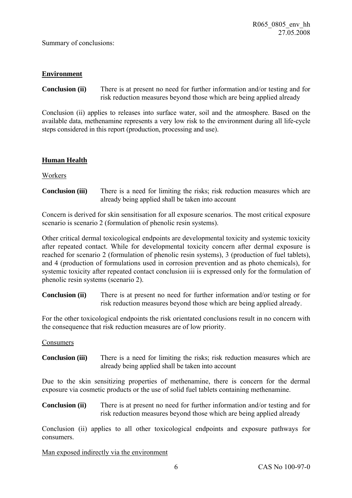Summary of conclusions:

## **Environment**

**Conclusion (ii)** There is at present no need for further information and/or testing and for risk reduction measures beyond those which are being applied already

Conclusion (ii) applies to releases into surface water, soil and the atmosphere. Based on the available data, methenamine represents a very low risk to the environment during all life-cycle steps considered in this report (production, processing and use).

#### **Human Health**

Workers

**Conclusion (iii)** There is a need for limiting the risks; risk reduction measures which are already being applied shall be taken into account

Concern is derived for skin sensitisation for all exposure scenarios. The most critical exposure scenario is scenario 2 (formulation of phenolic resin systems).

Other critical dermal toxicological endpoints are developmental toxicity and systemic toxicity after repeated contact. While for developmental toxicity concern after dermal exposure is reached for scenario 2 (formulation of phenolic resin systems), 3 (production of fuel tablets), and 4 (production of formulations used in corrosion prevention and as photo chemicals), for systemic toxicity after repeated contact conclusion iii is expressed only for the formulation of phenolic resin systems (scenario 2).

**Conclusion (ii)** There is at present no need for further information and/or testing or for risk reduction measures beyond those which are being applied already.

For the other toxicological endpoints the risk orientated conclusions result in no concern with the consequence that risk reduction measures are of low priority.

#### Consumers

**Conclusion (iii)** There is a need for limiting the risks; risk reduction measures which are already being applied shall be taken into account

Due to the skin sensitizing properties of methenamine, there is concern for the dermal exposure via cosmetic products or the use of solid fuel tablets containing methenamine.

**Conclusion (ii)** There is at present no need for further information and/or testing and for risk reduction measures beyond those which are being applied already

Conclusion (ii) applies to all other toxicological endpoints and exposure pathways for consumers.

Man exposed indirectly via the environment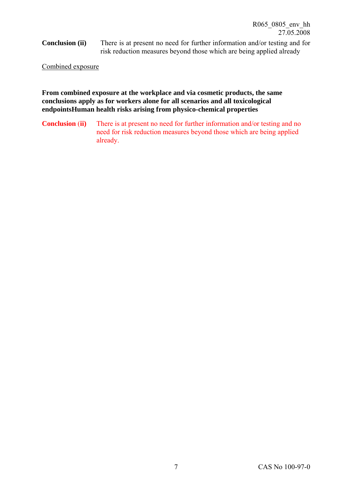**Conclusion (ii)** There is at present no need for further information and/or testing and for risk reduction measures beyond those which are being applied already

Combined exposure

**From combined exposure at the workplace and via cosmetic products, the same conclusions apply as for workers alone for all scenarios and all toxicological endpointsHuman health risks arising from physico-chemical properties** 

**Conclusion (ii)** There is at present no need for further information and/or testing and no need for risk reduction measures beyond those which are being applied already.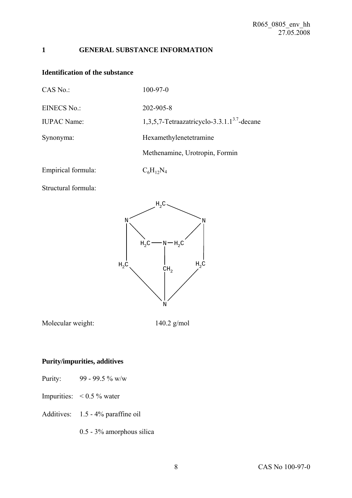## <span id="page-7-0"></span>**1 GENERAL SUBSTANCE INFORMATION**

### **Identification of the substance**

| CAS No.            | $100 - 97 - 0$                                          |
|--------------------|---------------------------------------------------------|
| <b>EINECS No.:</b> | 202-905-8                                               |
| <b>IUPAC</b> Name: | 1,3,5,7-Tetraazatricyclo-3.3.1.1 <sup>3.7</sup> -decane |
| Synonyma:          | Hexamethylenetetramine                                  |
|                    | Methenamine, Urotropin, Formin                          |
| Empirical formula: | $C_6H_{12}N_4$                                          |

Structural formula:



Molecular weight: 140.2 g/mol

# **Purity/impurities, additives**

Purity: 99 - 99.5 % w/w

Impurities: < 0.5 % water

Additives: 1.5 - 4% paraffine oil

0.5 - 3% amorphous silica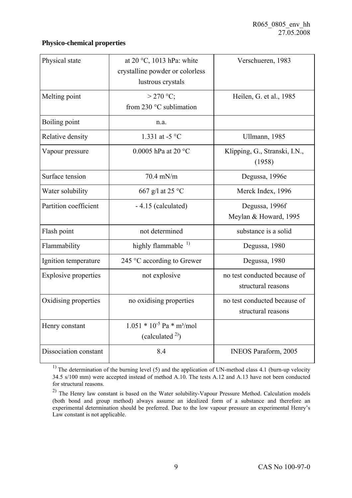#### **Physico-chemical properties**

| Physical state              | at 20 $\degree$ C, 1013 hPa: white<br>crystalline powder or colorless<br>lustrous crystals | Verschueren, 1983                                  |
|-----------------------------|--------------------------------------------------------------------------------------------|----------------------------------------------------|
| Melting point               | $> 270 °C$ ;<br>from 230 $\degree$ C sublimation                                           | Heilen, G. et al., 1985                            |
| Boiling point               | n.a.                                                                                       |                                                    |
| Relative density            | 1.331 at -5 $^{\circ}$ C                                                                   | Ullmann, 1985                                      |
| Vapour pressure             | 0.0005 hPa at 20 °C                                                                        | Klipping, G., Stranski, I.N.,<br>(1958)            |
| Surface tension             | $70.4$ mN/m                                                                                | Degussa, 1996e                                     |
| Water solubility            | 667 g/l at 25 °C                                                                           | Merck Index, 1996                                  |
| Partition coefficient       | - 4.15 (calculated)                                                                        | Degussa, 1996f<br>Meylan & Howard, 1995            |
| Flash point                 | not determined                                                                             | substance is a solid                               |
| Flammability                | highly flammable $1$                                                                       | Degussa, 1980                                      |
| Ignition temperature        | 245 $\degree$ C according to Grewer                                                        | Degussa, 1980                                      |
| <b>Explosive properties</b> | not explosive                                                                              | no test conducted because of<br>structural reasons |
| Oxidising properties        | no oxidising properties                                                                    | no test conducted because of<br>structural reasons |
| Henry constant              | $1.051 * 10^{-5}$ Pa * m <sup>3</sup> /mol<br>(calculated $^{2)}$ )                        |                                                    |
| Dissociation constant       | 8.4                                                                                        | <b>INEOS Paraform, 2005</b>                        |

 $\frac{1}{1}$ ) The determination of the burning level (5) and the application of UN-method class 4.1 (burn-up velocity 34.5 s/100 mm) were accepted instead of method A.10. The tests A.12 and A.13 have not been conducted for structural reasons.

<sup>2)</sup> The Henry law constant is based on the Water solubility-Vapour Pressure Method. Calculation models (both bond and group method) always assume an idealized form of a substance and therefore an experimental determination should be preferred. Due to the low vapour pressure an experimental Henry's Law constant is not applicable.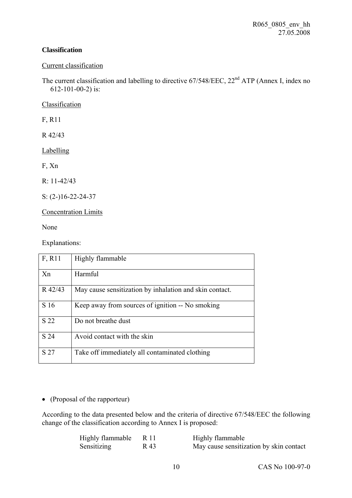## **Classification**

### Current classification

The current classification and labelling to directive 67/548/EEC, 22<sup>nd</sup> ATP (Annex I, index no 612-101-00-2) is:

**Classification** 

F, R11

R 42/43

Labelling

F, Xn

R: 11-42/43

S: (2-)16-22-24-37

Concentration Limits

None

Explanations:

| F, R11         | Highly flammable                                        |
|----------------|---------------------------------------------------------|
| X <sub>n</sub> | Harmful                                                 |
| R 42/43        | May cause sensitization by inhalation and skin contact. |
| S 16           | Keep away from sources of ignition -- No smoking        |
| S 22           | Do not breathe dust                                     |
| S 24           | Avoid contact with the skin                             |
| S 27           | Take off immediately all contaminated clothing          |

• (Proposal of the rapporteur)

According to the data presented below and the criteria of directive 67/548/EEC the following change of the classification according to Annex I is proposed:

| Highly flammable | R 11 | Highly flammable                        |
|------------------|------|-----------------------------------------|
| Sensitizing      | R 43 | May cause sensitization by skin contact |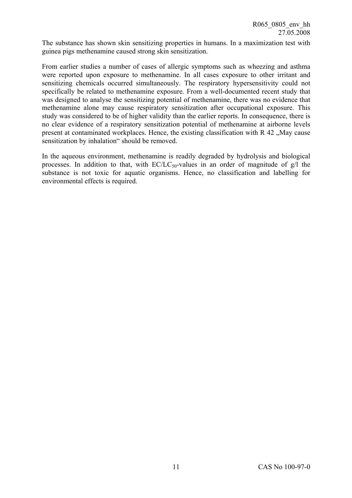The substance has shown skin sensitizing properties in humans. In a maximization test with guinea pigs methenamine caused strong skin sensitization.

From earlier studies a number of cases of allergic symptoms such as wheezing and asthma were reported upon exposure to methenamine. In all cases exposure to other irritant and sensitizing chemicals occurred simultaneously. The respiratory hypersensitivity could not specifically be related to methenamine exposure. From a well-documented recent study that was designed to analyse the sensitizing potential of methenamine, there was no evidence that methenamine alone may cause respiratory sensitization after occupational exposure. This study was considered to be of higher validity than the earlier reports. In consequence, there is no clear evidence of a respiratory sensitization potential of methenamine at airborne levels present at contaminated workplaces. Hence, the existing classification with  $R$  42  $\mu$ May cause sensitization by inhalation" should be removed.

In the aqueous environment, methenamine is readily degraded by hydrolysis and biological processes. In addition to that, with  $EC/LC_{50}$ -values in an order of magnitude of g/l the substance is not toxic for aquatic organisms. Hence, no classification and labelling for environmental effects is required.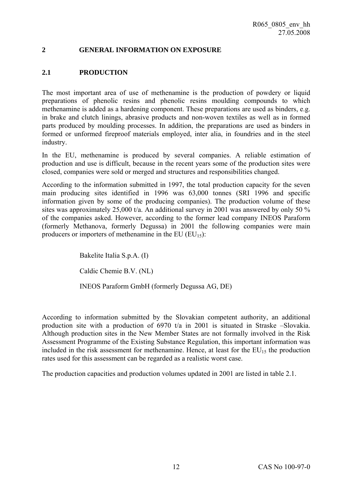## <span id="page-11-0"></span>**2 GENERAL INFORMATION ON EXPOSURE**

## <span id="page-11-1"></span>**2.1 PRODUCTION**

The most important area of use of methenamine is the production of powdery or liquid preparations of phenolic resins and phenolic resins moulding compounds to which methenamine is added as a hardening component. These preparations are used as binders, e.g. in brake and clutch linings, abrasive products and non-woven textiles as well as in formed parts produced by moulding processes. In addition, the preparations are used as binders in formed or unformed fireproof materials employed, inter alia, in foundries and in the steel industry.

In the EU, methenamine is produced by several companies. A reliable estimation of production and use is difficult, because in the recent years some of the production sites were closed, companies were sold or merged and structures and responsibilities changed.

According to the information submitted in 1997, the total production capacity for the seven main producing sites identified in 1996 was 63,000 tonnes (SRI 1996 and specific information given by some of the producing companies). The production volume of these sites was approximately 25,000 t/a. An additional survey in 2001 was answered by only 50 % of the companies asked. However, according to the former lead company INEOS Paraform (formerly Methanova, formerly Degussa) in 2001 the following companies were main producers or importers of methenamine in the EU  $(EU_{15})$ :

> Bakelite Italia S.p.A. (I) Caldic Chemie B.V. (NL) INEOS Paraform GmbH (formerly Degussa AG, DE)

According to information submitted by the Slovakian competent authority, an additional production site with a production of 6970 t/a in 2001 is situated in Straske –Slovakia. Although production sites in the New Member States are not formally involved in the Risk Assessment Programme of the Existing Substance Regulation, this important information was included in the risk assessment for methenamine. Hence, at least for the  $EU_{15}$  the production rates used for this assessment can be regarded as a realistic worst case.

The production capacities and production volumes updated in 2001 are listed in table 2.1.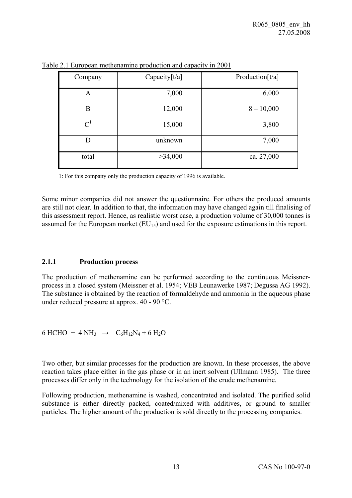| Company | Capacity $[t/a]$ | Production $[t/a]$ |
|---------|------------------|--------------------|
| A       | 7,000            | 6,000              |
| B       | 12,000           | $8 - 10,000$       |
| $C^{1}$ | 15,000           | 3,800              |
| D       | unknown          | 7,000              |
| total   | >34,000          | ca. 27,000         |

Table 2.1 European methenamine production and capacity in 2001

1: For this company only the production capacity of 1996 is available.

Some minor companies did not answer the questionnaire. For others the produced amounts are still not clear. In addition to that, the information may have changed again till finalising of this assessment report. Hence, as realistic worst case, a production volume of 30,000 tonnes is assumed for the European market  $(EU_{15})$  and used for the exposure estimations in this report.

#### <span id="page-12-0"></span>**2.1.1 Production process**

The production of methenamine can be performed according to the continuous Meissnerprocess in a closed system (Meissner et al. 1954; VEB Leunawerke 1987; Degussa AG 1992). The substance is obtained by the reaction of formaldehyde and ammonia in the aqueous phase under reduced pressure at approx. 40 - 90 °C.

6 HCHO + 4 NH<sub>3</sub>  $\rightarrow$  C<sub>6</sub>H<sub>12</sub>N<sub>4</sub> + 6 H<sub>2</sub>O

Two other, but similar processes for the production are known. In these processes, the above reaction takes place either in the gas phase or in an inert solvent (Ullmann 1985). The three processes differ only in the technology for the isolation of the crude methenamine.

Following production, methenamine is washed, concentrated and isolated. The purified solid substance is either directly packed, coated/mixed with additives, or ground to smaller particles. The higher amount of the production is sold directly to the processing companies.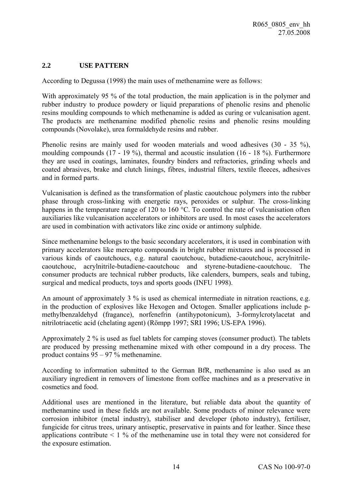## <span id="page-13-0"></span>**2.2 USE PATTERN**

According to Degussa (1998) the main uses of methenamine were as follows:

With approximately 95 % of the total production, the main application is in the polymer and rubber industry to produce powdery or liquid preparations of phenolic resins and phenolic resins moulding compounds to which methenamine is added as curing or vulcanisation agent. The products are methenamine modified phenolic resins and phenolic resins moulding compounds (Novolake), urea formaldehyde resins and rubber.

Phenolic resins are mainly used for wooden materials and wood adhesives (30 - 35 %), moulding compounds (17 - 19 %), thermal and acoustic insulation (16 - 18 %). Furthermore they are used in coatings, laminates, foundry binders and refractories, grinding wheels and coated abrasives, brake and clutch linings, fibres, industrial filters, textile fleeces, adhesives and in formed parts.

Vulcanisation is defined as the transformation of plastic caoutchouc polymers into the rubber phase through cross-linking with energetic rays, peroxides or sulphur. The cross-linking happens in the temperature range of 120 to 160 °C. To control the rate of vulcanisation often auxiliaries like vulcanisation accelerators or inhibitors are used. In most cases the accelerators are used in combination with activators like zinc oxide or antimony sulphide.

Since methenamine belongs to the basic secondary accelerators, it is used in combination with primary accelerators like mercapto compounds in bright rubber mixtures and is processed in various kinds of caoutchoucs, e.g. natural caoutchouc, butadiene-caoutchouc, acrylnitrilecaoutchouc, acrylnitrile-butadiene-caoutchouc and styrene-butadiene-caoutchouc. The consumer products are technical rubber products, like calenders, bumpers, seals and tubing, surgical and medical products, toys and sports goods (INFU 1998).

An amount of approximately 3 % is used as chemical intermediate in nitration reactions, e.g. in the production of explosives like Hexogen and Octogen. Smaller applications include pmethylbenzaldehyd (fragance), norfenefrin (antihypotonicum), 3-formylcrotylacetat and nitrilotriacetic acid (chelating agent) (Römpp 1997; SRI 1996; US-EPA 1996).

Approximately 2 % is used as fuel tablets for camping stoves (consumer product). The tablets are produced by pressing methenamine mixed with other compound in a dry process. The product contains 95 – 97 % methenamine.

According to information submitted to the German BfR, methenamine is also used as an auxiliary ingredient in removers of limestone from coffee machines and as a preservative in cosmetics and food.

Additional uses are mentioned in the literature, but reliable data about the quantity of methenamine used in these fields are not available. Some products of minor relevance were corrosion inhibitor (metal industry), stabiliser and developer (photo industry), fertiliser, fungicide for citrus trees, urinary antiseptic, preservative in paints and for leather. Since these applications contribute  $\leq 1$  % of the methenamine use in total they were not considered for the exposure estimation.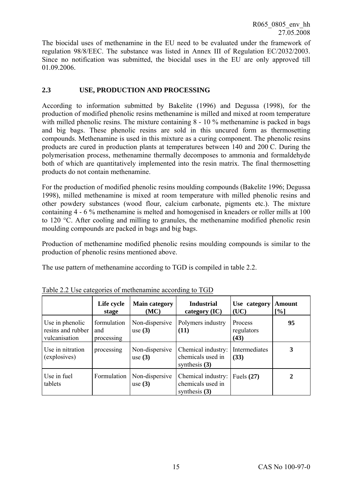The biocidal uses of methenamine in the EU need to be evaluated under the framework of regulation 98/8/EEC. The substance was listed in Annex III of Regulation EC/2032/2003. Since no notification was submitted, the biocidal uses in the EU are only approved till 01.09.2006.

## <span id="page-14-0"></span>**2.3 USE, PRODUCTION AND PROCESSING**

According to information submitted by Bakelite (1996) and Degussa (1998), for the production of modified phenolic resins methenamine is milled and mixed at room temperature with milled phenolic resins. The mixture containing 8 - 10 % methenamine is packed in bags and big bags. These phenolic resins are sold in this uncured form as thermosetting compounds. Methenamine is used in this mixture as a curing component. The phenolic resins products are cured in production plants at temperatures between 140 and 200 C. During the polymerisation process, methenamine thermally decomposes to ammonia and formaldehyde both of which are quantitatively implemented into the resin matrix. The final thermosetting products do not contain methenamine.

For the production of modified phenolic resins moulding compounds (Bakelite 1996; Degussa 1998), milled methenamine is mixed at room temperature with milled phenolic resins and other powdery substances (wood flour, calcium carbonate, pigments etc.). The mixture containing 4 - 6 % methenamine is melted and homogenised in kneaders or roller mills at 100 to 120 °C. After cooling and milling to granules, the methenamine modified phenolic resin moulding compounds are packed in bags and big bags.

Production of methenamine modified phenolic resins moulding compounds is similar to the production of phenolic resins mentioned above.

The use pattern of methenamine according to TGD is compiled in table 2.2.

|                                                       | Life cycle<br>stage              | <b>Main category</b><br>(MC) | <b>Industrial</b><br>category $(IC)$                       | Use category<br>(UC)          | Amount<br>[%] |
|-------------------------------------------------------|----------------------------------|------------------------------|------------------------------------------------------------|-------------------------------|---------------|
| Use in phenolic<br>resins and rubber<br>vulcanisation | formulation<br>and<br>processing | Non-dispersive<br>use $(3)$  | Polymers industry<br>(11)                                  | Process<br>regulators<br>(43) | 95            |
| Use in nitration<br>(explosives)                      | processing                       | Non-dispersive<br>use $(3)$  | Chemical industry:<br>chemicals used in<br>synthesis $(3)$ | Intermediates<br>(33)         | 3             |
| Use in fuel<br>tablets                                | Formulation                      | Non-dispersive<br>use $(3)$  | Chemical industry:<br>chemicals used in<br>synthesis $(3)$ | Fuels $(27)$                  | 2             |

Table 2.2 Use categories of methenamine according to TGD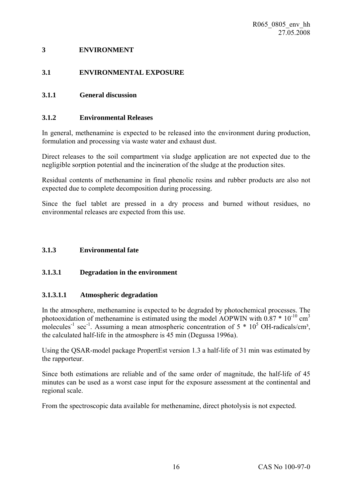## <span id="page-15-0"></span>**3 ENVIRONMENT**

# <span id="page-15-1"></span>**3.1 ENVIRONMENTAL EXPOSURE**

## <span id="page-15-2"></span>**3.1.1 General discussion**

#### <span id="page-15-3"></span>**3.1.2 Environmental Releases**

In general, methenamine is expected to be released into the environment during production, formulation and processing via waste water and exhaust dust.

Direct releases to the soil compartment via sludge application are not expected due to the negligible sorption potential and the incineration of the sludge at the production sites.

Residual contents of methenamine in final phenolic resins and rubber products are also not expected due to complete decomposition during processing.

Since the fuel tablet are pressed in a dry process and burned without residues, no environmental releases are expected from this use.

#### <span id="page-15-4"></span>**3.1.3 Environmental fate**

#### **3.1.3.1 Degradation in the environment**

#### **3.1.3.1.1 Atmospheric degradation**

In the atmosphere, methenamine is expected to be degraded by photochemical processes. The photooxidation of methenamine is estimated using the model AOPWIN with  $0.87 * 10^{-10}$  cm<sup>3</sup> molecules<sup>-1</sup> sec<sup>-1</sup>. Assuming a mean atmospheric concentration of  $5 * 10^5$  OH-radicals/cm<sup>3</sup>, the calculated half-life in the atmosphere is 45 min (Degussa 1996a).

Using the QSAR-model package PropertEst version 1.3 a half-life of 31 min was estimated by the rapporteur.

Since both estimations are reliable and of the same order of magnitude, the half-life of 45 minutes can be used as a worst case input for the exposure assessment at the continental and regional scale.

From the spectroscopic data available for methenamine, direct photolysis is not expected.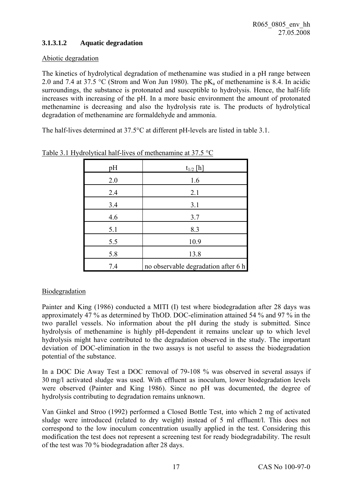# **3.1.3.1.2 Aquatic degradation**

## Abiotic degradation

The kinetics of hydrolytical degradation of methenamine was studied in a pH range between 2.0 and 7.4 at 37.5 °C (Strom and Won Jun 1980). The  $pK_a$  of methenamine is 8.4. In acidic surroundings, the substance is protonated and susceptible to hydrolysis. Hence, the half-life increases with increasing of the pH. In a more basic environment the amount of protonated methenamine is decreasing and also the hydrolysis rate is. The products of hydrolytical degradation of methenamine are formaldehyde and ammonia.

The half-lives determined at 37.5°C at different pH-levels are listed in table 3.1.

| pH  | $t_{1/2}$ [h]                       |
|-----|-------------------------------------|
| 2.0 | 1.6                                 |
| 2.4 | 2.1                                 |
| 3.4 | 3.1                                 |
| 4.6 | 3.7                                 |
| 5.1 | 8.3                                 |
| 5.5 | 10.9                                |
| 5.8 | 13.8                                |
| 7.4 | no observable degradation after 6 h |

Table 3.1 Hydrolytical half-lives of methenamine at 37.5 °C

# Biodegradation

Painter and King (1986) conducted a MITI (I) test where biodegradation after 28 days was approximately 47 % as determined by ThOD. DOC-elimination attained 54 % and 97 % in the two parallel vessels. No information about the pH during the study is submitted. Since hydrolysis of methenamine is highly pH-dependent it remains unclear up to which level hydrolysis might have contributed to the degradation observed in the study. The important deviation of DOC-elimination in the two assays is not useful to assess the biodegradation potential of the substance.

In a DOC Die Away Test a DOC removal of 79-108 % was observed in several assays if 30 mg/l activated sludge was used. With effluent as inoculum, lower biodegradation levels were observed (Painter and King 1986). Since no pH was documented, the degree of hydrolysis contributing to degradation remains unknown.

Van Ginkel and Stroo (1992) performed a Closed Bottle Test, into which 2 mg of activated sludge were introduced (related to dry weight) instead of 5 ml effluent/l. This does not correspond to the low inoculum concentration usually applied in the test. Considering this modification the test does not represent a screening test for ready biodegradability. The result of the test was 70 % biodegradation after 28 days.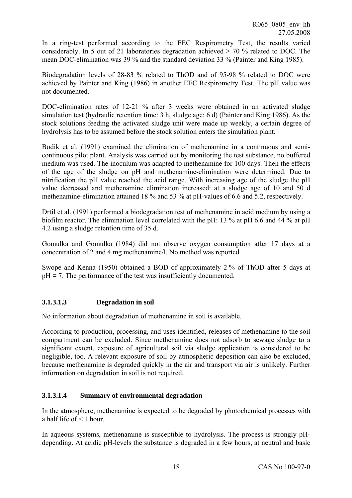In a ring-test performed according to the EEC Respirometry Test, the results varied considerably. In 5 out of 21 laboratories degradation achieved  $> 70$  % related to DOC. The mean DOC-elimination was 39 % and the standard deviation 33 % (Painter and King 1985).

Biodegradation levels of 28-83 % related to ThOD and of 95-98 % related to DOC were achieved by Painter and King (1986) in another EEC Respirometry Test. The pH value was not documented.

DOC-elimination rates of 12-21 % after 3 weeks were obtained in an activated sludge simulation test (hydraulic retention time: 3 h, sludge age: 6 d) (Painter and King 1986). As the stock solutions feeding the activated sludge unit were made up weekly, a certain degree of hydrolysis has to be assumed before the stock solution enters the simulation plant.

Bodik et al. (1991) examined the elimination of methenamine in a continuous and semicontinuous pilot plant. Analysis was carried out by monitoring the test substance, no buffered medium was used. The inoculum was adapted to methenamine for 100 days. Then the effects of the age of the sludge on pH and methenamine-elimination were determined. Due to nitrification the pH value reached the acid range. With increasing age of the sludge the pH value decreased and methenamine elimination increased: at a sludge age of 10 and 50 d methenamine-elimination attained 18 % and 53 % at pH-values of 6.6 and 5.2, respectively.

Drtil et al. (1991) performed a biodegradation test of methenamine in acid medium by using a biofilm reactor. The elimination level correlated with the pH: 13 % at pH 6.6 and 44 % at pH 4.2 using a sludge retention time of 35 d.

Gomulka and Gomulka (1984) did not observe oxygen consumption after 17 days at a concentration of 2 and 4 mg methenamine/l. No method was reported.

Swope and Kenna (1950) obtained a BOD of approximately 2 % of ThOD after 5 days at pH = 7. The performance of the test was insufficiently documented.

# **3.1.3.1.3 Degradation in soil**

No information about degradation of methenamine in soil is available.

According to production, processing, and uses identified, releases of methenamine to the soil compartment can be excluded. Since methenamine does not adsorb to sewage sludge to a significant extent, exposure of agricultural soil via sludge application is considered to be negligible, too. A relevant exposure of soil by atmospheric deposition can also be excluded, because methenamine is degraded quickly in the air and transport via air is unlikely. Further information on degradation in soil is not required.

# **3.1.3.1.4 Summary of environmental degradation**

In the atmosphere, methenamine is expected to be degraded by photochemical processes with a half life of  $\leq 1$  hour

In aqueous systems, methenamine is susceptible to hydrolysis. The process is strongly pHdepending. At acidic pH-levels the substance is degraded in a few hours, at neutral and basic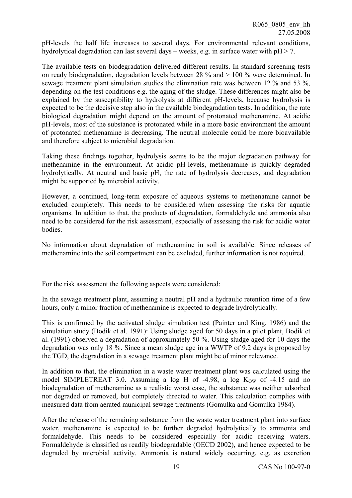pH-levels the half life increases to several days. For environmental relevant conditions, hydrolytical degradation can last several days – weeks, e.g. in surface water with  $pH > 7$ .

The available tests on biodegradation delivered different results. In standard screening tests on ready biodegradation, degradation levels between 28 % and > 100 % were determined. In sewage treatment plant simulation studies the elimination rate was between 12 % and 53 %, depending on the test conditions e.g. the aging of the sludge. These differences might also be explained by the susceptibility to hydrolysis at different pH-levels, because hydrolysis is expected to be the decisive step also in the available biodegradation tests. In addition, the rate biological degradation might depend on the amount of protonated methenamine. At acidic pH-levels, most of the substance is protonated while in a more basic environment the amount of protonated methenamine is decreasing. The neutral molecule could be more bioavailable and therefore subject to microbial degradation.

Taking these findings together, hydrolysis seems to be the major degradation pathway for methenamine in the environment. At acidic pH-levels, methenamine is quickly degraded hydrolytically. At neutral and basic pH, the rate of hydrolysis decreases, and degradation might be supported by microbial activity.

However, a continued, long-term exposure of aqueous systems to methenamine cannot be excluded completely. This needs to be considered when assessing the risks for aquatic organisms. In addition to that, the products of degradation, formaldehyde and ammonia also need to be considered for the risk assessment, especially of assessing the risk for acidic water bodies.

No information about degradation of methenamine in soil is available. Since releases of methenamine into the soil compartment can be excluded, further information is not required.

For the risk assessment the following aspects were considered:

In the sewage treatment plant, assuming a neutral pH and a hydraulic retention time of a few hours, only a minor fraction of methenamine is expected to degrade hydrolytically.

This is confirmed by the activated sludge simulation test (Painter and King, 1986) and the simulation study (Bodik et al. 1991): Using sludge aged for 50 days in a pilot plant, Bodik et al. (1991) observed a degradation of approximately 50 %. Using sludge aged for 10 days the degradation was only 18 %. Since a mean sludge age in a WWTP of 9.2 days is proposed by the TGD, the degradation in a sewage treatment plant might be of minor relevance.

In addition to that, the elimination in a waste water treatment plant was calculated using the model SIMPLETREAT 3.0. Assuming a log H of  $-4.98$ , a log  $K<sub>OW</sub>$  of  $-4.15$  and no biodegradation of methenamine as a realistic worst case, the substance was neither adsorbed nor degraded or removed, but completely directed to water. This calculation complies with measured data from aerated municipal sewage treatments (Gomulka and Gomulka 1984).

After the release of the remaining substance from the waste water treatment plant into surface water, methenamine is expected to be further degraded hydrolytically to ammonia and formaldehyde. This needs to be considered especially for acidic receiving waters. Formaldehyde is classified as readily biodegradable (OECD 2002), and hence expected to be degraded by microbial activity. Ammonia is natural widely occurring, e.g. as excretion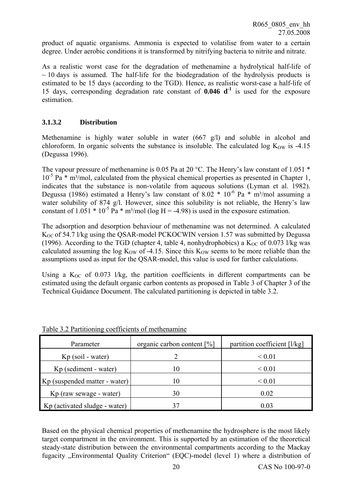product of aquatic organisms. Ammonia is expected to volatilise from water to a certain degree. Under aerobic conditions it is transformed by nitrifying bacteria to nitrite and nitrate.

As a realistic worst case for the degradation of methenamine a hydrolytical half-life of  $\sim$  10 days is assumed. The half-life for the biodegradation of the hydrolysis products is estimated to be 15 days (according to the TGD). Hence, as realistic worst-case a half-life of 15 days, corresponding degradation rate constant of  $0.046 \, d^{-1}$  is used for the exposure estimation.

#### **3.1.3.2 Distribution**

Methenamine is highly water soluble in water (667 g/l) and soluble in alcohol and chloroform. In organic solvents the substance is insoluble. The calculated log  $K<sub>OW</sub>$  is -4.15 (Degussa 1996).

The vapour pressure of methenamine is 0.05 Pa at 20 °C. The Henry's law constant of 1.051  $*$  $10^{-5}$  Pa  $*$  m<sup>3</sup>/mol, calculated from the physical chemical properties as presented in Chapter 1, indicates that the substance is non-volatile from aqueous solutions (Lyman et al. 1982). Degussa (1986) estimated a Henry's law constant of 8.02  $*$  10<sup>-6</sup> Pa  $*$  m<sup>3</sup>/mol assuming a water solubility of 874 g/l. However, since this solubility is not reliable, the Henry's law constant of  $1.051 * 10^{-5}$  Pa  $*$  m<sup>3</sup>/mol (log H = -4.98) is used in the exposure estimation.

The adsorption and desorption behaviour of methenamine was not determined. A calculated  $K<sub>OC</sub>$  of 54.7 l/kg using the QSAR-model PCKOCWIN version 1.57 was submitted by Degussa (1996). According to the TGD (chapter 4, table 4, nonhydrophobics) a  $K_{OC}$  of 0.073 l/kg was calculated assuming the log  $K<sub>OW</sub>$  of -4.15. Since this  $K<sub>OW</sub>$  seems to be more reliable than the assumptions used as input for the QSAR-model, this value is used for further calculations.

Using a  $K_{OC}$  of 0.073 l/kg, the partition coefficients in different compartments can be estimated using the default organic carbon contents as proposed in Table 3 of Chapter 3 of the Technical Guidance Document. The calculated partitioning is depicted in table 3.2.

| Parameter                     | organic carbon content $[\%]$ | partition coefficient [l/kg] |  |
|-------------------------------|-------------------------------|------------------------------|--|
| Kp (soil - water)             |                               | ${}_{0.01}$                  |  |
| Kp (sediment - water)         | l ()                          | ${}_{0.01}$                  |  |
| Kp (suspended matter - water) | l ()                          | ${}_{0.01}$                  |  |
| Kp (raw sewage - water)       | 30                            | 0.02                         |  |
| Kp (activated sludge - water) |                               | 0.03                         |  |

Table 3.2 Partitioning coefficients of methenamine

Based on the physical chemical properties of methenamine the hydrosphere is the most likely target compartment in the environment. This is supported by an estimation of the theoretical steady-state distribution between the environmental compartments according to the Mackay fugacity "Environmental Quality Criterion" (EQC)-model (level 1) where a distribution of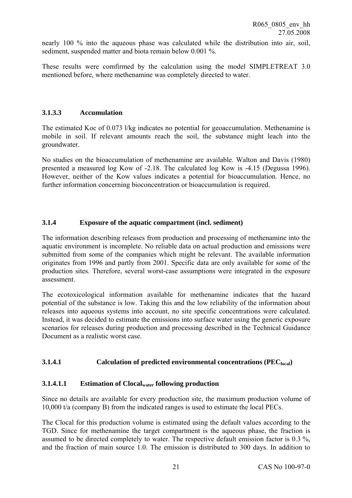nearly 100 % into the aqueous phase was calculated while the distribution into air, soil, sediment, suspended matter and biota remain below 0.001 %.

These results were comfirmed by the calculation using the model SIMPLETREAT 3.0 mentioned before, where methenamine was completely directed to water.

#### **3.1.3.3 Accumulation**

The estimated Koc of 0.073 l/kg indicates no potential for geoaccumulation. Methenamine is mobile in soil. If relevant amounts reach the soil, the substance might leach into the groundwater.

No studies on the bioaccumulation of methenamine are available. Walton and Davis (1980) presented a measured log Kow of -2.18. The calculated log Kow is -4.15 (Degussa 1996). However, neither of the Kow values indicates a potential for bioaccumulation. Hence, no further information concerning bioconcentration or bioaccumulation is required.

#### <span id="page-20-0"></span>**3.1.4 Exposure of the aquatic compartment (incl. sediment)**

The information describing releases from production and processing of methenamine into the aquatic environment is incomplete. No reliable data on actual production and emissions were submitted from some of the companies which might be relevant. The available information originates from 1996 and partly from 2001. Specific data are only available for some of the production sites. Therefore, several worst-case assumptions were integrated in the exposure assessment.

The ecotoxicological information available for methenamine indicates that the hazard potential of the substance is low. Taking this and the low reliability of the information about releases into aqueous systems into account, no site specific concentrations were calculated. Instead, it was decided to estimate the emissions into surface water using the generic exposure scenarios for releases during production and processing described in the Technical Guidance Document as a realistic worst case.

#### **3.1.4.1 Calculation of predicted environmental concentrations (PEC<sub>local</sub>)**

#### **3.1.4.1.1 Estimation of Clocalwater following production**

Since no details are available for every production site, the maximum production volume of 10,000 t/a (company B) from the indicated ranges is used to estimate the local PECs.

The Clocal for this production volume is estimated using the default values according to the TGD. Since for methenamine the target compartment is the aqueous phase, the fraction is assumed to be directed completely to water. The respective default emission factor is 0.3 %, and the fraction of main source 1.0. The emission is distributed to 300 days. In addition to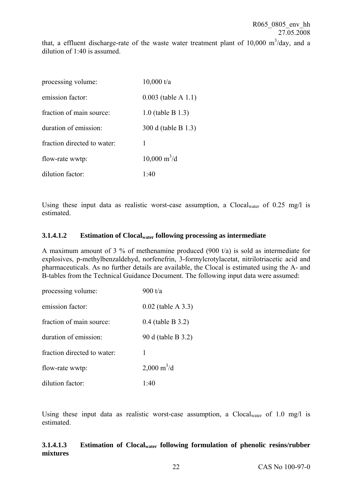that, a effluent discharge-rate of the waste water treatment plant of 10,000  $\mathrm{m}^3/\mathrm{day}$ , and a dilution of 1:40 is assumed.

| processing volume:          | 10,000 t/a                    |
|-----------------------------|-------------------------------|
| emission factor:            | $0.003$ (table A 1.1)         |
| fraction of main source:    | $1.0$ (table B 1.3)           |
| duration of emission:       | 300 d (table B 1.3)           |
| fraction directed to water: | 1                             |
| flow-rate wwtp:             | $10,000 \text{ m}^3/\text{d}$ |
| dilution factor:            | 1:40                          |

Using these input data as realistic worst-case assumption, a Clocal<sub>water</sub> of  $0.25 \text{ mg/l}$  is estimated.

#### **3.1.4.1.2 Estimation of Clocalwater following processing as intermediate**

A maximum amount of 3 % of methenamine produced (900 t/a) is sold as intermediate for explosives, p-methylbenzaldehyd, norfenefrin, 3-formylcrotylacetat, nitrilotriacetic acid and pharmaceuticals. As no further details are available, the Clocal is estimated using the A- and B-tables from the Technical Guidance Document. The following input data were assumed:

| processing volume:          | 900 t/a                      |
|-----------------------------|------------------------------|
| emission factor:            | $0.02$ (table A 3.3)         |
| fraction of main source:    | $0.4$ (table B 3.2)          |
| duration of emission:       | 90 d (table B 3.2)           |
| fraction directed to water: | 1                            |
| flow-rate wwtp:             | $2,000 \text{ m}^3/\text{d}$ |
| dilution factor:            | 1:40                         |

Using these input data as realistic worst-case assumption, a Clocal<sub>water</sub> of 1.0 mg/l is estimated.

#### **3.1.4.1.3 Estimation of Clocalwater following formulation of phenolic resins/rubber mixtures**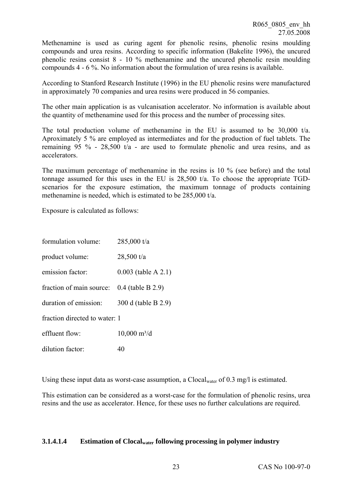Methenamine is used as curing agent for phenolic resins, phenolic resins moulding compounds and urea resins. According to specific information (Bakelite 1996), the uncured phenolic resins consist 8 - 10 % methenamine and the uncured phenolic resin moulding compounds 4 - 6 %. No information about the formulation of urea resins is available.

According to Stanford Research Institute (1996) in the EU phenolic resins were manufactured in approximately 70 companies and urea resins were produced in 56 companies.

The other main application is as vulcanisation accelerator. No information is available about the quantity of methenamine used for this process and the number of processing sites.

The total production volume of methenamine in the EU is assumed to be  $30,000$  t/a. Aproximately 5 % are employed as intermediates and for the production of fuel tablets. The remaining 95 % - 28,500 t/a - are used to formulate phenolic and urea resins, and as accelerators.

The maximum percentage of methenamine in the resins is 10 % (see before) and the total tonnage assumed for this uses in the EU is 28,500 t/a. To choose the appropriate TGDscenarios for the exposure estimation, the maximum tonnage of products containing methenamine is needed, which is estimated to be 285,000 t/a.

Exposure is calculated as follows:

| formulation volume:           | 285,000 $t/a$                 |
|-------------------------------|-------------------------------|
| product volume:               | $28,500 \frac{t}{a}$          |
| emission factor:              | $0.003$ (table A 2.1)         |
| fraction of main source:      | 0.4 (table B 2.9)             |
| duration of emission:         | 300 d (table B 2.9)           |
| fraction directed to water: 1 |                               |
| effluent flow:                | $10,000 \text{ m}^3/\text{d}$ |
| dilution factor:              | 40                            |

Using these input data as worst-case assumption, a Clocal<sub>water</sub> of 0.3 mg/l is estimated.

This estimation can be considered as a worst-case for the formulation of phenolic resins, urea resins and the use as accelerator. Hence, for these uses no further calculations are required.

#### **3.1.4.1.4 Estimation of Clocalwater following processing in polymer industry**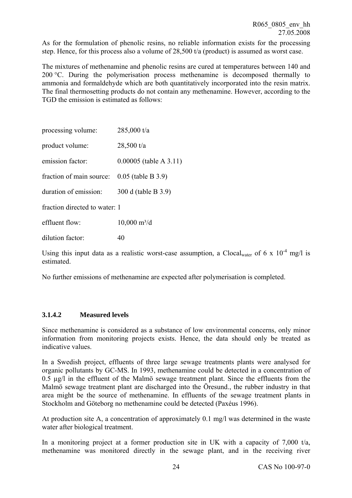As for the formulation of phenolic resins, no reliable information exists for the processing step. Hence, for this process also a volume of 28,500 t/a (product) is assumed as worst case.

The mixtures of methenamine and phenolic resins are cured at temperatures between 140 and 200 °C. During the polymerisation process methenamine is decomposed thermally to ammonia and formaldehyde which are both quantitatively incorporated into the resin matrix. The final thermosetting products do not contain any methenamine. However, according to the TGD the emission is estimated as follows:

| processing volume:            | 285,000 t/a                   |
|-------------------------------|-------------------------------|
| product volume:               | $28,500 \frac{t}{a}$          |
| emission factor:              | $0.00005$ (table A 3.11)      |
| fraction of main source:      | 0.05 (table B 3.9)            |
| duration of emission:         | 300 d (table B 3.9)           |
| fraction directed to water: 1 |                               |
| effluent flow:                | $10,000 \text{ m}^3/\text{d}$ |
| dilution factor:              | 40                            |

Using this input data as a realistic worst-case assumption, a Clocal<sub>water</sub> of 6 x  $10^{-4}$  mg/l is estimated.

No further emissions of methenamine are expected after polymerisation is completed.

#### **3.1.4.2 Measured levels**

Since methenamine is considered as a substance of low environmental concerns, only minor information from monitoring projects exists. Hence, the data should only be treated as indicative values.

In a Swedish project, effluents of three large sewage treatments plants were analysed for organic pollutants by GC-MS. In 1993, methenamine could be detected in a concentration of 0.5 µg/l in the effluent of the Malmö sewage treatment plant. Since the effluents from the Malmö sewage treatment plant are discharged into the Öresund., the rubber industry in that area might be the source of methenamine. In effluents of the sewage treatment plants in Stockholm and Göteborg no methenamine could be detected (Paxéus 1996).

At production site A, a concentration of approximately 0.1 mg/l was determined in the waste water after biological treatment.

In a monitoring project at a former production site in UK with a capacity of  $7,000$  t/a, methenamine was monitored directly in the sewage plant, and in the receiving river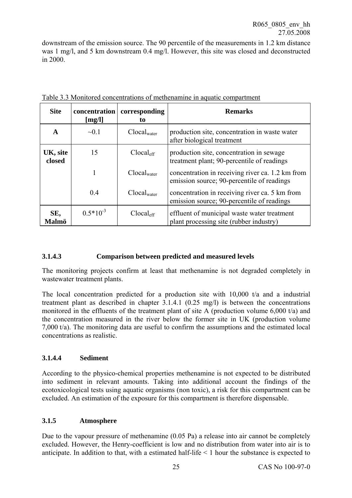downstream of the emission source. The 90 percentile of the measurements in 1.2 km distance was 1 mg/l, and 5 km downstream 0.4 mg/l. However, this site was closed and deconstructed in 2000.

| <b>Site</b>        | concentration<br>[mg/l] | corresponding<br>to         | <b>Remarks</b>                                                                                 |
|--------------------|-------------------------|-----------------------------|------------------------------------------------------------------------------------------------|
| A                  | $\sim 0.1$              | Clocal <sub>water</sub>     | production site, concentration in waste water<br>after biological treatment                    |
| UK, site<br>closed | 15                      | Clocal <sub>eff</sub>       | production site, concentration in sewage<br>treatment plant; 90-percentile of readings         |
|                    |                         | Clocal <sub>water</sub>     | concentration in receiving river ca. 1.2 km from<br>emission source; 90-percentile of readings |
|                    | 0.4                     | $Clocal_{water}$            | concentration in receiving river ca. 5 km from<br>emission source; 90-percentile of readings   |
| SE,<br>Malmö       | $0.5*10^{-3}$           | $\text{Cloud}_{\text{eff}}$ | effluent of municipal waste water treatment<br>plant processing site (rubber industry)         |

Table 3.3 Monitored concentrations of methenamine in aquatic compartment

# **3.1.4.3 Comparison between predicted and measured levels**

The monitoring projects confirm at least that methenamine is not degraded completely in wastewater treatment plants.

The local concentration predicted for a production site with 10,000 t/a and a industrial treatment plant as described in chapter 3.1.4.1 (0.25 mg/l) is between the concentrations monitored in the effluents of the treatment plant of site A (production volume 6,000 t/a) and the concentration measured in the river below the former site in UK (production volume 7,000 t/a). The monitoring data are useful to confirm the assumptions and the estimated local concentrations as realistic.

# **3.1.4.4 Sediment**

According to the physico-chemical properties methenamine is not expected to be distributed into sediment in relevant amounts. Taking into additional account the findings of the ecotoxicological tests using aquatic organisms (non toxic), a risk for this compartment can be excluded. An estimation of the exposure for this compartment is therefore dispensable.

# <span id="page-24-0"></span>**3.1.5 Atmosphere**

Due to the vapour pressure of methenamine (0.05 Pa) a release into air cannot be completely excluded. However, the Henry-coefficient is low and no distribution from water into air is to anticipate. In addition to that, with a estimated half-life < 1 hour the substance is expected to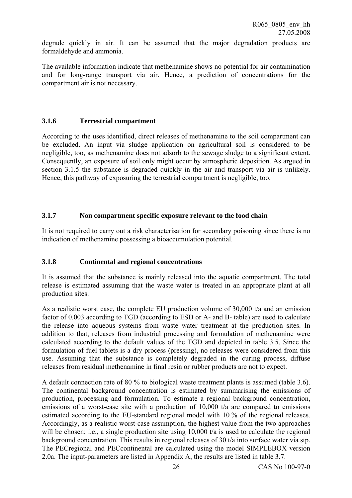degrade quickly in air. It can be assumed that the major degradation products are formaldehyde and ammonia.

The available information indicate that methenamine shows no potential for air contamination and for long-range transport via air. Hence, a prediction of concentrations for the compartment air is not necessary.

#### <span id="page-25-0"></span>**3.1.6 Terrestrial compartment**

According to the uses identified, direct releases of methenamine to the soil compartment can be excluded. An input via sludge application on agricultural soil is considered to be negligible, too, as methenamine does not adsorb to the sewage sludge to a significant extent. Consequently, an exposure of soil only might occur by atmospheric deposition. As argued in section 3.1.5 the substance is degraded quickly in the air and transport via air is unlikely. Hence, this pathway of exposuring the terrestrial compartment is negligible, too.

#### <span id="page-25-1"></span>**3.1.7 Non compartment specific exposure relevant to the food chain**

It is not required to carry out a risk characterisation for secondary poisoning since there is no indication of methenamine possessing a bioaccumulation potential.

#### <span id="page-25-2"></span>**3.1.8 Continental and regional concentrations**

It is assumed that the substance is mainly released into the aquatic compartment. The total release is estimated assuming that the waste water is treated in an appropriate plant at all production sites.

As a realistic worst case, the complete EU production volume of 30,000 t/a and an emission factor of 0.003 according to TGD (according to ESD or A- and B- table) are used to calculate the release into aqueous systems from waste water treatment at the production sites. In addition to that, releases from industrial processing and formulation of methenamine were calculated according to the default values of the TGD and depicted in table 3.5. Since the formulation of fuel tablets is a dry process (pressing), no releases were considered from this use. Assuming that the substance is completely degraded in the curing process, diffuse releases from residual methenamine in final resin or rubber products are not to expect.

A default connection rate of 80 % to biological waste treatment plants is assumed (table 3.6). The continental background concentration is estimated by summarising the emissions of production, processing and formulation. To estimate a regional background concentration, emissions of a worst-case site with a production of 10,000 t/a are compared to emissions estimated according to the EU-standard regional model with 10 % of the regional releases. Accordingly, as a realistic worst-case assumption, the highest value from the two approaches will be chosen; i.e., a single production site using 10,000 t/a is used to calculate the regional background concentration. This results in regional releases of 30 t/a into surface water via stp. The PECregional and PECcontinental are calculated using the model SIMPLEBOX version 2.0a. The input-parameters are listed in Appendix A, the results are listed in table 3.7.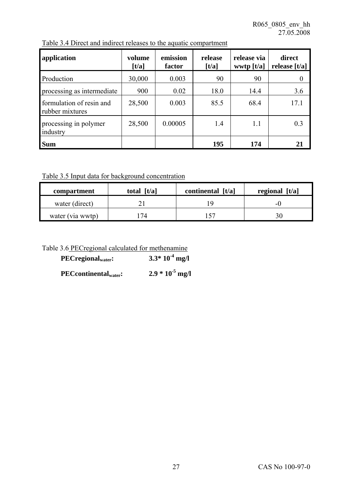| application                                 | volume<br>$\lceil t/a \rceil$ | emission<br>factor | release<br>[t/a] | release via<br>wwtp $[t/a]$ | direct<br>release $\lceil t/a \rceil$ |
|---------------------------------------------|-------------------------------|--------------------|------------------|-----------------------------|---------------------------------------|
| Production                                  | 30,000                        | 0.003              | 90               | 90                          |                                       |
| processing as intermediate                  | 900                           | 0.02               | 18.0             | 14.4                        | 3.6                                   |
| formulation of resin and<br>rubber mixtures | 28,500                        | 0.003              | 85.5             | 68.4                        | 17.1                                  |
| processing in polymer<br>industry           | 28,500                        | 0.00005            | 1.4              | 1.1                         | 0.3                                   |
| <b>Sum</b>                                  |                               |                    | 195              | 174                         | 21                                    |

Table 3.4 Direct and indirect releases to the aquatic compartment

Table 3.5 Input data for background concentration

| compartment      | total $[t/a]$ | continental [t/a] | regional [t/a] |
|------------------|---------------|-------------------|----------------|
| water (direct)   |               |                   |                |
| water (via wwtp) |               |                   |                |

Table 3.6 PECregional calculated for methenamine<br>PECregional<sub>water</sub>: 3.3\* 10<sup>-4</sup> mg/l

PECregional<sub>water</sub>:

**PECcontinentalwater: 2.9 \* 10-5 mg/l**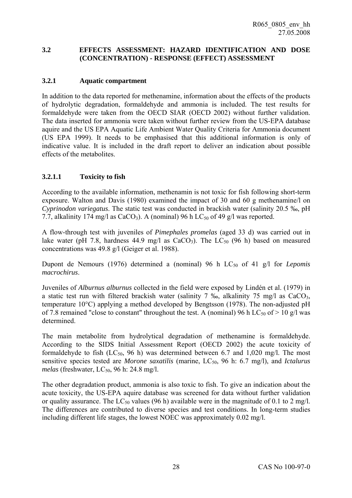#### <span id="page-27-0"></span>**3.2 EFFECTS ASSESSMENT: HAZARD IDENTIFICATION AND DOSE (CONCENTRATION) - RESPONSE (EFFECT) ASSESSMENT**

## <span id="page-27-1"></span>**3.2.1 Aquatic compartment**

In addition to the data reported for methenamine, information about the effects of the products of hydrolytic degradation, formaldehyde and ammonia is included. The test results for formaldehyde were taken from the OECD SIAR (OECD 2002) without further validation. The data inserted for ammonia were taken without further review from the US-EPA database aquire and the US EPA Aquatic Life Ambient Water Quality Criteria for Ammonia document (US EPA 1999). It needs to be emphasised that this additional information is only of indicative value. It is included in the draft report to deliver an indication about possible effects of the metabolites.

#### **3.2.1.1 Toxicity to fish**

According to the available information, methenamin is not toxic for fish following short-term exposure. Walton and Davis (1980) examined the impact of 30 and 60 g methenamine/l on *Cyprinodon variegatus*. The static test was conducted in brackish water (salinity 20.5 ‰, pH 7.7, alkalinity 174 mg/l as  $CaCO<sub>3</sub>$ ). A (nominal) 96 h LC<sub>50</sub> of 49 g/l was reported.

A flow-through test with juveniles of *Pimephales promelas* (aged 33 d) was carried out in lake water (pH 7.8, hardness 44.9 mg/l as  $CaCO<sub>3</sub>$ ). The LC<sub>50</sub> (96 h) based on measured concentrations was 49.8 g/l (Geiger et al. 1988).

Dupont de Nemours (1976) determined a (nominal) 96 h LC<sub>50</sub> of 41 g/l for *Lepomis macrochirus*.

Juveniles of *Alburnus alburnus* collected in the field were exposed by Lindén et al. (1979) in a static test run with filtered brackish water (salinity  $7\%$ , alkalinity  $75 \text{ mg/l}$  as CaCO<sub>3</sub>, temperature 10°C) applying a method developed by Bengtsson (1978). The non-adjusted pH of 7.8 remained "close to constant" throughout the test. A (nominal) 96 h LC<sub>50</sub> of  $> 10$  g/l was determined.

The main metabolite from hydrolytical degradation of methenamine is formaldehyde. According to the SIDS Initial Assessment Report (OECD 2002) the acute toxicity of formaldehyde to fish  $(LC_{50}$ , 96 h) was determined between 6.7 and 1,020 mg/l. The most sensitive species tested are *Morone saxatilis* (marine, LC<sub>50</sub>, 96 h: 6.7 mg/l), and *Ictalurus melas* (freshwater, LC<sub>50</sub>, 96 h: 24.8 mg/l.

The other degradation product, ammonia is also toxic to fish. To give an indication about the acute toxicity, the US-EPA aquire database was screened for data without further validation or quality assurance. The LC<sub>50</sub> values (96 h) available were in the magnitude of 0.1 to 2 mg/l. The differences are contributed to diverse species and test conditions. In long-term studies including different life stages, the lowest NOEC was approximately 0.02 mg/l.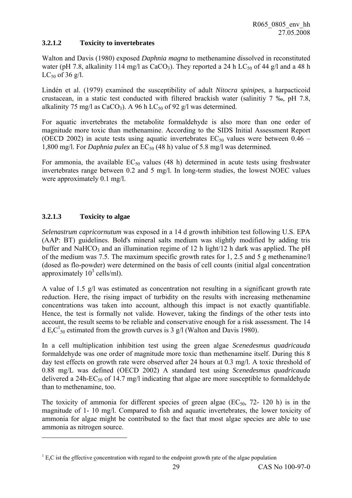# **3.2.1.2 Toxicity to invertebrates**

Walton and Davis (1980) exposed *Daphnia magna* to methenamine dissolved in reconstituted water (pH 7.8, alkalinity 114 mg/l as  $CaCO<sub>3</sub>$ ). They reported a 24 h LC<sub>50</sub> of 44 g/l and a 48 h  $LC_{50}$  of 36 g/l.

Lindén et al. (1979) examined the susceptibility of adult *Nitocra spinipes*, a harpacticoid crustacean, in a static test conducted with filtered brackish water (salinitiy 7 ‰, pH 7.8, alkalinity 75 mg/l as  $CaCO<sub>3</sub>$ ). A 96 h LC<sub>50</sub> of 92 g/l was determined.

For aquatic invertebrates the metabolite formaldehyde is also more than one order of magnitude more toxic than methenamine. According to the SIDS Initial Assessment Report (OECD 2002) in acute tests using aquatic invertebrates  $EC_{50}$  values were between 0.46 – 1,800 mg/l. For *Daphnia pulex* an EC<sub>50</sub> (48 h) value of 5.8 mg/l was determined.

For ammonia, the available  $EC_{50}$  values (48 h) determined in acute tests using freshwater invertebrates range between 0.2 and 5 mg/l. In long-term studies, the lowest NOEC values were approximately 0.1 mg/l.

# **3.2.1.3 Toxicity to algae**

 $\overline{a}$ 

*Selenastrum capricornutum* was exposed in a 14 d growth inhibition test following U.S. EPA (AAP: BT) guidelines. Bold's mineral salts medium was slightly modified by adding tris buffer and NaHCO<sub>3</sub> and an illumination regime of 12 h light/12 h dark was applied. The pH of the medium was 7.5. The maximum specific growth rates for 1, 2.5 and 5 g methenamine/l (dosed as flo-powder) were determined on the basis of cell counts (initial algal concentration approximately  $10^3$  cells/ml).

A value of 1.5 g/l was estimated as concentration not resulting in a significant growth rate reduction. Here, the rising impact of turbidity on the results with increasing methenamine concentrations was taken into account, although this impact is not exactly quantifiable. Hence, the test is formally not valide. However, taking the findings of the other tests into account, the result seems to be reliable and conservative enough for a risk assessment. The 14 d  $E<sub>r</sub>C<sup>1</sup><sub>50</sub>$  estimated from the growth curves is 3 g/l (Walton and Davis 1980).

In a cell multiplication inhibition test using the green algae *Scenedesmus quadricauda* formaldehyde was one order of magnitude more toxic than methenamine itself. During this 8 day test effects on growth rate were observed after 24 hours at 0.3 mg/l. A toxic threshold of 0.88 mg/L was defined (OECD 2002) A standard test using *Scenedesmus quadricauda*  delivered a 24h-EC<sub>50</sub> of 14.7 mg/l indicating that algae are more susceptible to formaldehyde than to methenamine, too.

The toxicity of ammonia for different species of green algae ( $EC_{50}$ , 72- 120 h) is in the magnitude of 1- 10 mg/l. Compared to fish and aquatic invertebrates, the lower toxicity of ammonia for algae might be contributed to the fact that most algae species are able to use ammonia as nitrogen source.

 ${}^{1}$  E<sub>r</sub>C ist the effective concentration with regard to the endpoint growth rate of the algae population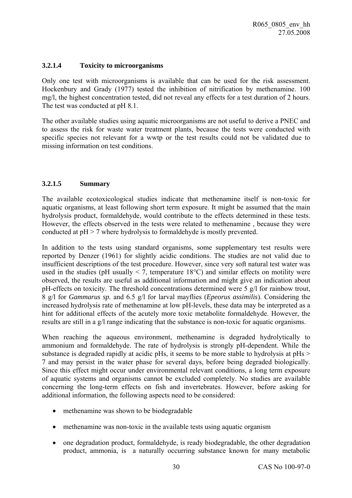## **3.2.1.4 Toxicity to microorganisms**

Only one test with microorganisms is available that can be used for the risk assessment. Hockenbury and Grady (1977) tested the inhibition of nitrification by methenamine. 100 mg/l, the highest concentration tested, did not reveal any effects for a test duration of 2 hours. The test was conducted at pH 8.1.

The other available studies using aquatic microorganisms are not useful to derive a PNEC and to assess the risk for waste water treatment plants, because the tests were conducted with specific species not relevant for a wwtp or the test results could not be validated due to missing information on test conditions.

## **3.2.1.5 Summary**

The available ecotoxicological studies indicate that methenamine itself is non-toxic for aquatic organisms, at least following short term exposure. It might be assumed that the main hydrolysis product, formaldehyde, would contribute to the effects determined in these tests. However, the effects observed in the tests were related to methenamine , because they were conducted at pH > 7 where hydrolysis to formaldehyde is mostly prevented.

In addition to the tests using standard organisms, some supplementary test results were reported by Denzer (1961) for slightly acidic conditions. The studies are not valid due to insufficient descriptions of the test procedure. However, since very soft natural test water was used in the studies (pH usually  $\leq$  7, temperature 18 $^{\circ}$ C) and similar effects on motility were observed, the results are useful as additional information and might give an indication about pH-effects on toxicity. The threshold concentrations determined were 5 g/l for rainbow trout, 8 g/l for *Gammarus sp.* and 6.5 g/l for larval mayflies (*Epeorus assimilis*). Considering the increased hydrolysis rate of methenamine at low pH-levels, these data may be interpreted as a hint for additional effects of the acutely more toxic metabolite formaldehyde. However, the results are still in a g/l range indicating that the substance is non-toxic for aquatic organisms.

When reaching the aqueous environment, methenamine is degraded hydrolytically to ammonium and formaldehyde. The rate of hydrolysis is strongly pH-dependent. While the substance is degraded rapidly at acidic pHs, it seems to be more stable to hydrolysis at pHs > 7 and may persist in the water phase for several days, before being degraded biologically. Since this effect might occur under environmental relevant conditions, a long term exposure of aquatic systems and organisms cannot be excluded completely. No studies are available concerning the long-term effects on fish and invertebrates. However, before asking for additional information, the following aspects need to be considered:

- methenamine was shown to be biodegradable
- methenamine was non-toxic in the available tests using aquatic organism
- one degradation product, formaldehyde, is ready biodegradable, the other degradation product, ammonia, is a naturally occurring substance known for many metabolic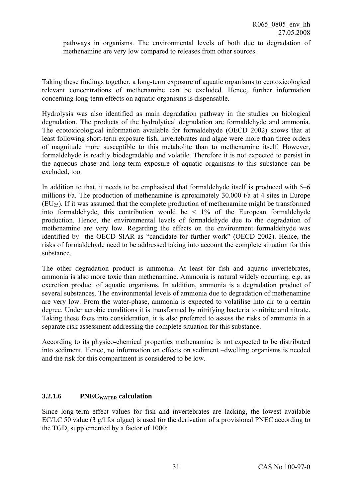pathways in organisms. The environmental levels of both due to degradation of methenamine are very low compared to releases from other sources.

Taking these findings together, a long-term exposure of aquatic organisms to ecotoxicological relevant concentrations of methenamine can be excluded. Hence, further information concerning long-term effects on aquatic organisms is dispensable.

Hydrolysis was also identified as main degradation pathway in the studies on biological degradation. The products of the hydrolytical degradation are formaldehyde and ammonia. The ecotoxicological information available for formaldehyde (OECD 2002) shows that at least following short-term exposure fish, invertebrates and algae were more than three orders of magnitude more susceptible to this metabolite than to methenamine itself. However, formaldehyde is readily biodegradable and volatile. Therefore it is not expected to persist in the aqueous phase and long-term exposure of aquatic organisms to this substance can be excluded, too.

In addition to that, it needs to be emphasised that formaldehyde itself is produced with 5–6 millions t/a. The production of methenamine is aproximately 30.000 t/a at 4 sites in Europe  $(EU<sub>25</sub>)$ . If it was assumed that the complete production of methenamine might be transformed into formaldehyde, this contribution would be  $\leq 1\%$  of the European formaldehyde production. Hence, the environmental levels of formaldehyde due to the degradation of methenamine are very low. Regarding the effects on the environment formaldehyde was identified by the OECD SIAR as "candidate for further work" (OECD 2002). Hence, the risks of formaldehyde need to be addressed taking into account the complete situation for this substance.

The other degradation product is ammonia. At least for fish and aquatic invertebrates, ammonia is also more toxic than methenamine. Ammonia is natural widely occurring, e.g. as excretion product of aquatic organisms. In addition, ammonia is a degradation product of several substances. The environmental levels of ammonia due to degradation of methenamine are very low. From the water-phase, ammonia is expected to volatilise into air to a certain degree. Under aerobic conditions it is transformed by nitrifying bacteria to nitrite and nitrate. Taking these facts into consideration, it is also preferred to assess the risks of ammonia in a separate risk assessment addressing the complete situation for this substance.

According to its physico-chemical properties methenamine is not expected to be distributed into sediment. Hence, no information on effects on sediment –dwelling organisms is needed and the risk for this compartment is considered to be low.

#### **3.2.1.6 PNECWATER calculation**

Since long-term effect values for fish and invertebrates are lacking, the lowest available EC/LC 50 value (3 g/l for algae) is used for the derivation of a provisional PNEC according to the TGD, supplemented by a factor of 1000: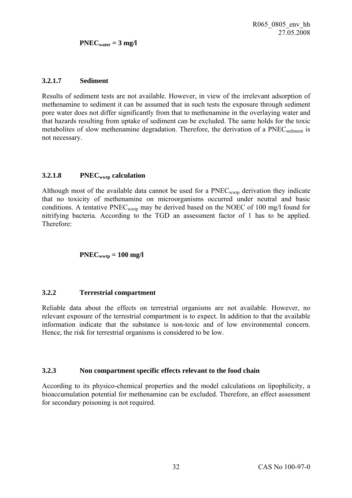**PNECwater = 3 mg/l** 

## **3.2.1.7 Sediment**

Results of sediment tests are not available. However, in view of the irrelevant adsorption of methenamine to sediment it can be assumed that in such tests the exposure through sediment pore water does not differ significantly from that to methenamine in the overlaying water and that hazards resulting from uptake of sediment can be excluded. The same holds for the toxic metabolites of slow methenamine degradation. Therefore, the derivation of a PNEC<sub>sediment</sub> is not necessary.

#### **3.2.1.8 PNECwwtp calculation**

Although most of the available data cannot be used for a  $PNEC<sub>www</sub>$  derivation they indicate that no toxicity of methenamine on microorganisms occurred under neutral and basic conditions. A tentative PNEC<sub>wwtp</sub> may be derived based on the NOEC of 100 mg/l found for nitrifying bacteria. According to the TGD an assessment factor of 1 has to be applied. Therefore:

 **PNECwwtp = 100 mg/l** 

#### <span id="page-31-0"></span>**3.2.2 Terrestrial compartment**

Reliable data about the effects on terrestrial organisms are not available. However, no relevant exposure of the terrestrial compartment is to expect. In addition to that the available information indicate that the substance is non-toxic and of low environmental concern. Hence, the risk for terrestrial organisms is considered to be low.

#### <span id="page-31-1"></span>**3.2.3 Non compartment specific effects relevant to the food chain**

According to its physico-chemical properties and the model calculations on lipophilicity, a bioaccumulation potential for methenamine can be excluded. Therefore, an effect assessment for secondary poisoning is not required.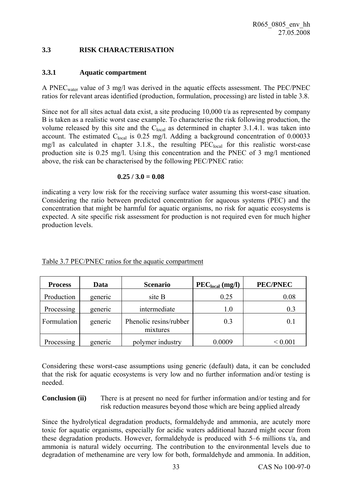## <span id="page-32-0"></span>**3.3 RISK CHARACTERISATION**

#### <span id="page-32-1"></span>**3.3.1 Aquatic compartment**

A PNECwater value of 3 mg/l was derived in the aquatic effects assessment. The PEC/PNEC ratios for relevant areas identified (production, formulation, processing) are listed in table 3.8.

Since not for all sites actual data exist, a site producing 10,000 t/a as represented by company B is taken as a realistic worst case example. To characterise the risk following production, the volume released by this site and the  $C<sub>local</sub>$  as determined in chapter 3.1.4.1. was taken into account. The estimated  $C<sub>local</sub>$  is 0.25 mg/l. Adding a background concentration of 0.00033 mg/l as calculated in chapter  $3.1.8$ ., the resulting  $PEC<sub>local</sub>$  for this realistic worst-case production site is 0.25 mg/l. Using this concentration and the PNEC of 3 mg/l mentioned above, the risk can be characterised by the following PEC/PNEC ratio:

#### $0.25 / 3.0 = 0.08$

indicating a very low risk for the receiving surface water assuming this worst-case situation. Considering the ratio between predicted concentration for aqueous systems (PEC) and the concentration that might be harmful for aquatic organisms, no risk for aquatic ecosystems is expected. A site specific risk assessment for production is not required even for much higher production levels.

| <b>Process</b> | Data    | <b>Scenario</b>                    | $\text{PEC}_{\text{local}}$ (mg/l) | <b>PEC/PNEC</b> |
|----------------|---------|------------------------------------|------------------------------------|-----------------|
| Production     | generic | site B                             | 0.25                               | 0.08            |
| Processing     | generic | intermediate                       | $1.0\,$                            | 0.3             |
| Formulation    | generic | Phenolic resins/rubber<br>mixtures | 0.3                                | 0.1             |
| Processing     | generic | polymer industry                   | 0.0009                             | 0.001           |

#### Table 3.7 PEC/PNEC ratios for the aquatic compartment

Considering these worst-case assumptions using generic (default) data, it can be concluded that the risk for aquatic ecosystems is very low and no further information and/or testing is needed.

**Conclusion (ii)** There is at present no need for further information and/or testing and for risk reduction measures beyond those which are being applied already

Since the hydrolytical degradation products, formaldehyde and ammonia, are acutely more toxic for aquatic organisms, especially for acidic waters additional hazard might occur from these degradation products. However, formaldehyde is produced with 5–6 millions t/a, and ammonia is natural widely occurring. The contribution to the environmental levels due to degradation of methenamine are very low for both, formaldehyde and ammonia. In addition,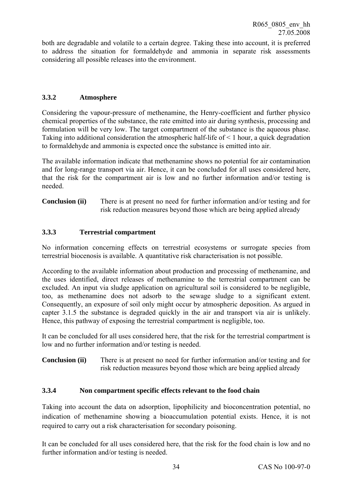both are degradable and volatile to a certain degree. Taking these into account, it is preferred to address the situation for formaldehyde and ammonia in separate risk assessments considering all possible releases into the environment.

## <span id="page-33-0"></span>**3.3.2 Atmosphere**

Considering the vapour-pressure of methenamine, the Henry-coefficient and further physico chemical properties of the substance, the rate emitted into air during synthesis, processing and formulation will be very low. The target compartment of the substance is the aqueous phase. Taking into additional consideration the atmospheric half-life of < 1 hour, a quick degradation to formaldehyde and ammonia is expected once the substance is emitted into air.

The available information indicate that methenamine shows no potential for air contamination and for long-range transport via air. Hence, it can be concluded for all uses considered here, that the risk for the compartment air is low and no further information and/or testing is needed.

**Conclusion (ii)** There is at present no need for further information and/or testing and for risk reduction measures beyond those which are being applied already

#### <span id="page-33-1"></span>**3.3.3 Terrestrial compartment**

No information concerning effects on terrestrial ecosystems or surrogate species from terrestrial biocenosis is available. A quantitative risk characterisation is not possible.

According to the available information about production and processing of methenamine, and the uses identified, direct releases of methenamine to the terrestrial compartment can be excluded. An input via sludge application on agricultural soil is considered to be negligible, too, as methenamine does not adsorb to the sewage sludge to a significant extent. Consequently, an exposure of soil only might occur by atmospheric deposition. As argued in capter 3.1.5 the substance is degraded quickly in the air and transport via air is unlikely. Hence, this pathway of exposing the terrestrial compartment is negligible, too.

It can be concluded for all uses considered here, that the risk for the terrestrial compartment is low and no further information and/or testing is needed.

**Conclusion (ii)** There is at present no need for further information and/or testing and for risk reduction measures beyond those which are being applied already

#### <span id="page-33-2"></span>**3.3.4 Non compartment specific effects relevant to the food chain**

Taking into account the data on adsorption, lipophilicity and bioconcentration potential, no indication of methenamine showing a bioaccumulation potential exists. Hence, it is not required to carry out a risk characterisation for secondary poisoning.

It can be concluded for all uses considered here, that the risk for the food chain is low and no further information and/or testing is needed.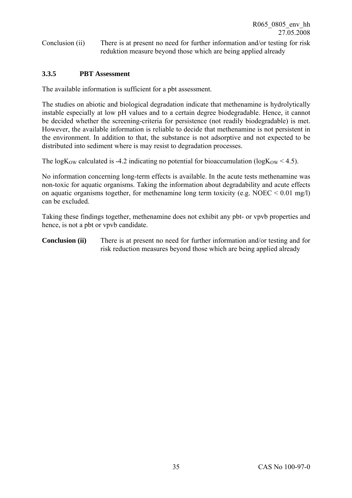Conclusion (ii) There is at present no need for further information and/or testing for risk reduktion measure beyond those which are being applied already

## <span id="page-34-0"></span>**3.3.5 PBT Assessment**

The available information is sufficient for a pbt assessment.

The studies on abiotic and biological degradation indicate that methenamine is hydrolytically instable especially at low pH values and to a certain degree biodegradable. Hence, it cannot be decided whether the screening-criteria for persistence (not readily biodegradable) is met. However, the available information is reliable to decide that methenamine is not persistent in the environment. In addition to that, the substance is not adsorptive and not expected to be distributed into sediment where is may resist to degradation processes.

The logK<sub>OW</sub> calculated is -4.2 indicating no potential for bioaccumulation (logK<sub>OW</sub> < 4.5).

No information concerning long-term effects is available. In the acute tests methenamine was non-toxic for aquatic organisms. Taking the information about degradability and acute effects on aquatic organisms together, for methenamine long term toxicity (e.g. NOEC  $\leq 0.01$  mg/l) can be excluded.

Taking these findings together, methenamine does not exhibit any pbt- or vpvb properties and hence, is not a pbt or vpvb candidate.

**Conclusion (ii)** There is at present no need for further information and/or testing and for risk reduction measures beyond those which are being applied already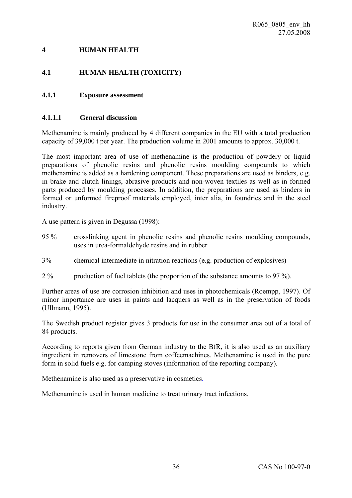## <span id="page-35-0"></span>**4 HUMAN HEALTH**

## <span id="page-35-1"></span>**4.1 HUMAN HEALTH (TOXICITY)**

#### <span id="page-35-2"></span>**4.1.1 Exposure assessment**

#### **4.1.1.1 General discussion**

Methenamine is mainly produced by 4 different companies in the EU with a total production capacity of 39,000 t per year. The production volume in 2001 amounts to approx. 30,000 t.

The most important area of use of methenamine is the production of powdery or liquid preparations of phenolic resins and phenolic resins moulding compounds to which methenamine is added as a hardening component. These preparations are used as binders, e.g. in brake and clutch linings, abrasive products and non-woven textiles as well as in formed parts produced by moulding processes. In addition, the preparations are used as binders in formed or unformed fireproof materials employed, inter alia, in foundries and in the steel industry.

A use pattern is given in Degussa (1998):

- 95 % crosslinking agent in phenolic resins and phenolic resins moulding compounds, uses in urea-formaldehyde resins and in rubber
- 3% chemical intermediate in nitration reactions (e.g. production of explosives)
- 2 % production of fuel tablets (the proportion of the substance amounts to 97 %).

Further areas of use are corrosion inhibition and uses in photochemicals (Roempp, 1997). Of minor importance are uses in paints and lacquers as well as in the preservation of foods (Ullmann, 1995).

The Swedish product register gives 3 products for use in the consumer area out of a total of 84 products.

According to reports given from German industry to the BfR, it is also used as an auxiliary ingredient in removers of limestone from coffeemachines. Methenamine is used in the pure form in solid fuels e.g. for camping stoves (information of the reporting company).

Methenamine is also used as a preservative in cosmetics.

Methenamine is used in human medicine to treat urinary tract infections.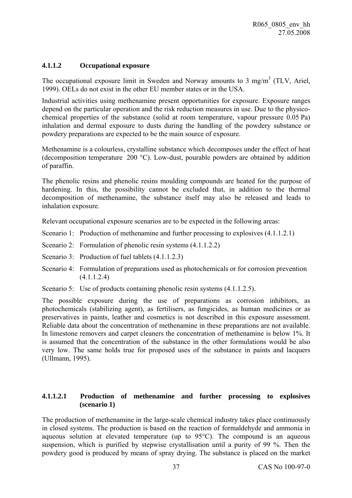## **4.1.1.2 Occupational exposure**

The occupational exposure limit in Sweden and Norway amounts to 3 mg/m<sup>3</sup> (TLV, Ariel, 1999). OELs do not exist in the other EU member states or in the USA.

Industrial activities using methenamine present opportunities for exposure. Exposure ranges depend on the particular operation and the risk reduction measures in use. Due to the physicochemical properties of the substance (solid at room temperature, vapour pressure 0.05 Pa) inhalation and dermal exposure to dusts during the handling of the powdery substance or powdery preparations are expected to be the main source of exposure.

Methenamine is a colourless, crystalline substance which decomposes under the effect of heat (decomposition temperature 200 °C). Low-dust, pourable powders are obtained by addition of paraffin.

The phenolic resins and phenolic resins moulding compounds are heated for the purpose of hardening. In this, the possibility cannot be excluded that, in addition to the thermal decomposition of methenamine, the substance itself may also be released and leads to inhalation exposure.

Relevant occupational exposure scenarios are to be expected in the following areas:

- Scenario 1: Production of methenamine and further processing to explosives  $(4.1.1.2.1)$
- Scenario 2: Formulation of phenolic resin systems  $(4.1.1.2.2)$
- Scenario 3: Production of fuel tablets  $(4.1.1.2.3)$
- Scenario 4: Formulation of preparations used as photochemicals or for corrosion prevention (4.1.1.2.4)
- Scenario 5: Use of products containing phenolic resin systems  $(4.1.1.2.5)$ .

The possible exposure during the use of preparations as corrosion inhibitors, as photochemicals (stabilizing agent), as fertilisers, as fungicides, as human medicines or as preservatives in paints, leather and cosmetics is not described in this exposure assessment. Reliable data about the concentration of methenamine in these preparations are not available. In limestone removers and carpet cleaners the concentration of methenamine is below 1%. It is assumed that the concentration of the substance in the other formulations would be also very low. The same holds true for proposed uses of the substance in paints and lacquers (Ullmann, 1995).

## **4.1.1.2.1 Production of methenamine and further processing to explosives (scenario 1)**

The production of methenamine in the large-scale chemical industry takes place continuously in closed systems. The production is based on the reaction of formaldehyde and ammonia in aqueous solution at elevated temperature (up to 95°C). The compound is an aqueous suspension, which is purified by stepwise crystallisation until a purity of 99 %. Then the powdery good is produced by means of spray drying. The substance is placed on the market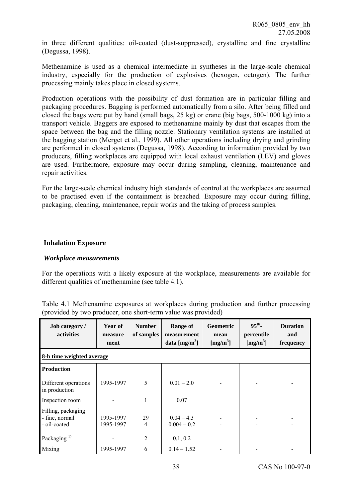in three different qualities: oil-coated (dust-suppressed), crystalline and fine crystalline (Degussa, 1998).

Methenamine is used as a chemical intermediate in syntheses in the large-scale chemical industry, especially for the production of explosives (hexogen, octogen). The further processing mainly takes place in closed systems.

Production operations with the possibility of dust formation are in particular filling and packaging procedures. Bagging is performed automatically from a silo. After being filled and closed the bags were put by hand (small bags, 25 kg) or crane (big bags, 500-1000 kg) into a transport vehicle. Baggers are exposed to methenamine mainly by dust that escapes from the space between the bag and the filling nozzle. Stationary ventilation systems are installed at the bagging station (Merget et al., 1999). All other operations including drying and grinding are performed in closed systems (Degussa, 1998). According to information provided by two producers, filling workplaces are equipped with local exhaust ventilation (LEV) and gloves are used. Furthermore, exposure may occur during sampling, cleaning, maintenance and repair activities.

For the large-scale chemical industry high standards of control at the workplaces are assumed to be practised even if the containment is breached. Exposure may occur during filling, packaging, cleaning, maintenance, repair works and the taking of process samples.

#### **Inhalation Exposure**

#### *Workplace measurements*

For the operations with a likely exposure at the workplace, measurements are available for different qualities of methenamine (see table 4.1).

| Table 4.1 Methenamine exposures at workplaces during production and further processing |  |  |  |  |
|----------------------------------------------------------------------------------------|--|--|--|--|
| (provided by two producer, one short-term value was provided)                          |  |  |  |  |

| Job category /<br><b>activities</b>                  | Year of<br>measure<br>ment | <b>Number</b><br>of samples | <b>Range of</b><br>measurement<br>data $[mg/m3]$ | Geometric<br>mean<br>[mg/m <sup>3</sup> ] | $95^{\text{th}}$ -<br>percentile<br>[mg/m <sup>3</sup> ] | <b>Duration</b><br>and<br>frequency |  |  |
|------------------------------------------------------|----------------------------|-----------------------------|--------------------------------------------------|-------------------------------------------|----------------------------------------------------------|-------------------------------------|--|--|
| 8-h time weighted average                            |                            |                             |                                                  |                                           |                                                          |                                     |  |  |
| <b>Production</b>                                    |                            |                             |                                                  |                                           |                                                          |                                     |  |  |
| Different operations<br>in production                | 1995-1997                  | 5                           | $0.01 - 2.0$                                     |                                           |                                                          |                                     |  |  |
| Inspection room                                      |                            |                             | 0.07                                             |                                           |                                                          |                                     |  |  |
| Filling, packaging<br>- fine, normal<br>- oil-coated | 1995-1997<br>1995-1997     | 29<br>4                     | $0.04 - 4.3$<br>$0.004 - 0.2$                    |                                           |                                                          |                                     |  |  |
| Packaging <sup>1)</sup>                              |                            | $\overline{2}$              | 0.1, 0.2                                         |                                           |                                                          |                                     |  |  |
| Mixing                                               | 1995-1997                  | 6                           | $0.14 - 1.52$                                    |                                           |                                                          |                                     |  |  |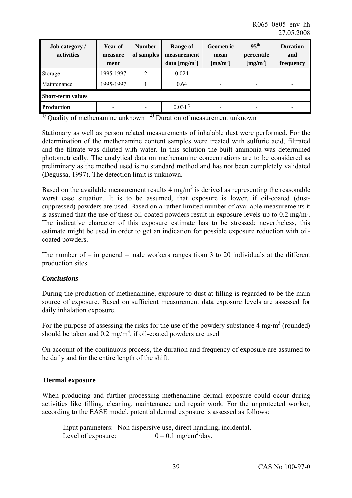| Job category /<br>activities | Year of<br>measure<br>ment | <b>Number</b><br>of samples | Range of<br>measurement<br>data $[mg/m3]$ | <b>Geometric</b><br>mean<br>[mg/m <sup>3</sup> ] | $95^{\text{th}}$ -<br>percentile<br>[mg/m <sup>3</sup> ] | <b>Duration</b><br>and<br>frequency |
|------------------------------|----------------------------|-----------------------------|-------------------------------------------|--------------------------------------------------|----------------------------------------------------------|-------------------------------------|
| Storage                      | 1995-1997                  | 2                           | 0.024                                     |                                                  |                                                          |                                     |
| Maintenance                  | 1995-1997                  |                             | 0.64                                      |                                                  | $\overline{\phantom{a}}$                                 |                                     |
| <b>Short-term values</b>     |                            |                             |                                           |                                                  |                                                          |                                     |
| <b>Production</b>            |                            |                             | $0.031^{2}$                               |                                                  |                                                          |                                     |

<sup>1)</sup> Quality of methenamine unknown  $\frac{2}{3}$  Duration of measurement unknown

Stationary as well as person related measurements of inhalable dust were performed. For the determination of the methenamine content samples were treated with sulfuric acid, filtrated and the filtrate was diluted with water. In this solution the built ammonia was determined photometrically. The analytical data on methenamine concentrations are to be considered as preliminary as the method used is no standard method and has not been completely validated (Degussa, 1997). The detection limit is unknown.

Based on the available measurement results 4 mg/m<sup>3</sup> is derived as representing the reasonable worst case situation. It is to be assumed, that exposure is lower, if oil-coated (dustsuppressed) powders are used. Based on a rather limited number of available measurements it is assumed that the use of these oil-coated powders result in exposure levels up to  $0.2 \text{ mg/m}^3$ . The indicative character of this exposure estimate has to be stressed; nevertheless, this estimate might be used in order to get an indication for possible exposure reduction with oilcoated powders.

The number of  $-$  in general  $-$  male workers ranges from 3 to 20 individuals at the different production sites.

## *Conclusions*

During the production of methenamine, exposure to dust at filling is regarded to be the main source of exposure. Based on sufficient measurement data exposure levels are assessed for daily inhalation exposure.

For the purpose of assessing the risks for the use of the powdery substance  $4 \text{ mg/m}^3$  (rounded) should be taken and  $0.2 \text{ mg/m}^3$ , if oil-coated powders are used.

On account of the continuous process, the duration and frequency of exposure are assumed to be daily and for the entire length of the shift.

## **Dermal exposure**

When producing and further processing methenamine dermal exposure could occur during activities like filling, cleaning, maintenance and repair work. For the unprotected worker, according to the EASE model, potential dermal exposure is assessed as follows:

 Input parameters: Non dispersive use, direct handling, incidental. Level of exposure:  $0 - 0.1$  mg/cm<sup>2</sup>/day.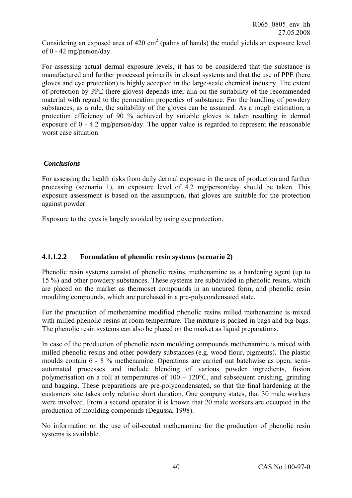Considering an exposed area of  $420 \text{ cm}^2$  (palms of hands) the model yields an exposure level of 0 - 42 mg/person/day.

For assessing actual dermal exposure levels, it has to be considered that the substance is manufactured and further processed primarily in closed systems and that the use of PPE (here gloves and eye protection) is highly accepted in the large-scale chemical industry. The extent of protection by PPE (here gloves) depends inter alia on the suitability of the recommended material with regard to the permeation properties of substance. For the handling of powdery substances, as a rule, the suitability of the gloves can be assumed. As a rough estimation, a protection efficiency of 90 % achieved by suitable gloves is taken resulting in dermal exposure of 0 - 4.2 mg/person/day. The upper value is regarded to represent the reasonable worst case situation.

#### *Conclusions*

For assessing the health risks from daily dermal exposure in the area of production and further processing (scenario 1), an exposure level of 4.2 mg/person/day should be taken. This exposure assessment is based on the assumption, that gloves are suitable for the protection against powder.

Exposure to the eyes is largely avoided by using eye protection.

## **4.1.1.2.2 Formulation of phenolic resin systems (scenario 2)**

Phenolic resin systems consist of phenolic resins, methenamine as a hardening agent (up to 15 %) and other powdery substances. These systems are subdivided in phenolic resins, which are placed on the market as thermoset compounds in an uncured form, and phenolic resin moulding compounds, which are purchased in a pre-polycondensated state.

For the production of methenamine modified phenolic resins milled methenamine is mixed with milled phenolic resins at room temperature. The mixture is packed in bags and big bags. The phenolic resin systems can also be placed on the market as liquid preparations.

In case of the production of phenolic resin moulding compounds methenamine is mixed with milled phenolic resins and other powdery substances (e.g. wood flour, pigments). The plastic moulds contain 6 - 8 % methenamine. Operations are carried out batchwise as open, semiautomated processes and include blending of various powder ingredients, fusion polymerisation on a roll at temperatures of  $100 - 120$ °C, and subsequent crushing, grinding and bagging. These preparations are pre-polycondensated, so that the final hardening at the customers site takes only relative short duration. One company states, that 30 male workers were involved. From a second operator it is known that 20 male workers are occupied in the production of moulding compounds (Degussa, 1998).

No information on the use of oil-coated methenamine for the production of phenolic resin systems is available.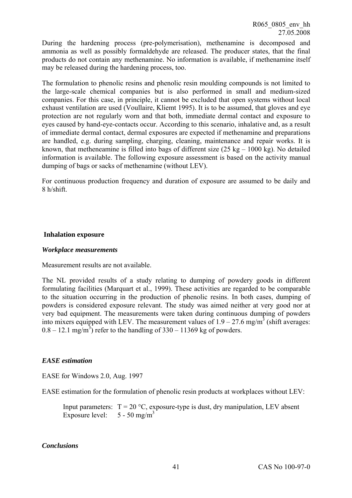During the hardening process (pre-polymerisation), methenamine is decomposed and ammonia as well as possibly formaldehyde are released. The producer states, that the final products do not contain any methenamine. No information is available, if methenamine itself may be released during the hardening process, too.

The formulation to phenolic resins and phenolic resin moulding compounds is not limited to the large-scale chemical companies but is also performed in small and medium-sized companies. For this case, in principle, it cannot be excluded that open systems without local exhaust ventilation are used (Voullaire, Kliemt 1995). It is to be assumed, that gloves and eye protection are not regularly worn and that both, immediate dermal contact and exposure to eyes caused by hand-eye-contacts occur. According to this scenario, inhalative and, as a result of immediate dermal contact, dermal exposures are expected if methenamine and preparations are handled, e.g. during sampling, charging, cleaning, maintenance and repair works. It is known, that metheneamine is filled into bags of different size (25 kg – 1000 kg). No detailed information is available. The following exposure assessment is based on the activity manual dumping of bags or sacks of methenamine (without LEV).

For continuous production frequency and duration of exposure are assumed to be daily and 8 h/shift.

#### **Inhalation exposure**

#### *Workplace measurements*

Measurement results are not available.

The NL provided results of a study relating to dumping of powdery goods in different formulating facilities (Marquart et al., 1999). These activities are regarded to be comparable to the situation occurring in the production of phenolic resins. In both cases, dumping of powders is considered exposure relevant. The study was aimed neither at very good nor at very bad equipment. The measurements were taken during continuous dumping of powders into mixers equipped with LEV. The measurement values of  $1.9 - 27.6$  mg/m<sup>3</sup> (shift averages:  $0.8 - 12.1$  mg/m<sup>3</sup>) refer to the handling of 330 – 11369 kg of powders.

#### *EASE estimation*

EASE for Windows 2.0, Aug. 1997

EASE estimation for the formulation of phenolic resin products at workplaces without LEV:

Input parameters:  $T = 20 \degree C$ , exposure-type is dust, dry manipulation, LEV absent Exposure level:  $5 - 50$  mg/m<sup>3</sup>

#### *Conclusions*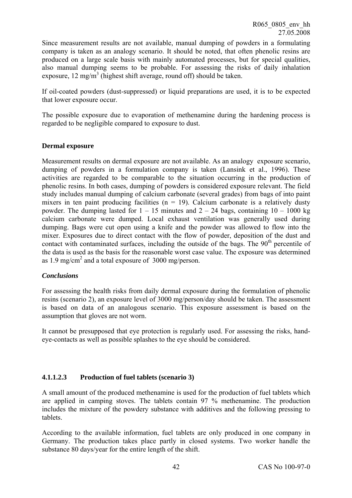Since measurement results are not available, manual dumping of powders in a formulating company is taken as an analogy scenario. It should be noted, that often phenolic resins are produced on a large scale basis with mainly automated processes, but for special qualities, also manual dumping seems to be probable. For assessing the risks of daily inhalation exposure, 12 mg/m<sup>3</sup> (highest shift average, round off) should be taken.

If oil-coated powders (dust-suppressed) or liquid preparations are used, it is to be expected that lower exposure occur.

The possible exposure due to evaporation of methenamine during the hardening process is regarded to be negligible compared to exposure to dust.

#### **Dermal exposure**

Measurement results on dermal exposure are not available. As an analogy exposure scenario, dumping of powders in a formulation company is taken (Lansink et al., 1996). These activities are regarded to be comparable to the situation occurring in the production of phenolic resins. In both cases, dumping of powders is considered exposure relevant. The field study includes manual dumping of calcium carbonate (several grades) from bags of into paint mixers in ten paint producing facilities ( $n = 19$ ). Calcium carbonate is a relatively dusty powder. The dumping lasted for  $1 - 15$  minutes and  $2 - 24$  bags, containing  $10 - 1000$  kg calcium carbonate were dumped. Local exhaust ventilation was generally used during dumping. Bags were cut open using a knife and the powder was allowed to flow into the mixer. Exposures due to direct contact with the flow of powder, deposition of the dust and contact with contaminated surfaces, including the outside of the bags. The  $90<sup>th</sup>$  percentile of the data is used as the basis for the reasonable worst case value. The exposure was determined as 1.9 mg/cm<sup>2</sup> and a total exposure of 3000 mg/person.

#### *Conclusions*

For assessing the health risks from daily dermal exposure during the formulation of phenolic resins (scenario 2), an exposure level of 3000 mg/person/day should be taken. The assessment is based on data of an analogous scenario. This exposure assessment is based on the assumption that gloves are not worn.

It cannot be presupposed that eye protection is regularly used. For assessing the risks, handeye-contacts as well as possible splashes to the eye should be considered.

## **4.1.1.2.3 Production of fuel tablets (scenario 3)**

A small amount of the produced methenamine is used for the production of fuel tablets which are applied in camping stoves. The tablets contain 97 % methenamine. The production includes the mixture of the powdery substance with additives and the following pressing to tablets.

According to the available information, fuel tablets are only produced in one company in Germany. The production takes place partly in closed systems. Two worker handle the substance 80 days/year for the entire length of the shift.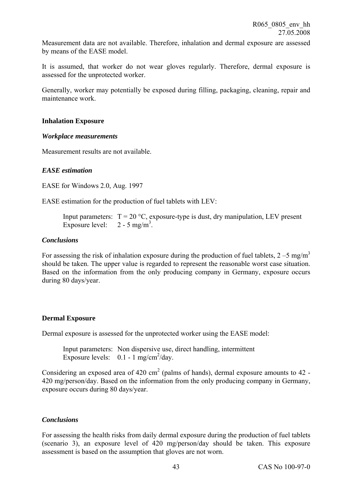Measurement data are not available. Therefore, inhalation and dermal exposure are assessed by means of the EASE model.

It is assumed, that worker do not wear gloves regularly. Therefore, dermal exposure is assessed for the unprotected worker.

Generally, worker may potentially be exposed during filling, packaging, cleaning, repair and maintenance work.

#### **Inhalation Exposure**

#### *Workplace measurements*

Measurement results are not available.

## *EASE estimation*

EASE for Windows 2.0, Aug. 1997

EASE estimation for the production of fuel tablets with LEV:

Input parameters:  $T = 20 \degree C$ , exposure-type is dust, dry manipulation, LEV present Exposure level: 2 - 5 mg/m<sup>3</sup>.

#### *Conclusions*

For assessing the risk of inhalation exposure during the production of fuel tablets,  $2-5$  mg/m<sup>3</sup> should be taken. The upper value is regarded to represent the reasonable worst case situation. Based on the information from the only producing company in Germany, exposure occurs during 80 days/year.

## **Dermal Exposure**

Dermal exposure is assessed for the unprotected worker using the EASE model:

 Input parameters: Non dispersive use, direct handling, intermittent Exposure levels:  $0.1 - 1$  mg/cm<sup>2</sup>/day.

Considering an exposed area of 420 cm<sup>2</sup> (palms of hands), dermal exposure amounts to 42 -420 mg/person/day. Based on the information from the only producing company in Germany, exposure occurs during 80 days/year.

## *Conclusions*

For assessing the health risks from daily dermal exposure during the production of fuel tablets (scenario 3), an exposure level of 420 mg/person/day should be taken. This exposure assessment is based on the assumption that gloves are not worn.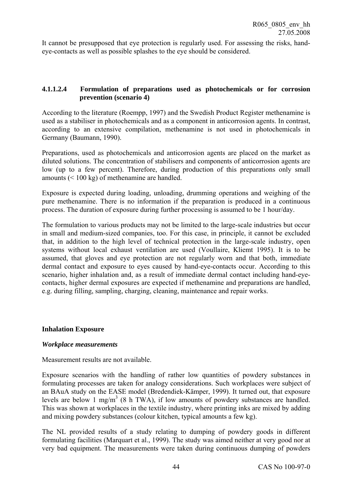It cannot be presupposed that eye protection is regularly used. For assessing the risks, handeye-contacts as well as possible splashes to the eye should be considered.

# **4.1.1.2.4 Formulation of preparations used as photochemicals or for corrosion prevention (scenario 4)**

According to the literature (Roempp, 1997) and the Swedish Product Register methenamine is used as a stabiliser in photochemicals and as a component in anticorrosion agents. In contrast, according to an extensive compilation, methenamine is not used in photochemicals in Germany (Baumann, 1990).

Preparations, used as photochemicals and anticorrosion agents are placed on the market as diluted solutions. The concentration of stabilisers and components of anticorrosion agents are low (up to a few percent). Therefore, during production of this preparations only small amounts (< 100 kg) of methenamine are handled.

Exposure is expected during loading, unloading, drumming operations and weighing of the pure methenamine. There is no information if the preparation is produced in a continuous process. The duration of exposure during further processing is assumed to be 1 hour/day.

The formulation to various products may not be limited to the large-scale industries but occur in small and medium-sized companies, too. For this case, in principle, it cannot be excluded that, in addition to the high level of technical protection in the large-scale industry, open systems without local exhaust ventilation are used (Voullaire, Kliemt 1995). It is to be assumed, that gloves and eye protection are not regularly worn and that both, immediate dermal contact and exposure to eyes caused by hand-eye-contacts occur. According to this scenario, higher inhalation and, as a result of immediate dermal contact including hand-eyecontacts, higher dermal exposures are expected if methenamine and preparations are handled, e.g. during filling, sampling, charging, cleaning, maintenance and repair works.

## **Inhalation Exposure**

## *Workplace measurements*

Measurement results are not available.

Exposure scenarios with the handling of rather low quantities of powdery substances in formulating processes are taken for analogy considerations. Such workplaces were subject of an BAuA study on the EASE model (Bredendiek-Kämper, 1999). It turned out, that exposure levels are below 1 mg/m<sup>3</sup> (8 h TWA), if low amounts of powdery substances are handled. This was shown at workplaces in the textile industry, where printing inks are mixed by adding and mixing powdery substances (colour kitchen, typical amounts a few kg).

The NL provided results of a study relating to dumping of powdery goods in different formulating facilities (Marquart et al., 1999). The study was aimed neither at very good nor at very bad equipment. The measurements were taken during continuous dumping of powders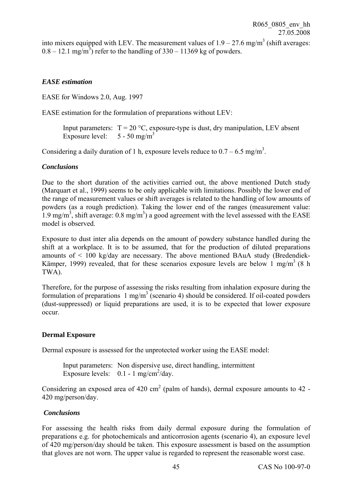into mixers equipped with LEV. The measurement values of  $1.9 - 27.6$  mg/m<sup>3</sup> (shift averages:  $0.8 - 12.1$  mg/m<sup>3</sup>) refer to the handling of 330 – 11369 kg of powders.

#### *EASE estimation*

EASE for Windows 2.0, Aug. 1997

EASE estimation for the formulation of preparations without LEV:

Input parameters:  $T = 20 \degree C$ , exposure-type is dust, dry manipulation, LEV absent Exposure level:  $5 - 50$  mg/m<sup>3</sup>

Considering a daily duration of 1 h, exposure levels reduce to  $0.7 - 6.5$  mg/m<sup>3</sup>.

#### *Conclusions*

Due to the short duration of the activities carried out, the above mentioned Dutch study (Marquart et al., 1999) seems to be only applicable with limitations. Possibly the lower end of the range of measurement values or shift averages is related to the handling of low amounts of powders (as a rough prediction). Taking the lower end of the ranges (measurement value: 1.9 mg/m<sup>3</sup>, shift average: 0.8 mg/m<sup>3</sup>) a good agreement with the level assessed with the EASE model is observed.

Exposure to dust inter alia depends on the amount of powdery substance handled during the shift at a workplace. It is to be assumed, that for the production of diluted preparations amounts of < 100 kg/day are necessary. The above mentioned BAuA study (Bredendiek-Kämper, 1999) revealed, that for these scenarios exposure levels are below 1 mg/m<sup>3</sup> (8 h TWA).

Therefore, for the purpose of assessing the risks resulting from inhalation exposure during the formulation of preparations 1 mg/m<sup>3</sup> (scenario 4) should be considered. If oil-coated powders (dust-suppressed) or liquid preparations are used, it is to be expected that lower exposure occur.

## **Dermal Exposure**

Dermal exposure is assessed for the unprotected worker using the EASE model:

 Input parameters: Non dispersive use, direct handling, intermittent Exposure levels:  $0.1 - 1$  mg/cm<sup>2</sup>/day.

Considering an exposed area of  $420 \text{ cm}^2$  (palm of hands), dermal exposure amounts to  $42$  -420 mg/person/day.

#### *Conclusions*

For assessing the health risks from daily dermal exposure during the formulation of preparations e.g. for photochemicals and anticorrosion agents (scenario 4), an exposure level of 420 mg/person/day should be taken. This exposure assessment is based on the assumption that gloves are not worn. The upper value is regarded to represent the reasonable worst case.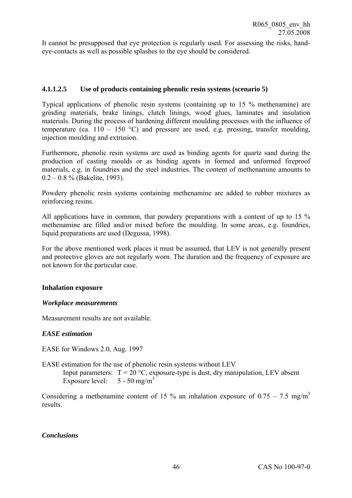It cannot be presupposed that eye protection is regularly used. For assessing the risks, handeye-contacts as well as possible splashes to the eye should be considered.

## **4.1.1.2.5 Use of products containing phenolic resin systems (scenario 5)**

Typical applications of phenolic resin systems (containing up to 15 % methenamine) are grinding materials, brake linings, clutch linings, wood glues, laminates and insulation materials. During the process of hardening different moulding processes with the influence of temperature (ca. 110 – 150 °C) and pressure are used, e.g. pressing, transfer moulding, injection moulding and extrusion.

Furthermore, phenolic resin systems are used as binding agents for quartz sand during the production of casting moulds or as binding agents in formed and unformed fireproof materials, e.g. in foundries and the steel industries. The content of methenamine amounts to 0.2 – 0.8 % (Bakelite, 1993).

Powdery phenolic resin systems containing methenamine are added to rubber mixtures as reinforcing resins.

All applications have in common, that powdery preparations with a content of up to 15 % methenamine are filled and/or mixed before the moulding. In some areas, e.g. foundries, liquid preparations are used (Degussa, 1998).

For the above mentioned work places it must be assumed, that LEV is not generally present and protective gloves are not regularly worn. The duration and the frequency of exposure are not known for the particular case.

#### **Inhalation exposure**

#### *Workplace measurements*

Measurement results are not available.

## *EASE estimation*

- EASE for Windows 2.0, Aug. 1997
- EASE estimation for the use of phenolic resin systems without LEV
	- Input parameters:  $T = 20 \degree C$ , exposure-type is dust, dry manipulation, LEV absent Exposure level: 5 - 50 mg/m<sup>3</sup>

Considering a methenamine content of 15 % an inhalation exposure of  $0.75 - 7.5$  mg/m<sup>3</sup> results.

## *Conclusions*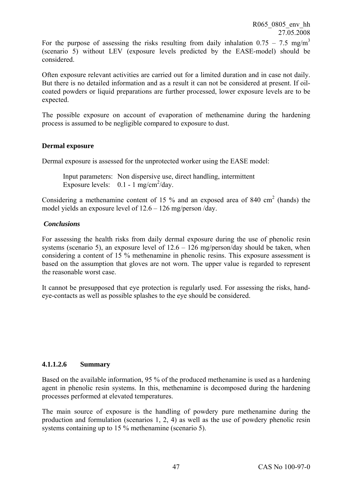For the purpose of assessing the risks resulting from daily inhalation  $0.75 - 7.5$  mg/m<sup>3</sup> (scenario 5) without LEV (exposure levels predicted by the EASE-model) should be considered.

Often exposure relevant activities are carried out for a limited duration and in case not daily. But there is no detailed information and as a result it can not be considered at present. If oilcoated powders or liquid preparations are further processed, lower exposure levels are to be expected.

The possible exposure on account of evaporation of methenamine during the hardening process is assumed to be negligible compared to exposure to dust.

## **Dermal exposure**

Dermal exposure is assessed for the unprotected worker using the EASE model:

 Input parameters: Non dispersive use, direct handling, intermittent Exposure levels:  $0.1 - 1$  mg/cm<sup>2</sup>/day.

Considering a methenamine content of 15  $\%$  and an exposed area of 840 cm<sup>2</sup> (hands) the model yields an exposure level of 12.6 – 126 mg/person /day.

#### *Conclusions*

For assessing the health risks from daily dermal exposure during the use of phenolic resin systems (scenario 5), an exposure level of  $12.6 - 126$  mg/person/day should be taken, when considering a content of 15 % methenamine in phenolic resins. This exposure assessment is based on the assumption that gloves are not worn. The upper value is regarded to represent the reasonable worst case.

It cannot be presupposed that eye protection is regularly used. For assessing the risks, handeye-contacts as well as possible splashes to the eye should be considered.

#### **4.1.1.2.6 Summary**

Based on the available information, 95 % of the produced methenamine is used as a hardening agent in phenolic resin systems. In this, methenamine is decomposed during the hardening processes performed at elevated temperatures.

The main source of exposure is the handling of powdery pure methenamine during the production and formulation (scenarios 1, 2, 4) as well as the use of powdery phenolic resin systems containing up to 15 % methenamine (scenario 5).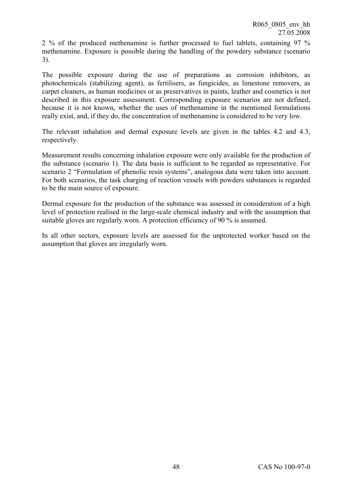2 % of the produced methenamine is further processed to fuel tablets, containing 97 % methenamine. Exposure is possible during the handling of the powdery substance (scenario 3).

The possible exposure during the use of preparations as corrosion inhibitors, as photochemicals (stabilizing agent), as fertilisers, as fungicides, as limestone removers, as carpet cleaners, as human medicines or as preservatives in paints, leather and cosmetics is not described in this exposure assessment. Corresponding exposure scenarios are not defined, because it is not known, whether the uses of methenamine in the mentioned formulations really exist, and, if they do, the concentration of methenamine is considered to be very low.

The relevant inhalation and dermal exposure levels are given in the tables 4.2 and 4.3, respectively.

Measurement results concerning inhalation exposure were only available for the production of the substance (scenario 1). The data basis is sufficient to be regarded as representative. For scenario 2 "Formulation of phenolic resin systems", analogous data were taken into account. For both scenarios, the task charging of reaction vessels with powders substances is regarded to be the main source of exposure.

Dermal exposure for the production of the substance was assessed in consideration of a high level of protection realised in the large-scale chemical industry and with the assumption that suitable gloves are regularly worn. A protection efficiency of 90 % is assumed.

In all other sectors, exposure levels are assessed for the unprotected worker based on the assumption that gloves are irregularly worn.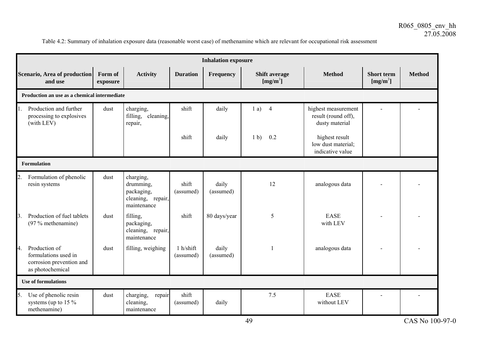Table 4.2: Summary of inhalation exposure data (reasonable worst case) of methenamine which are relevant for occupational risk assessment

|                | <b>Inhalation exposure</b>                                                            |                     |                                                                          |                           |                    |                                       |                                                              |                                   |               |
|----------------|---------------------------------------------------------------------------------------|---------------------|--------------------------------------------------------------------------|---------------------------|--------------------|---------------------------------------|--------------------------------------------------------------|-----------------------------------|---------------|
|                | Scenario, Area of production<br>and use                                               | Form of<br>exposure | <b>Activity</b>                                                          | <b>Duration</b>           | Frequency          | Shift average<br>[mg/m <sup>3</sup> ] | <b>Method</b>                                                | <b>Short term</b><br>[ $mg/m^3$ ] | <b>Method</b> |
|                | Production an use as a chemical intermediate                                          |                     |                                                                          |                           |                    |                                       |                                                              |                                   |               |
|                | Production and further<br>processing to explosives<br>(with LEV)                      | dust                | charging,<br>filling, cleaning,<br>repair,                               | shift                     | daily              | $1a$ 4                                | highest measurement<br>result (round off),<br>dusty material |                                   |               |
|                |                                                                                       |                     |                                                                          | shift                     | daily              | 0.2<br>1 <sub>b</sub>                 | highest result<br>low dust material;<br>indicative value     |                                   |               |
|                | <b>Formulation</b>                                                                    |                     |                                                                          |                           |                    |                                       |                                                              |                                   |               |
| 2.             | Formulation of phenolic<br>resin systems                                              | dust                | charging,<br>drumming,<br>packaging,<br>cleaning, repair,<br>maintenance | shift<br>(assumed)        | daily<br>(assumed) | 12                                    | analogous data                                               |                                   |               |
| $\mathbf{B}$ . | Production of fuel tablets<br>(97 % methenamine)                                      | dust                | filling,<br>packaging,<br>cleaning, repair,<br>maintenance               | shift                     | 80 days/year       | 5                                     | <b>EASE</b><br>with LEV                                      |                                   |               |
| I4.            | Production of<br>formulations used in<br>corrosion prevention and<br>as photochemical | dust                | filling, weighing                                                        | $1 h/s$ hift<br>(assumed) | daily<br>(assumed) | $\mathbf{1}$                          | analogous data                                               |                                   |               |
|                | <b>Use of formulations</b>                                                            |                     |                                                                          |                           |                    |                                       |                                                              |                                   |               |
| 5.             | Use of phenolic resin<br>systems (up to $15\%$<br>methenamine)                        | dust                | charging,<br>repair<br>cleaning,<br>maintenance                          | shift<br>(assumed)        | daily              | 7.5                                   | <b>EASE</b><br>without LEV                                   |                                   |               |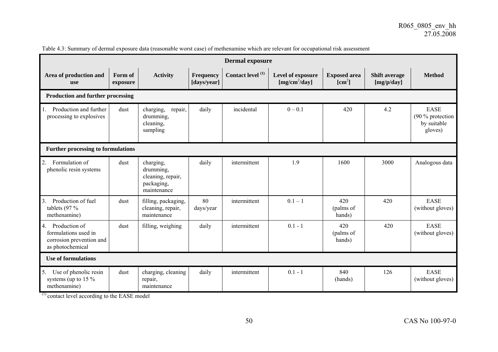| <b>Dermal</b> exposure                                                                      |                     |                                                                          |                          |                   |                                                |                                       |                                    |                                                           |
|---------------------------------------------------------------------------------------------|---------------------|--------------------------------------------------------------------------|--------------------------|-------------------|------------------------------------------------|---------------------------------------|------------------------------------|-----------------------------------------------------------|
| Area of production and<br>use                                                               | Form of<br>exposure | <b>Activity</b>                                                          | Frequency<br>[days/year] | Contact level (1) | Level of exposure<br>[mg/cm <sup>2</sup> /day] | <b>Exposed</b> area<br>$\text{[cm}^2$ | <b>Shift average</b><br>[mg/p/day] | <b>Method</b>                                             |
| <b>Production and further processing</b>                                                    |                     |                                                                          |                          |                   |                                                |                                       |                                    |                                                           |
| Production and further<br>1.<br>processing to explosives                                    | dust                | charging,<br>repair,<br>drumming,<br>cleaning,<br>sampling               | daily                    | incidental        | $0 - 0.1$                                      | 420                                   | 4.2                                | <b>EASE</b><br>(90 % protection<br>by suitable<br>gloves) |
| <b>Further processing to formulations</b>                                                   |                     |                                                                          |                          |                   |                                                |                                       |                                    |                                                           |
| Formulation of<br>2.<br>phenolic resin systems                                              | dust                | charging,<br>drumming,<br>cleaning, repair,<br>packaging,<br>maintenance | daily                    | intermittent      | 1.9                                            | 1600                                  | 3000                               | Analogous data                                            |
| Production of fuel<br>3.<br>tablets $(97\%$<br>methenamine)                                 | dust                | filling, packaging,<br>cleaning, repair,<br>maintenance                  | 80<br>days/year          | intermittent      | $0.1 - 1$                                      | 420<br>(palms of<br>hands)            | 420                                | <b>EASE</b><br>(without gloves)                           |
| Production of<br>4.<br>formulations used in<br>corrosion prevention and<br>as photochemical | dust                | filling, weighing                                                        | daily                    | intermittent      | $0.1 - 1$                                      | 420<br>(palms of<br>hands)            | 420                                | <b>EASE</b><br>(without gloves)                           |
| <b>Use of formulations</b>                                                                  |                     |                                                                          |                          |                   |                                                |                                       |                                    |                                                           |
| 5.<br>Use of phenolic resin<br>systems (up to 15 $\%$<br>methenamine)                       | dust                | charging, cleaning<br>repair,<br>maintenance                             | daily                    | intermittent      | $0.1 - 1$                                      | 840<br>(hands)                        | 126                                | <b>EASE</b><br>(without gloves)                           |

Table 4.3: Summary of dermal exposure data (reasonable worst case) of methenamine which are relevant for occupational risk assessment

(1) contact level according to the EASE model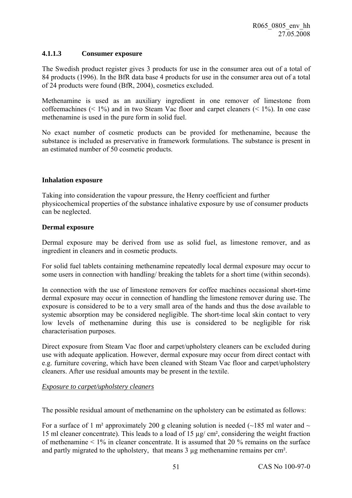## **4.1.1.3 Consumer exposure**

The Swedish product register gives 3 products for use in the consumer area out of a total of 84 products (1996). In the BfR data base 4 products for use in the consumer area out of a total of 24 products were found (BfR, 2004), cosmetics excluded.

Methenamine is used as an auxiliary ingredient in one remover of limestone from coffeemachines ( $\leq 1\%$ ) and in two Steam Vac floor and carpet cleaners ( $\leq 1\%$ ). In one case methenamine is used in the pure form in solid fuel.

No exact number of cosmetic products can be provided for methenamine, because the substance is included as preservative in framework formulations. The substance is present in an estimated number of 50 cosmetic products.

#### **Inhalation exposure**

Taking into consideration the vapour pressure, the Henry coefficient and further physicochemical properties of the substance inhalative exposure by use of consumer products can be neglected.

#### **Dermal exposure**

Dermal exposure may be derived from use as solid fuel, as limestone remover, and as ingredient in cleaners and in cosmetic products.

For solid fuel tablets containing methenamine repeatedly local dermal exposure may occur to some users in connection with handling/ breaking the tablets for a short time (within seconds).

In connection with the use of limestone removers for coffee machines occasional short-time dermal exposure may occur in connection of handling the limestone remover during use. The exposure is considered to be to a very small area of the hands and thus the dose available to systemic absorption may be considered negligible. The short-time local skin contact to very low levels of methenamine during this use is considered to be negligible for risk characterisation purposes.

Direct exposure from Steam Vac floor and carpet/upholstery cleaners can be excluded during use with adequate application. However, dermal exposure may occur from direct contact with e.g. furniture covering, which have been cleaned with Steam Vac floor and carpet/upholstery cleaners. After use residual amounts may be present in the textile.

## *Exposure to carpet/upholstery cleaners*

The possible residual amount of methenamine on the upholstery can be estimated as follows:

For a surface of 1 m<sup>2</sup> approximately 200 g cleaning solution is needed ( $\sim$ 185 ml water and  $\sim$ 15 ml cleaner concentrate). This leads to a load of 15 µg/ cm², considering the weight fraction of methenamine < 1% in cleaner concentrate. It is assumed that 20 % remains on the surface and partly migrated to the upholstery, that means 3 µg methenamine remains per cm².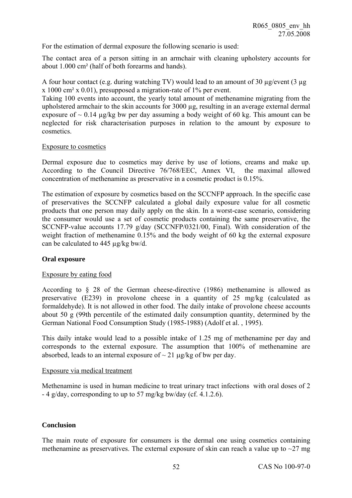For the estimation of dermal exposure the following scenario is used:

The contact area of a person sitting in an armchair with cleaning upholstery accounts for about 1.000 cm² (half of both forearms and hands).

A four hour contact (e.g. during watching TV) would lead to an amount of 30 µg/event (3 µg x 1000 cm² x 0.01), presupposed a migration-rate of 1% per event.

Taking 100 events into account, the yearly total amount of methenamine migrating from the upholstered armchair to the skin accounts for 3000 µg, resulting in an average external dermal exposure of  $\sim 0.14$  µg/kg bw per day assuming a body weight of 60 kg. This amount can be neglected for risk characterisation purposes in relation to the amount by exposure to cosmetics.

#### Exposure to cosmetics

Dermal exposure due to cosmetics may derive by use of lotions, creams and make up. According to the Council Directive 76/768/EEC, Annex VI, the maximal allowed concentration of methenamine as preservative in a cosmetic product is 0.15%.

The estimation of exposure by cosmetics based on the SCCNFP approach. In the specific case of preservatives the SCCNFP calculated a global daily exposure value for all cosmetic products that one person may daily apply on the skin. In a worst-case scenario, considering the consumer would use a set of cosmetic products containing the same preservative, the SCCNFP-value accounts 17.79 g/day (SCCNFP/0321/00, Final). With consideration of the weight fraction of methenamine 0.15% and the body weight of 60 kg the external exposure can be calculated to 445 µg/kg bw/d.

## **Oral exposure**

## Exposure by eating food

According to § 28 of the German cheese-directive (1986) methenamine is allowed as preservative (E239) in provolone cheese in a quantity of 25 mg/kg (calculated as formaldehyde). It is not allowed in other food. The daily intake of provolone cheese accounts about 50 g (99th percentile of the estimated daily consumption quantity, determined by the German National Food Consumption Study (1985-1988) (Adolf et al. , 1995).

This daily intake would lead to a possible intake of 1.25 mg of methenamine per day and corresponds to the external exposure. The assumption that 100% of methenamine are absorbed, leads to an internal exposure of  $\sim$  21  $\mu$ g/kg of bw per day.

#### Exposure via medical treatment

Methenamine is used in human medicine to treat urinary tract infections with oral doses of 2 - 4 g/day, corresponding to up to 57 mg/kg bw/day (cf. 4.1.2.6).

## **Conclusion**

The main route of exposure for consumers is the dermal one using cosmetics containing methenamine as preservatives. The external exposure of skin can reach a value up to  $\sim$ 27 mg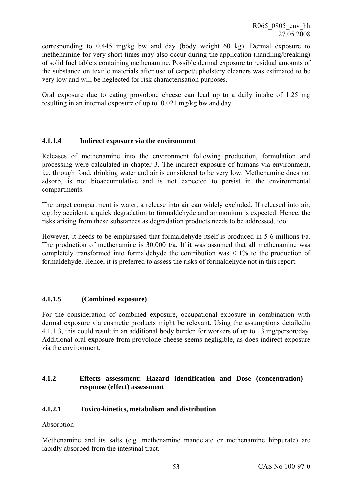corresponding to 0.445 mg/kg bw and day (body weight 60 kg). Dermal exposure to methenamine for very short times may also occur during the application (handling/breaking) of solid fuel tablets containing methenamine. Possible dermal exposure to residual amounts of the substance on textile materials after use of carpet/upholstery cleaners was estimated to be very low and will be neglected for risk characterisation purposes.

Oral exposure due to eating provolone cheese can lead up to a daily intake of 1.25 mg resulting in an internal exposure of up to 0.021 mg/kg bw and day.

#### **4.1.1.4 Indirect exposure via the environment**

Releases of methenamine into the environment following production, formulation and processing were calculated in chapter 3. The indirect exposure of humans via environment, i.e. through food, drinking water and air is considered to be very low. Methenamine does not adsorb, is not bioaccumulative and is not expected to persist in the environmental compartments.

The target compartment is water, a release into air can widely excluded. If released into air, e.g. by accident, a quick degradation to formaldehyde and ammonium is expected. Hence, the risks arising from these substances as degradation products needs to be addressed, too.

However, it needs to be emphasised that formaldehyde itself is produced in 5-6 millions t/a. The production of methenamine is 30.000 t/a. If it was assumed that all methenamine was completely transformed into formal the contribution was  $\leq 1\%$  to the production of formaldehyde. Hence, it is preferred to assess the risks of formaldehyde not in this report.

## **4.1.1.5 (Combined exposure)**

For the consideration of combined exposure, occupational exposure in combination with dermal exposure via cosmetic products might be relevant. Using the assumptions detailedin 4.1.1.3, this could result in an additional body burden for workers of up to 13 mg/person/day. Additional oral exposure from provolone cheese seems negligible, as does indirect exposure via the environment.

## **4.1.2 Effects assessment: Hazard identification and Dose (concentration) response (effect) assessment**

## **4.1.2.1 Toxico-kinetics, metabolism and distribution**

#### Absorption

Methenamine and its salts (e.g. methenamine mandelate or methenamine hippurate) are rapidly absorbed from the intestinal tract.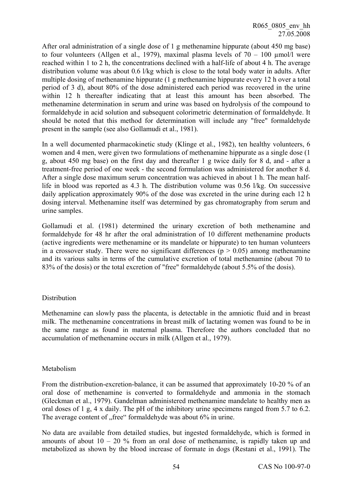After oral administration of a single dose of 1 g methenamine hippurate (about 450 mg base) to four volunteers (Allgen et al., 1979), maximal plasma levels of  $70 - 100 \mu m$ ol/l were reached within 1 to 2 h, the concentrations declined with a half-life of about 4 h. The average distribution volume was about 0.6 l/kg which is close to the total body water in adults. After multiple dosing of methenamine hippurate (1 g methenamine hippurate every 12 h over a total period of 3 d), about 80% of the dose administered each period was recovered in the urine within 12 h thereafter indicating that at least this amount has been absorbed. The methenamine determination in serum and urine was based on hydrolysis of the compound to formaldehyde in acid solution and subsequent colorimetric determination of formaldehyde. It should be noted that this method for determination will include any "free" formaldehyde present in the sample (see also Gollamudi et al., 1981).

In a well documented pharmacokinetic study (Klinge et al., 1982), ten healthy volunteers, 6 women and 4 men, were given two formulations of methenamine hippurate as a single dose (1 g, about 450 mg base) on the first day and thereafter 1 g twice daily for 8 d, and - after a treatment-free period of one week - the second formulation was administered for another 8 d. After a single dose maximum serum concentration was achieved in about 1 h. The mean halflife in blood was reported as 4.3 h. The distribution volume was 0.56 l/kg. On successive daily application approximately 90% of the dose was excreted in the urine during each 12 h dosing interval. Methenamine itself was determined by gas chromatography from serum and urine samples.

Gollamudi et al. (1981) determined the urinary excretion of both methenamine and formaldehyde for 48 hr after the oral administration of 10 different methenamine products (active ingredients were methenamine or its mandelate or hippurate) to ten human volunteers in a crossover study. There were no significant differences ( $p > 0.05$ ) among methenamine and its various salts in terms of the cumulative excretion of total methenamine (about 70 to 83% of the dosis) or the total excretion of "free" formaldehyde (about 5.5% of the dosis).

## **Distribution**

Methenamine can slowly pass the placenta, is detectable in the amniotic fluid and in breast milk. The methenamine concentrations in breast milk of lactating women was found to be in the same range as found in maternal plasma. Therefore the authors concluded that no accumulation of methenamine occurs in milk (Allgen et al., 1979).

## Metabolism

From the distribution-excretion-balance, it can be assumed that approximately 10-20 % of an oral dose of methenamine is converted to formaldehyde and ammonia in the stomach (Gleckman et al., 1979). Gandelman administered methenamine mandelate to healthy men as oral doses of 1 g, 4 x daily. The pH of the inhibitory urine specimens ranged from 5.7 to 6.2. The average content of "free" formaldehyde was about 6% in urine.

No data are available from detailed studies, but ingested formaldehyde, which is formed in amounts of about  $10 - 20$  % from an oral dose of methenamine, is rapidly taken up and metabolized as shown by the blood increase of formate in dogs (Restani et al., 1991). The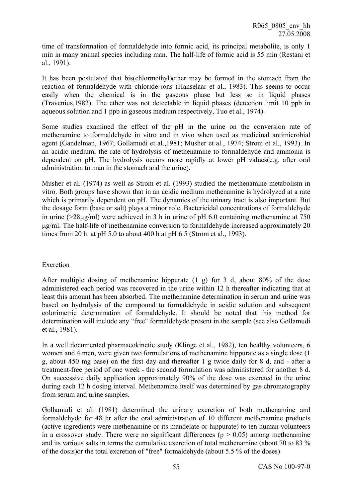time of transformation of formaldehyde into formic acid, its principal metabolite, is only 1 min in many animal species including man. The half-life of formic acid is 55 min (Restani et al., 1991).

It has been postulated that bis(chlormethyl)ether may be formed in the stomach from the reaction of formaldehyde with chloride ions (Hanselaar et al., 1983). This seems to occur easily when the chemical is in the gaseous phase but less so in liquid phases (Travenius,1982). The ether was not detectable in liquid phases (detection limit 10 ppb in aqueous solution and 1 ppb in gaseous medium respectively, Tuo et al., 1974).

Some studies examined the effect of the pH in the urine on the conversion rate of methenamine to formaldehyde in vitro and in vivo when used as medicinal antimicrobial agent (Gandelman, 1967; Gollamudi et al.,1981; Musher et al., 1974; Strom et al., 1993). In an acidic medium, the rate of hydrolysis of methenamine to formaldehyde and ammonia is dependent on pH. The hydrolysis occurs more rapidly at lower pH values(e.g. after oral administration to man in the stomach and the urine).

Musher et al. (1974) as well as Strom et al. (1993) studied the methenamine metabolism in vitro. Both groups have shown that in an acidic medium methenamine is hydrolyzed at a rate which is primarily dependent on pH. The dynamics of the urinary tract is also important. But the dosage form (base or salt) plays a minor role. Bactericidal concentrations of formaldehyde in urine ( $>28\mu\text{g/ml}$ ) were achieved in 3 h in urine of pH 6.0 containing methenamine at 750 µg/ml. The half-life of methenamine conversion to formaldehyde increased approximately 20 times from 20 h at pH 5.0 to about 400 h at pH 6.5 (Strom et al., 1993).

## Excretion

After multiple dosing of methenamine hippurate (1 g) for 3 d, about 80% of the dose administered each period was recovered in the urine within 12 h thereafter indicating that at least this amount has been absorbed. The methenamine determination in serum and urine was based on hydrolysis of the compound to formaldehyde in acidic solution and subsequent colorimetric determination of formaldehyde. It should be noted that this method for determination will include any "free" formaldehyde present in the sample (see also Gollamudi et al., 1981).

In a well documented pharmacokinetic study (Klinge et al., 1982), ten healthy volunteers, 6 women and 4 men, were given two formulations of methenamine hippurate as a single dose (1 g, about 450 mg base) on the first day and thereafter 1 g twice daily for 8 d, and - after a treatment-free period of one week - the second formulation was administered for another 8 d. On successive daily application approximately 90% of the dose was excreted in the urine during each 12 h dosing interval. Methenamine itself was determined by gas chromatography from serum and urine samples.

Gollamudi et al. (1981) determined the urinary excretion of both methenamine and formaldehyde for 48 hr after the oral administration of 10 different methenamine products (active ingredients were methenamine or its mandelate or hippurate) to ten human volunteers in a crossover study. There were no significant differences ( $p > 0.05$ ) among methenamine and its various salts in terms the cumulative excretion of total methenamine (about 70 to 83 % of the dosis)or the total excretion of "free" formaldehyde (about 5.5 % of the doses).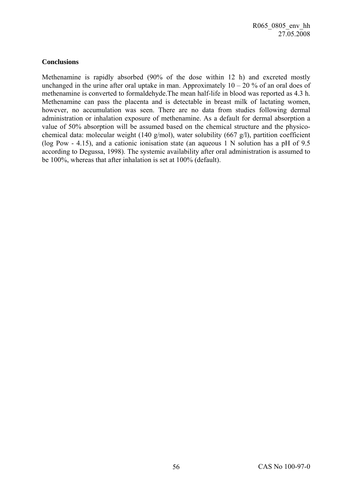#### **Conclusions**

Methenamine is rapidly absorbed (90% of the dose within 12 h) and excreted mostly unchanged in the urine after oral uptake in man. Approximately  $10 - 20$  % of an oral does of methenamine is converted to formaldehyde.The mean half-life in blood was reported as 4.3 h. Methenamine can pass the placenta and is detectable in breast milk of lactating women, however, no accumulation was seen. There are no data from studies following dermal administration or inhalation exposure of methenamine. As a default for dermal absorption a value of 50% absorption will be assumed based on the chemical structure and the physicochemical data: molecular weight (140 g/mol), water solubility (667 g/l), partition coefficient (log Pow - 4.15), and a cationic ionisation state (an aqueous 1 N solution has a pH of 9.5 according to Degussa, 1998). The systemic availability after oral administration is assumed to be 100%, whereas that after inhalation is set at 100% (default).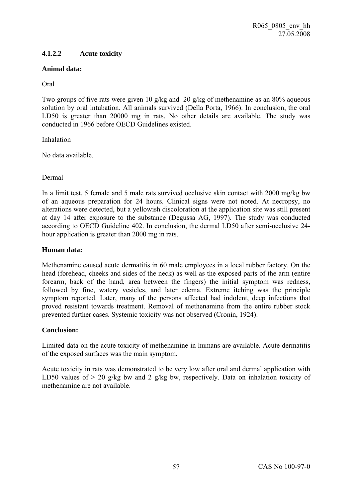## **4.1.2.2 Acute toxicity**

## **Animal data:**

Oral

Two groups of five rats were given 10 g/kg and 20 g/kg of methenamine as an 80% aqueous solution by oral intubation. All animals survived (Della Porta, 1966). In conclusion, the oral LD50 is greater than 20000 mg in rats. No other details are available. The study was conducted in 1966 before OECD Guidelines existed.

Inhalation

No data available.

# Dermal

In a limit test, 5 female and 5 male rats survived occlusive skin contact with 2000 mg/kg bw of an aqueous preparation for 24 hours. Clinical signs were not noted. At necropsy, no alterations were detected, but a yellowish discoloration at the application site was still present at day 14 after exposure to the substance (Degussa AG, 1997). The study was conducted according to OECD Guideline 402. In conclusion, the dermal LD50 after semi-occlusive 24 hour application is greater than 2000 mg in rats.

## **Human data:**

Methenamine caused acute dermatitis in 60 male employees in a local rubber factory. On the head (forehead, cheeks and sides of the neck) as well as the exposed parts of the arm (entire forearm, back of the hand, area between the fingers) the initial symptom was redness, followed by fine, watery vesicles, and later edema. Extreme itching was the principle symptom reported. Later, many of the persons affected had indolent, deep infections that proved resistant towards treatment. Removal of methenamine from the entire rubber stock prevented further cases. Systemic toxicity was not observed (Cronin, 1924).

## **Conclusion:**

Limited data on the acute toxicity of methenamine in humans are available. Acute dermatitis of the exposed surfaces was the main symptom.

Acute toxicity in rats was demonstrated to be very low after oral and dermal application with LD50 values of  $> 20$  g/kg bw and 2 g/kg bw, respectively. Data on inhalation toxicity of methenamine are not available.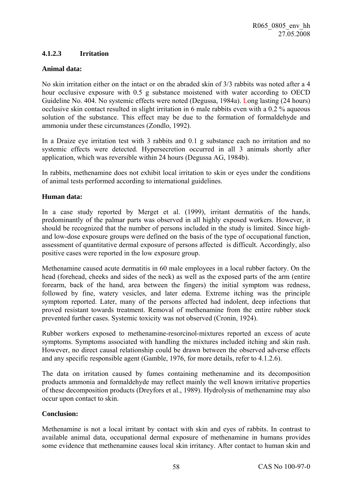## **4.1.2.3 Irritation**

## **Animal data:**

No skin irritation either on the intact or on the abraded skin of 3/3 rabbits was noted after a 4 hour occlusive exposure with 0.5 g substance moistened with water according to OECD Guideline No. 404. No systemic effects were noted (Degussa, 1984a). Long lasting (24 hours) occlusive skin contact resulted in slight irritation in 6 male rabbits even with a 0.2 % aqueous solution of the substance. This effect may be due to the formation of formaldehyde and ammonia under these circumstances (Zondlo, 1992).

In a Draize eye irritation test with 3 rabbits and 0.1 g substance each no irritation and no systemic effects were detected. Hypersecretion occurred in all 3 animals shortly after application, which was reversible within 24 hours (Degussa AG, 1984b).

In rabbits, methenamine does not exhibit local irritation to skin or eyes under the conditions of animal tests performed according to international guidelines.

## **Human data:**

In a case study reported by Merget et al. (1999), irritant dermatitis of the hands, predominantly of the palmar parts was observed in all highly exposed workers. However, it should be recognized that the number of persons included in the study is limited. Since highand low-dose exposure groups were defined on the basis of the type of occupational function, assessment of quantitative dermal exposure of persons affected is difficult. Accordingly, also positive cases were reported in the low exposure group.

Methenamine caused acute dermatitis in 60 male employees in a local rubber factory. On the head (forehead, cheeks and sides of the neck) as well as the exposed parts of the arm (entire forearm, back of the hand, area between the fingers) the initial symptom was redness, followed by fine, watery vesicles, and later edema. Extreme itching was the principle symptom reported. Later, many of the persons affected had indolent, deep infections that proved resistant towards treatment. Removal of methenamine from the entire rubber stock prevented further cases. Systemic toxicity was not observed (Cronin, 1924).

Rubber workers exposed to methenamine-resorcinol-mixtures reported an excess of acute symptoms. Symptoms associated with handling the mixtures included itching and skin rash. However, no direct causal relationship could be drawn between the observed adverse effects and any specific responsible agent (Gamble, 1976, for more details, refer to 4.1.2.6).

The data on irritation caused by fumes containing methenamine and its decomposition products ammonia and formaldehyde may reflect mainly the well known irritative properties of these decomposition products (Dreyfors et al., 1989). Hydrolysis of methenamine may also occur upon contact to skin.

#### **Conclusion:**

Methenamine is not a local irritant by contact with skin and eyes of rabbits. In contrast to available animal data, occupational dermal exposure of methenamine in humans provides some evidence that methenamine causes local skin irritancy. After contact to human skin and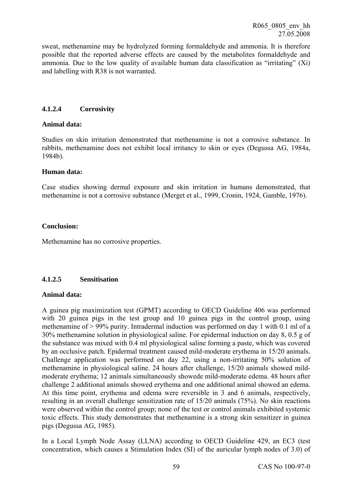sweat, methenamine may be hydrolyzed forming formaldehyde and ammonia. It is therefore possible that the reported adverse effects are caused by the metabolites formaldehyde and ammonia. Due to the low quality of available human data classification as "irritating" (Xi) and labelling with R38 is not warranted.

## **4.1.2.4 Corrosivity**

#### **Animal data:**

Studies on skin irritation demonstrated that methenamine is not a corrosive substance. In rabbits, methenamine does not exhibit local irritancy to skin or eyes (Degussa AG, 1984a, 1984b).

#### **Human data:**

Case studies showing dermal exposure and skin irritation in humans demonstrated, that methenamine is not a corrosive substance (Merget et al., 1999, Cronin, 1924, Gamble, 1976).

#### **Conclusion:**

Methenamine has no corrosive properties.

## **4.1.2.5 Sensitisation**

#### **Animal data:**

A guinea pig maximization test (GPMT) according to OECD Guideline 406 was performed with 20 guinea pigs in the test group and 10 guinea pigs in the control group, using methenamine of > 99% purity. Intradermal induction was performed on day 1 with 0.1 ml of a 30% methenamine solution in physiological saline. For epidermal induction on day 8, 0.5 g of the substance was mixed with 0.4 ml physiological saline forming a paste, which was covered by an occlusive patch. Epidermal treatment caused mild-moderate erythema in 15/20 animals. Challenge application was performed on day 22, using a non-irritating 50% solution of methenamine in physiological saline. 24 hours after challenge, 15/20 animals showed mildmoderate erythema; 12 animals simultaneously showede mild-moderate edema. 48 hours after challenge 2 additional animals showed erythema and one additional animal showed an edema. At this time point, erythema and edema were reversible in 3 and 6 animals, respectively, resulting in an overall challenge sensitization rate of 15/20 animals (75%). No skin reactions were observed within the control group; none of the test or control animals exhibited systemic toxic effects. This study demonstrates that methenamine is a strong skin sensitizer in guinea pigs (Degussa AG, 1985).

In a Local Lymph Node Assay (LLNA) according to OECD Guideline 429, an EC3 (test concentration, which causes a Stimulation Index (SI) of the auricular lymph nodes of 3.0) of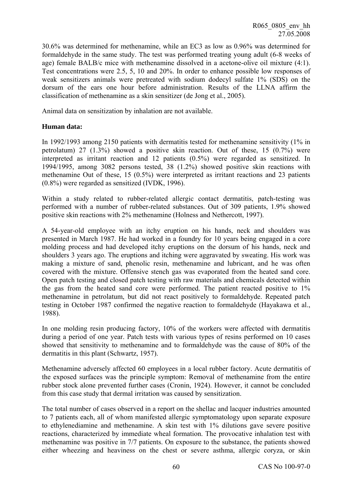30.6% was determined for methenamine, while an EC3 as low as 0.96% was determined for formaldehyde in the same study. The test was performed treating young adult (6-8 weeks of age) female BALB/c mice with methenamine dissolved in a acetone-olive oil mixture (4:1). Test concentrations were 2.5, 5, 10 and 20%. In order to enhance possible low responses of weak sensitizers animals were pretreated with sodium dodecyl sulfate 1% (SDS) on the dorsum of the ears one hour before administration. Results of the LLNA affirm the classification of methenamine as a skin sensitizer (de Jong et al., 2005).

Animal data on sensitization by inhalation are not available.

## **Human data:**

In 1992/1993 among 2150 patients with dermatitis tested for methenamine sensitivity (1% in petrolatum) 27 (1.3%) showed a positive skin reaction. Out of these, 15 (0.7%) were interpreted as irritant reaction and 12 patients (0.5%) were regarded as sensitized. In 1994/1995, among 3082 persons tested, 38 (1.2%) showed positive skin reactions with methenamine Out of these, 15 (0.5%) were interpreted as irritant reactions and 23 patients (0.8%) were regarded as sensitized (IVDK, 1996).

Within a study related to rubber-related allergic contact dermatitis, patch-testing was performed with a number of rubber-related substances. Out of 309 patients, 1.9% showed positive skin reactions with 2% methenamine (Holness and Nethercott, 1997).

A 54-year-old employee with an itchy eruption on his hands, neck and shoulders was presented in March 1987. He had worked in a foundry for 10 years being engaged in a core molding process and had developed itchy eruptions on the dorsum of his hands, neck and shoulders 3 years ago. The eruptions and itching were aggravated by sweating. His work was making a mixture of sand, phenolic resin, methenamine and lubricant, and he was often covered with the mixture. Offensive stench gas was evaporated from the heated sand core. Open patch testing and closed patch testing with raw materials and chemicals detected within the gas from the heated sand core were performed. The patient reacted positive to 1% methenamine in petrolatum, but did not react positively to formaldehyde. Repeated patch testing in October 1987 confirmed the negative reaction to formaldehyde (Hayakawa et al., 1988).

In one molding resin producing factory, 10% of the workers were affected with dermatitis during a period of one year. Patch tests with various types of resins performed on 10 cases showed that sensitivity to methenamine and to formaldehyde was the cause of 80% of the dermatitis in this plant (Schwartz, 1957).

Methenamine adversely affected 60 employees in a local rubber factory. Acute dermatitis of the exposed surfaces was the principle symptom: Removal of methenamine from the entire rubber stock alone prevented further cases (Cronin, 1924). However, it cannot be concluded from this case study that dermal irritation was caused by sensitization.

The total number of cases observed in a report on the shellac and lacquer industries amounted to 7 patients each, all of whom manifested allergic symptomatology upon separate exposure to ethylenediamine and methenamine. A skin test with 1% dilutions gave severe positive reactions, characterized by immediate wheal formation. The provocative inhalation test with methenamine was positive in 7/7 patients. On exposure to the substance, the patients showed either wheezing and heaviness on the chest or severe asthma, allergic coryza, or skin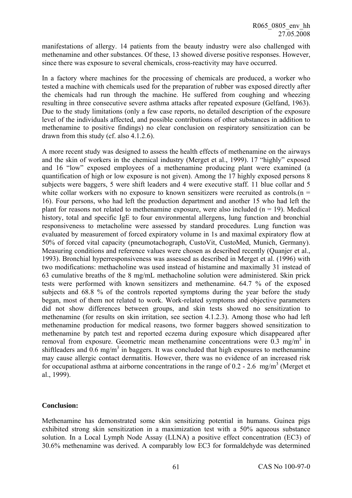manifestations of allergy. 14 patients from the beauty industry were also challenged with methenamine and other substances. Of these, 13 showed diverse positive responses. However, since there was exposure to several chemicals, cross-reactivity may have occurred.

In a factory where machines for the processing of chemicals are produced, a worker who tested a machine with chemicals used for the preparation of rubber was exposed directly after the chemicals had run through the machine. He suffered from coughing and wheezing resulting in three consecutive severe asthma attacks after repeated exposure (Gelfand, 1963). Due to the study limitations (only a few case reports, no detailed description of the exposure level of the individuals affected, and possible contributions of other substances in addition to methenamine to positive findings) no clear conclusion on respiratory sensitization can be drawn from this study (cf. also 4.1.2.6).

A more recent study was designed to assess the health effects of methenamine on the airways and the skin of workers in the chemical industry (Merget et al., 1999). 17 "highly" exposed and 16 "low" exposed employees of a methenamine producing plant were examined (a quantification of high or low exposure is not given). Among the 17 highly exposed persons 8 subjects were baggers, 5 were shift leaders and 4 were executive staff. 11 blue collar and 5 white collar workers with no exposure to known sensitizers were recruited as controls.  $(n =$ 16). Four persons, who had left the production department and another 15 who had left the plant for reasons not related to methenamine exposure, were also included ( $n = 19$ ). Medical history, total and specific IgE to four environmental allergens, lung function and bronchial responsiveness to metacholine were assessed by standard procedures. Lung function was evaluated by measurement of forced expiratory volume in 1s and maximal expiratory flow at 50% of forced vital capacity (pneumotachograph, CustoVit, CustoMed, Munich, Germany). Measuring conditions and reference values were chosen as described recently (Quanjer et al., 1993). Bronchial hyperresponsiveness was assessed as described in Merget et al. (1996) with two modifications: methacholine was used instead of histamine and maximally 31 instead of 63 cumulative breaths of the 8 mg/mL methacholine solution were administered. Skin prick tests were performed with known sensitizers and methenamine. 64.7 % of the exposed subjects and 68.8 % of the controls reported symptoms during the year before the study began, most of them not related to work. Work-related symptoms and objective parameters did not show differences between groups, and skin tests showed no sensitization to methenamine (for results on skin irritation, see section 4.1.2.3). Among those who had left methenamine production for medical reasons, two former baggers showed sensitization to methenamine by patch test and reported eczema during exposure which disappeared after removal from exposure. Geometric mean methenamine concentrations were  $0.3$  mg/m<sup>3</sup> in shiftleaders and  $0.6$  mg/m<sup>3</sup> in baggers. It was concluded that high exposures to methenamine may cause allergic contact dermatitis. However, there was no evidence of an increased risk for occupational asthma at airborne concentrations in the range of  $0.2$  - 2.6 mg/m<sup>3</sup> (Merget et al., 1999).

#### **Conclusion:**

Methenamine has demonstrated some skin sensitizing potential in humans. Guinea pigs exhibited strong skin sensitization in a maximization test with a 50% aqueous substance solution. In a Local Lymph Node Assay (LLNA) a positive effect concentration (EC3) of 30.6% methenamine was derived. A comparably low EC3 for formaldehyde was determined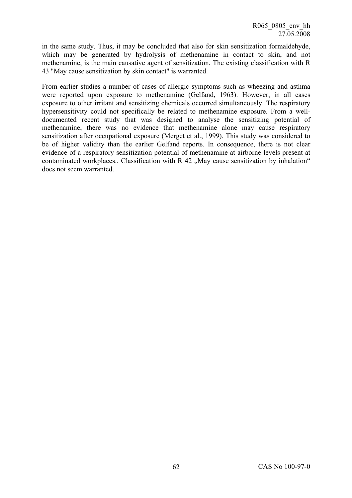in the same study. Thus, it may be concluded that also for skin sensitization formaldehyde, which may be generated by hydrolysis of methenamine in contact to skin, and not methenamine, is the main causative agent of sensitization. The existing classification with R 43 "May cause sensitization by skin contact" is warranted.

From earlier studies a number of cases of allergic symptoms such as wheezing and asthma were reported upon exposure to methenamine (Gelfand, 1963). However, in all cases exposure to other irritant and sensitizing chemicals occurred simultaneously. The respiratory hypersensitivity could not specifically be related to methenamine exposure. From a welldocumented recent study that was designed to analyse the sensitizing potential of methenamine, there was no evidence that methenamine alone may cause respiratory sensitization after occupational exposure (Merget et al., 1999). This study was considered to be of higher validity than the earlier Gelfand reports. In consequence, there is not clear evidence of a respiratory sensitization potential of methenamine at airborne levels present at contaminated workplaces.. Classification with  $R$  42  $\mathcal{M}$  May cause sensitization by inhalation" does not seem warranted.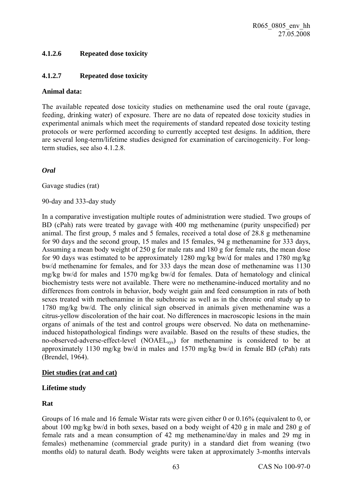#### **4.1.2.6 Repeated dose toxicity**

#### **4.1.2.7 Repeated dose toxicity**

#### **Animal data:**

The available repeated dose toxicity studies on methenamine used the oral route (gavage, feeding, drinking water) of exposure. There are no data of repeated dose toxicity studies in experimental animals which meet the requirements of standard repeated dose toxicity testing protocols or were performed according to currently accepted test designs. In addition, there are several long-term/lifetime studies designed for examination of carcinogenicity. For longterm studies, see also 4.1.2.8.

#### *Oral*

Gavage studies (rat)

90-day and 333-day study

In a comparative investigation multiple routes of administration were studied. Two groups of BD (cPah) rats were treated by gavage with 400 mg methenamine (purity unspecified) per animal. The first group, 5 males and 5 females, received a total dose of 28.8 g methenamine for 90 days and the second group, 15 males and 15 females, 94 g methenamine for 333 days, Assuming a mean body weight of 250 g for male rats and 180 g for female rats, the mean dose for 90 days was estimated to be approximately 1280 mg/kg bw/d for males and 1780 mg/kg bw/d methenamine for females, and for 333 days the mean dose of methenamine was 1130 mg/kg bw/d for males and 1570 mg/kg bw/d for females. Data of hematology and clinical biochemistry tests were not available. There were no methenamine-induced mortality and no differences from controls in behavior, body weight gain and feed consumption in rats of both sexes treated with methenamine in the subchronic as well as in the chronic oral study up to 1780 mg/kg bw/d. The only clinical sign observed in animals given methenamine was a citrus-yellow discoloration of the hair coat. No differences in macroscopic lesions in the main organs of animals of the test and control groups were observed. No data on methenamineinduced histopathological findings were available. Based on the results of these studies, the no-observed-adverse-effect-level (NOAELsys) for methenamine is considered to be at approximately 1130 mg/kg bw/d in males and 1570 mg/kg bw/d in female BD (cPah) rats (Brendel, 1964).

#### **Diet studies (rat and cat)**

#### **Lifetime study**

#### **Rat**

Groups of 16 male and 16 female Wistar rats were given either 0 or 0.16% (equivalent to 0, or about 100 mg/kg bw/d in both sexes, based on a body weight of 420 g in male and 280 g of female rats and a mean consumption of 42 mg methenamine/day in males and 29 mg in females) methenamine (commercial grade purity) in a standard diet from weaning (two months old) to natural death. Body weights were taken at approximately 3-months intervals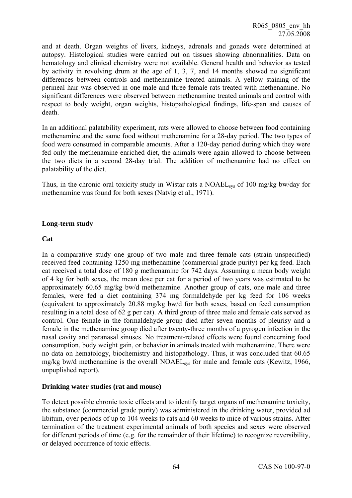and at death. Organ weights of livers, kidneys, adrenals and gonads were determined at autopsy. Histological studies were carried out on tissues showing abnormalities. Data on hematology and clinical chemistry were not available. General health and behavior as tested by activity in revolving drum at the age of 1, 3, 7, and 14 months showed no significant differences between controls and methenamine treated animals. A yellow staining of the perineal hair was observed in one male and three female rats treated with methenamine. No significant differences were observed between methenamine treated animals and control with respect to body weight, organ weights, histopathological findings, life-span and causes of death.

In an additional palatability experiment, rats were allowed to choose between food containing methenamine and the same food without methenamine for a 28-day period. The two types of food were consumed in comparable amounts. After a 120-day period during which they were fed only the methenamine enriched diet, the animals were again allowed to choose between the two diets in a second 28-day trial. The addition of methenamine had no effect on palatability of the diet.

Thus, in the chronic oral toxicity study in Wistar rats a NOAELsys of 100 mg/kg bw/day for methenamine was found for both sexes (Natvig et al., 1971).

## **Long-term study**

#### **Cat**

In a comparative study one group of two male and three female cats (strain unspecified) received feed containing 1250 mg methenamine (commercial grade purity) per kg feed. Each cat received a total dose of 180 g methenamine for 742 days. Assuming a mean body weight of 4 kg for both sexes, the mean dose per cat for a period of two years was estimated to be approximately 60.65 mg/kg bw/d methenamine. Another group of cats, one male and three females, were fed a diet containing 374 mg formaldehyde per kg feed for 106 weeks (equivalent to approximately 20.88 mg/kg bw/d for both sexes, based on feed consumption resulting in a total dose of 62 g per cat). A third group of three male and female cats served as control. One female in the formaldehyde group died after seven months of pleurisy and a female in the methenamine group died after twenty-three months of a pyrogen infection in the nasal cavity and paranasal sinuses. No treatment-related effects were found concerning food consumption, body weight gain, or behavior in animals treated with methenamine. There were no data on hematology, biochemistry and histopathology. Thus, it was concluded that 60.65 mg/kg bw/d methenamine is the overall NOAELsys for male and female cats (Kewitz, 1966, unpuplished report).

## **Drinking water studies (rat and mouse)**

To detect possible chronic toxic effects and to identify target organs of methenamine toxicity, the substance (commercial grade purity) was administered in the drinking water, provided ad libitum, over periods of up to 104 weeks to rats and 60 weeks to mice of various strains. After termination of the treatment experimental animals of both species and sexes were observed for different periods of time (e.g. for the remainder of their lifetime) to recognize reversibility, or delayed occurrence of toxic effects.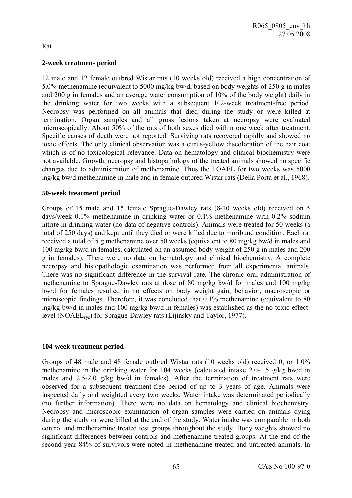#### Rat

# **2-week treatmen- period**

12 male and 12 female outbred Wistar rats (10 weeks old) received a high concentration of 5.0% methenamine (equivalent to 5000 mg/kg bw/d, based on body weights of 250 g in males and 200 g in females and an average water consumption of 10% of the body weight) daily in the drinking water for two weeks with a subsequent 102-week treatment-free period. Necropsy was performed on all animals that died during the study or were killed at termination. Organ samples and all gross lesions taken at necropsy were evaluated microscopically. About 50% of the rats of both sexes died within one week after treatment. Specific causes of death were not reported. Surviving rats recovered rapidly and showed no toxic effects. The only clinical observation was a citrus-yellow discoloration of the hair coat which is of no toxicological relevance. Data on hematology and clinical biochemistry were not available. Growth, necropsy and histopathology of the treated animals showed no specific changes due to administration of methenamine. Thus the LOAEL for two weeks was 5000 mg/kg bw/d methenamine in male and in female outbred Wistar rats (Della Porta et al., 1968).

## **50-week treatment period**

Groups of 15 male and 15 female Sprague-Dawley rats (8-10 weeks old) received on 5 days/week 0.1% methenamine in drinking water or 0.1% methenamine with 0.2% sodium nitrite in drinking water (no data of negative controls). Animals were treated for 50 weeks (a total of 250 days) and kept until they died or were killed due to moribund condition. Each rat received a total of 5 g methenamine over 50 weeks (equivalent to 80 mg/kg bw/d in males and 100 mg/kg bw/d in females, calculated on an assumed body weight of 250 g in males and 200 g in females). There were no data on hematology and clinical biochemistry. A complete necropsy and histopathologic examination was performed from all experimental animals. There was no significant difference in the survival rate. The chronic oral administration of methenamine to Sprague-Dawley rats at dose of 80 mg/kg bw/d for males and 100 mg/kg bw/d for females resulted in no effects on body weight gain, behavior, macroscopic or microscopic findings. Therefore, it was concluded that 0.1% methenamine (equivalent to 80 mg/kg bw/d in males and 100 mg/kg bw/d in females) was established as the no-toxic-effectlevel (NOAELsys) for Sprague-Dawley rats (Lijinsky and Taylor, 1977).

## **104-week treatment period**

Groups of 48 male and 48 female outbred Wistar rats (10 weeks old) received 0, or 1.0% methenamine in the drinking water for 104 weeks (calculated intake 2.0-1.5 g/kg bw/d in males and 2.5-2.0 g/kg bw/d in females). After the termination of treatment rats were observed for a subsequent treatment-free period of up to 3 years of age. Animals were inspected daily and weighted every two weeks. Water intake was determinated periodically (no further information). There were no data on hematology and clinical biochemistry. Necropsy and microscopic examination of organ samples were carried on animals dying during the study or were killed at the end of the study. Water intake was comparable in both control and methenamine treated test groups throughout the study. Body weights showed no significant differences between controls and methenamine treated groups. At the end of the second year 84% of survivors were noted in methenamine-treated and untreated animals. In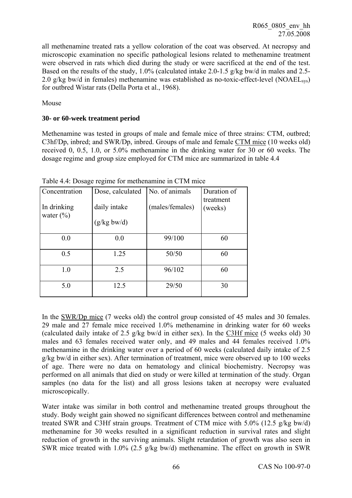R065\_0805\_env\_hh 27.05.2008

all methenamine treated rats a yellow coloration of the coat was observed. At necropsy and microscopic examination no specific pathological lesions related to methenamine treatment were observed in rats which died during the study or were sacrificed at the end of the test. Based on the results of the study, 1.0% (calculated intake 2.0-1.5 g/kg bw/d in males and 2.5- 2.0 g/kg bw/d in females) methenamine was established as no-toxic-effect-level (NOAEL<sub>sys</sub>) for outbred Wistar rats (Della Porta et al., 1968).

Mouse

#### **30- or 60-week treatment period**

Methenamine was tested in groups of male and female mice of three strains: CTM, outbred; C3hf/Dp, inbred; and SWR/Dp, inbred. Groups of male and female CTM mice (10 weeks old) received 0, 0.5, 1.0, or 5.0% methenamine in the drinking water for 30 or 60 weeks. The dosage regime and group size employed for CTM mice are summarized in table 4.4

| Concentration                | Dose, calculated | No. of animals  | Duration of          |  |
|------------------------------|------------------|-----------------|----------------------|--|
| In drinking<br>water $(\% )$ | daily intake     | (males/females) | treatment<br>(weeks) |  |
|                              | $(g/kg$ bw/d)    |                 |                      |  |
| 0.0                          | 0.0              | 99/100          | 60                   |  |
| 0.5                          | 1.25             | 50/50           | 60                   |  |
| 1.0                          | 2.5              | 96/102          | 60                   |  |
| 5.0                          | 12.5             | 29/50           | 30                   |  |

Table 4.4: Dosage regime for methenamine in CTM mice

In the SWR/Dp mice (7 weeks old) the control group consisted of 45 males and 30 females. 29 male and 27 female mice received 1.0% methenamine in drinking water for 60 weeks (calculated daily intake of 2.5 g/kg bw/d in either sex). In the C3Hf mice (5 weeks old) 30 males and 63 females received water only, and 49 males and 44 females received 1.0% methenamine in the drinking water over a period of 60 weeks (calculated daily intake of 2.5 g/kg bw/d in either sex). After termination of treatment, mice were observed up to 100 weeks of age. There were no data on hematology and clinical biochemistry. Necropsy was performed on all animals that died on study or were killed at termination of the study. Organ samples (no data for the list) and all gross lesions taken at necropsy were evaluated microscopically.

Water intake was similar in both control and methenamine treated groups throughout the study. Body weight gain showed no significant differences between control and methenamine treated SWR and C3Hf strain groups. Treatment of CTM mice with 5.0% (12.5 g/kg bw/d) methenamine for 30 weeks resulted in a significant reduction in survival rates and slight reduction of growth in the surviving animals. Slight retardation of growth was also seen in SWR mice treated with 1.0% (2.5 g/kg bw/d) methenamine. The effect on growth in SWR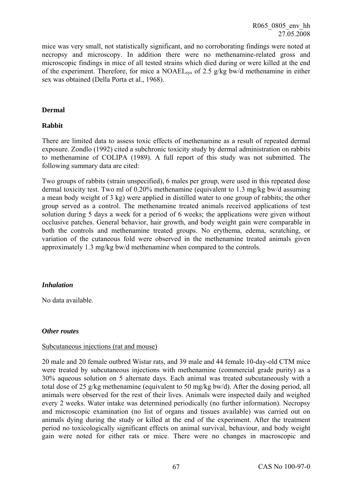mice was very small, not statistically significant, and no corroborating findings were noted at necropsy and microscopy. In addition there were no methenamine-related gross and microscopic findings in mice of all tested strains which died during or were killed at the end of the experiment. Therefore, for mice a NOAELsys of 2.5 g/kg bw/d methenamine in either sex was obtained (Della Porta et al., 1968).

## **Dermal**

## **Rabbit**

There are limited data to assess toxic effects of methenamine as a result of repeated dermal exposure. Zondlo (1992) cited a subchronic toxicity study by dermal administration on rabbits to methenamine of COLIPA (1989). A full report of this study was not submitted. The following summary data are cited:

Two groups of rabbits (strain unspecified), 6 males per group, were used in this repeated dose dermal toxicity test. Two ml of 0.20% methenamine (equivalent to 1.3 mg/kg bw/d assuming a mean body weight of 3 kg) were applied in distilled water to one group of rabbits; the other group served as a control. The methenamine treated animals received applications of test solution during 5 days a week for a period of 6 weeks; the applications were given without occlusive patches. General behavior, hair growth, and body weight gain were comparable in both the controls and methenamine treated groups. No erythema, edema, scratching, or variation of the cutaneous fold were observed in the methenamine treated animals given approximately 1.3 mg/kg bw/d methenamine when compared to the controls.

## *Inhalation*

No data available.

## *Other routes*

## Subcutaneous injections (rat and mouse)

20 male and 20 female outbred Wistar rats, and 39 male and 44 female 10-day-old CTM mice were treated by subcutaneous injections with methenamine (commercial grade purity) as a 30% aqueous solution on 5 alternate days. Each animal was treated subcutaneously with a total dose of 25 g/kg methenamine (equivalent to 50 mg/kg bw/d). After the dosing period, all animals were observed for the rest of their lives. Animals were inspected daily and weighed every 2 weeks. Water intake was determined periodically (no further information). Necropsy and microscopic examination (no list of organs and tissues available) was carried out on animals dying during the study or killed at the end of the experiment. After the treatment period no toxicologically significant effects on animal survival, behaviour, and body weight gain were noted for either rats or mice. There were no changes in macroscopic and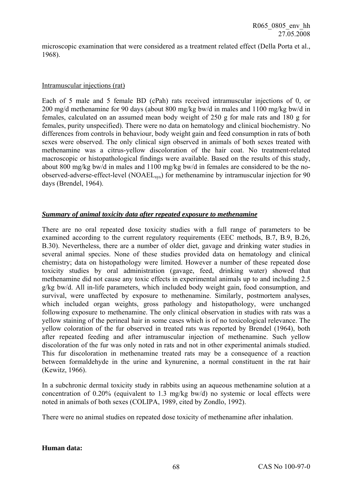microscopic examination that were considered as a treatment related effect (Della Porta et al., 1968).

#### Intramuscular injections (rat)

Each of 5 male and 5 female BD (cPah) rats received intramuscular injections of 0, or 200 mg/d methenamine for 90 days (about 800 mg/kg bw/d in males and 1100 mg/kg bw/d in females, calculated on an assumed mean body weight of 250 g for male rats and 180 g for females, purity unspecified). There were no data on hematology and clinical biochemistry. No differences from controls in behaviour, body weight gain and feed consumption in rats of both sexes were observed. The only clinical sign observed in animals of both sexes treated with methenamine was a citrus-yellow discoloration of the hair coat. No treatment-related macroscopic or histopathological findings were available. Based on the results of this study, about 800 mg/kg bw/d in males and 1100 mg/kg bw/d in females are considered to be the noobserved-adverse-effect-level (NOAELsys) for methenamine by intramuscular injection for 90 days (Brendel, 1964).

# *Summary of animal toxicity data after repeated exposure to methenamine*

There are no oral repeated dose toxicity studies with a full range of parameters to be examined according to the current regulatory requirements (EEC methods, B.7, B.9, B.26, B.30). Nevertheless, there are a number of older diet, gavage and drinking water studies in several animal species. None of these studies provided data on hematology and clinical chemistry; data on histopathology were limited. However a number of these repeated dose toxicity studies by oral administration (gavage, feed, drinking water) showed that methenamine did not cause any toxic effects in experimental animals up to and including 2.5 g/kg bw/d. All in-life parameters, which included body weight gain, food consumption, and survival, were unaffected by exposure to methenamine. Similarly, postmortem analyses, which included organ weights, gross pathology and histopathology, were unchanged following exposure to methenamine. The only clinical observation in studies with rats was a yellow staining of the perineal hair in some cases which is of no toxicological relevance. The yellow coloration of the fur observed in treated rats was reported by Brendel (1964), both after repeated feeding and after intramuscular injection of methenamine. Such yellow discoloration of the fur was only noted in rats and not in other experimental animals studied. This fur discoloration in methenamine treated rats may be a consequence of a reaction between formaldehyde in the urine and kynurenine, a normal constituent in the rat hair (Kewitz, 1966).

In a subchronic dermal toxicity study in rabbits using an aqueous methenamine solution at a concentration of 0.20% (equivalent to 1.3 mg/kg bw/d) no systemic or local effects were noted in animals of both sexes (COLIPA, 1989, cited by Zondlo, 1992).

There were no animal studies on repeated dose toxicity of methenamine after inhalation.

## **Human data:**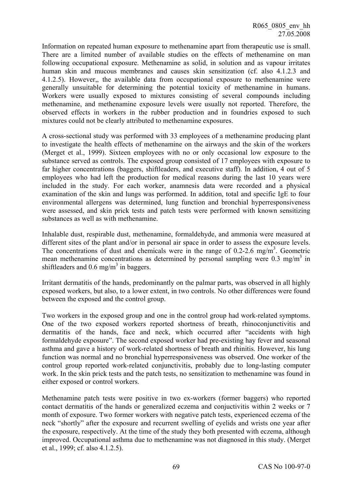Information on repeated human exposure to methenamine apart from therapeutic use is small. There are a limited number of available studies on the effects of methenamine on man following occupational exposure. Methenamine as solid, in solution and as vapour irritates human skin and mucous membranes and causes skin sensitization (cf. also 4.1.2.3 and 4.1.2.5). However,, the available data from occupational exposure to methenamine were generally unsuitable for determining the potential toxicity of methenamine in humans. Workers were usually exposed to mixtures consisting of several compounds including methenamine, and methenamine exposure levels were usually not reported. Therefore, the observed effects in workers in the rubber production and in foundries exposed to such mixtures could not be clearly attributed to methenamine exposures.

A cross-sectional study was performed with 33 employees of a methenamine producing plant to investigate the health effects of methenamine on the airways and the skin of the workers (Merget et al., 1999). Sixteen employees with no or only occasional low exposure to the substance served as controls. The exposed group consisted of 17 employees with exposure to far higher concentrations (baggers, shiftleaders, and executive staff). In addition, 4 out of 5 employees who had left the production for medical reasons during the last 10 years were included in the study. For each worker, anamnesis data were recorded and a physical examination of the skin and lungs was performed. In addition, total and specific IgE to four environmental allergens was determined, lung function and bronchial hyperresponsiveness were assessed, and skin prick tests and patch tests were performed with known sensitizing substances as well as with methenamine.

Inhalable dust, respirable dust, methenamine, formaldehyde, and ammonia were measured at different sites of the plant and/or in personal air space in order to assess the exposure levels. The concentrations of dust and chemicals were in the range of  $0.2$ -2.6 mg/m<sup>3</sup>. Geometric mean methenamine concentrations as determined by personal sampling were  $0.3 \text{ mg/m}^3$  in shiftleaders and 0.6 mg/m<sup>3</sup> in baggers.

Irritant dermatitis of the hands, predominantly on the palmar parts, was observed in all highly exposed workers, but also, to a lower extent, in two controls. No other differences were found between the exposed and the control group.

Two workers in the exposed group and one in the control group had work-related symptoms. One of the two exposed workers reported shortness of breath, rhinoconjunctivitis and dermatitis of the hands, face and neck, which occurred after "accidents with high formaldehyde exposure". The second exposed worker had pre-existing hay fever and seasonal asthma and gave a history of work-related shortness of breath and rhinitis. However, his lung function was normal and no bronchial hyperresponsiveness was observed. One worker of the control group reported work-related conjunctivitis, probably due to long-lasting computer work. In the skin prick tests and the patch tests, no sensitization to methenamine was found in either exposed or control workers.

Methenamine patch tests were positive in two ex-workers (former baggers) who reported contact dermatitis of the hands or generalized eczema and conjuctivitis within 2 weeks or 7 month of exposure. Two former workers with negative patch tests, experienced eczema of the neck "shortly" after the exposure and recurrent swelling of eyelids and wrists one year after the exposure, respectively. At the time of the study they both presented with eczema, although improved. Occupational asthma due to methenamine was not diagnosed in this study. (Merget et al., 1999; cf. also 4.1.2.5).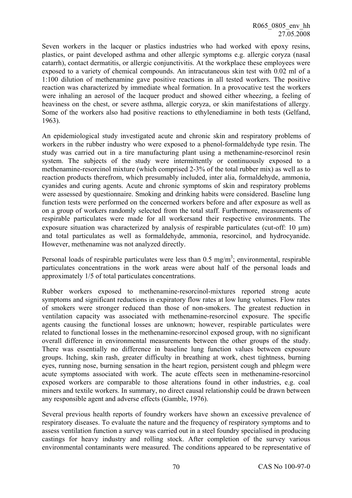R065\_0805\_env\_hh 27.05.2008

Seven workers in the lacquer or plastics industries who had worked with epoxy resins, plastics, or paint developed asthma and other allergic symptoms e.g. allergic coryza (nasal catarrh), contact dermatitis, or allergic conjunctivitis. At the workplace these employees were exposed to a variety of chemical compounds. An intracutaneous skin test with 0.02 ml of a 1:100 dilution of methenamine gave positive reactions in all tested workers. The positive reaction was characterized by immediate wheal formation. In a provocative test the workers were inhaling an aerosol of the lacquer product and showed either wheezing, a feeling of heaviness on the chest, or severe asthma, allergic coryza, or skin manifestations of allergy. Some of the workers also had positive reactions to ethylenediamine in both tests (Gelfand, 1963).

An epidemiological study investigated acute and chronic skin and respiratory problems of workers in the rubber industry who were exposed to a phenol-formaldehyde type resin. The study was carried out in a tire manufacturing plant using a methenamine-resorcinol resin system. The subjects of the study were intermittently or continuously exposed to a methenamine-resorcinol mixture (which comprised 2-3% of the total rubber mix) as well as to reaction products therefrom, which presumably included, inter alia, formaldehyde, ammonia, cyanides and curing agents. Acute and chronic symptoms of skin and respiratory problems were assessed by questionnaire. Smoking and drinking habits were considered. Baseline lung function tests were performed on the concerned workers before and after exposure as well as on a group of workers randomly selected from the total staff. Furthermore, measurements of respirable particulates were made for all workersand their respective environments. The exposure situation was characterized by analysis of respirable particulates (cut-off: 10  $\mu$ m) and total particulates as well as formaldehyde, ammonia, resorcinol, and hydrocyanide. However, methenamine was not analyzed directly.

Personal loads of respirable particulates were less than  $0.5 \text{ mg/m}^3$ ; environmental, respirable particulates concentrations in the work areas were about half of the personal loads and approximately 1/5 of total particulates concentrations.

Rubber workers exposed to methenamine-resorcinol-mixtures reported strong acute symptoms and significant reductions in expiratory flow rates at low lung volumes. Flow rates of smokers were stronger reduced than those of non-smokers. The greatest reduction in ventilation capacity was associated with methenamine-resorcinol exposure. The specific agents causing the functional losses are unknown; however, respirable particulates were related to functional losses in the methenamine-resorcinol exposed group, with no significant overall difference in environmental measurements between the other groups of the study. There was essentially no difference in baseline lung function values between exposure groups. Itching, skin rash, greater difficulty in breathing at work, chest tightness, burning eyes, running nose, burning sensation in the heart region, persistent cough and phlegm were acute symptoms associated with work. The acute effects seen in methenamine-resorcinol exposed workers are comparable to those alterations found in other industries, e.g. coal miners and textile workers. In summary, no direct causal relationship could be drawn between any responsible agent and adverse effects (Gamble, 1976).

Several previous health reports of foundry workers have shown an excessive prevalence of respiratory diseases. To evaluate the nature and the frequency of respiratory symptoms and to assess ventilation function a survey was carried out in a steel foundry specialised in producing castings for heavy industry and rolling stock. After completion of the survey various environmental contaminants were measured. The conditions appeared to be representative of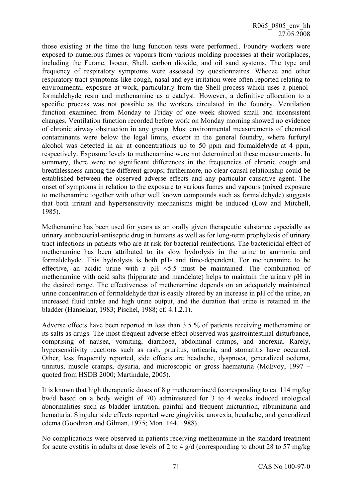those existing at the time the lung function tests were performed.. Foundry workers were exposed to numerous fumes or vapours from various molding processes at their workplaces, including the Furane, Isocur, Shell, carbon dioxide, and oil sand systems. The type and frequency of respiratory symptoms were assessed by questionnaires. Wheeze and other respiratory tract symptoms like cough, nasal and eye irritation were often reported relating to environmental exposure at work, particularly from the Shell process which uses a phenolformaldehyde resin and methenamine as a catalyst. However, a definitive allocation to a specific process was not possible as the workers circulated in the foundry. Ventilation function examined from Monday to Friday of one week showed small and inconsistent changes. Ventilation function recorded before work on Monday morning showed no evidence of chronic airway obstruction in any group. Most environmental measurements of chemical contaminants were below the legal limits, except in the general foundry, where furfuryl alcohol was detected in air at concentrations up to 50 ppm and formaldehyde at 4 ppm, respectively. Exposure levels to methenamine were not determined at these measurements. In summary, there were no significant differences in the frequencies of chronic cough and breathlessness among the different groups; furthermore, no clear causal relationship could be established between the observed adverse effects and any particular causative agent. The onset of symptoms in relation to the exposure to various fumes and vapours (mixed exposure to methenamine together with other well known compounds such as formaldehyde) suggests that both irritant and hypersensitivity mechanisms might be induced (Low and Mitchell, 1985).

Methenamine has been used for years as an orally given therapeutic substance especially as urinary antibacterial-antiseptic drug in humans as well as for long-term prophylaxis of urinary tract infections in patients who are at risk for bacterial reinfections. The bactericidal effect of methenamine has been attributed to its slow hydrolysis in the urine to ammonia and formaldehyde. This hydrolysis is both pH- and time-dependent. For methenamine to be effective, an acidic urine with a  $pH \le 5.5$  must be maintained. The combination of methenamine with acid salts (hippurate and mandelate) helps to maintain the urinary pH in the desired range. The effectiveness of methenamine depends on an adequately maintained urine concentration of formaldehyde that is easily altered by an increase in pH of the urine, an increased fluid intake and high urine output, and the duration that urine is retained in the bladder (Hanselaar, 1983; Pischel, 1988; cf. 4.1.2.1).

Adverse effects have been reported in less than 3.5 % of patients receiving methenamine or its salts as drugs. The most frequent adverse effect observed was gastrointestinal disturbance, comprising of nausea, vomiting, diarrhoea, abdominal cramps, and anorexia. Rarely, hypersensitivity reactions such as rash, pruritus, urticaria, and stomatitis have occurred. Other, less frequently reported, side effects are headache, dyspnoea, generalized oedema, tinnitus, muscle cramps, dysuria, and microscopic or gross haematuria (McEvoy, 1997 – quoted from HSDB 2000; Martindale, 2005).

It is known that high therapeutic doses of 8 g methenamine/d (corresponding to ca. 114 mg/kg bw/d based on a body weight of 70) administered for 3 to 4 weeks induced urological abnormalities such as bladder irritation, painful and frequent micturition, albuminuria and hematuria. Singular side effects reported were gingivitis, anorexia, headache, and generalized edema (Goodman and Gilman, 1975; Mon. 144, 1988).

No complications were observed in patients receiving methenamine in the standard treatment for acute cystitis in adults at dose levels of 2 to 4 g/d (corresponding to about 28 to 57 mg/kg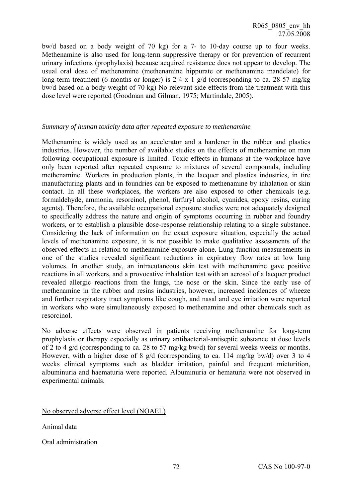bw/d based on a body weight of 70 kg) for a 7- to 10-day course up to four weeks. Methenamine is also used for long-term suppressive therapy or for prevention of recurrent urinary infections (prophylaxis) because acquired resistance does not appear to develop. The usual oral dose of methenamine (methenamine hippurate or methenamine mandelate) for long-term treatment (6 months or longer) is 2-4 x 1 g/d (corresponding to ca. 28-57 mg/kg bw/d based on a body weight of 70 kg) No relevant side effects from the treatment with this dose level were reported (Goodman and Gilman, 1975; Martindale, 2005).

#### *Summary of human toxicity data after repeated exposure to methenamine*

Methenamine is widely used as an accelerator and a hardener in the rubber and plastics industries. However, the number of available studies on the effects of methenamine on man following occupational exposure is limited. Toxic effects in humans at the workplace have only been reported after repeated exposure to mixtures of several compounds, including methenamine. Workers in production plants, in the lacquer and plastics industries, in tire manufacturing plants and in foundries can be exposed to methenamine by inhalation or skin contact. In all these workplaces, the workers are also exposed to other chemicals (e.g. formaldehyde, ammonia, resorcinol, phenol, furfuryl alcohol, cyanides, epoxy resins, curing agents). Therefore, the available occupational exposure studies were not adequately designed to specifically address the nature and origin of symptoms occurring in rubber and foundry workers, or to establish a plausible dose-response relationship relating to a single substance. Considering the lack of information on the exact exposure situation, especially the actual levels of methenamine exposure, it is not possible to make qualitative assessments of the observed effects in relation to methenamine exposure alone. Lung function measurements in one of the studies revealed significant reductions in expiratory flow rates at low lung volumes. In another study, an intracutaneous skin test with methenamine gave positive reactions in all workers, and a provocative inhalation test with an aerosol of a lacquer product revealed allergic reactions from the lungs, the nose or the skin. Since the early use of methenamine in the rubber and resins industries, however, increased incidences of wheeze and further respiratory tract symptoms like cough, and nasal and eye irritation were reported in workers who were simultaneously exposed to methenamine and other chemicals such as resorcinol.

No adverse effects were observed in patients receiving methenamine for long-term prophylaxis or therapy especially as urinary antibacterial-antiseptic substance at dose levels of 2 to 4 g/d (corresponding to ca. 28 to 57 mg/kg bw/d) for several weeks weeks or months. However, with a higher dose of 8 g/d (corresponding to ca. 114 mg/kg bw/d) over 3 to 4 weeks clinical symptoms such as bladder irritation, painful and frequent micturition, albuminuria and haematuria were reported. Albuminuria or hematuria were not observed in experimental animals.

No observed adverse effect level (NOAEL)

Animal data

Oral administration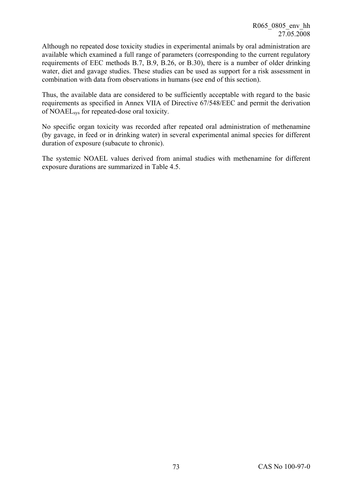Although no repeated dose toxicity studies in experimental animals by oral administration are available which examined a full range of parameters (corresponding to the current regulatory requirements of EEC methods B.7, B.9, B.26, or B.30), there is a number of older drinking water, diet and gavage studies. These studies can be used as support for a risk assessment in combination with data from observations in humans (see end of this section).

Thus, the available data are considered to be sufficiently acceptable with regard to the basic requirements as specified in Annex VIIA of Directive 67/548/EEC and permit the derivation of NOAELsys for repeated-dose oral toxicity.

No specific organ toxicity was recorded after repeated oral administration of methenamine (by gavage, in feed or in drinking water) in several experimental animal species for different duration of exposure (subacute to chronic).

The systemic NOAEL values derived from animal studies with methenamine for different exposure durations are summarized in Table 4.5.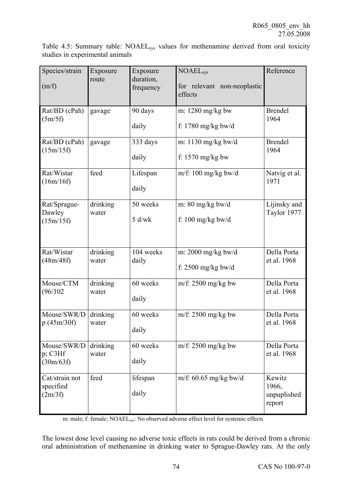Table 4.5: Summary table: NOAELsys values for methenamine derived from oral toxicity studies in experimental animals

| Species/strain                         | Exposure<br>route | Exposure<br>duration, | <b>NOAEL</b> <sub>sys</sub>                     | Reference                                |
|----------------------------------------|-------------------|-----------------------|-------------------------------------------------|------------------------------------------|
| (m/f)                                  |                   | frequency             | for relevant non-neoplastic<br>effects          |                                          |
| Rat/BD (cPah)<br>(5m/5f)               | gavage            | 90 days<br>daily      | m: $1280$ mg/kg bw<br>f: $1780$ mg/kg bw/d      | <b>Brendel</b><br>1964                   |
| Rat/BD (cPah)<br>(15m/15f)             | gavage            | 333 days<br>daily     | m: $1130$ mg/kg bw/d<br>f: 1570 mg/kg bw        | <b>Brendel</b><br>1964                   |
| Rat/Wistar<br>(16m/16f)                | feed              | Lifespan<br>daily     | m/f: 100 mg/kg bw/d                             | Natvig et al.<br>1971                    |
| Rat/Sprague-<br>Dawley<br>(15m/15f)    | drinking<br>water | 50 weeks<br>$5$ d/wk  | m: 80 mg/kg bw/d<br>f: $100 \text{ mg/kg}$ bw/d |                                          |
| Rat/Wistar<br>(48m/48f)                | drinking<br>water | 104 weeks<br>daily    | m: 2000 mg/kg bw/d<br>f: $2500$ mg/kg bw/d      | Della Porta<br>et al. 1968               |
| Mouse/CTM<br>(96/102)                  | drinking<br>water | 60 weeks<br>daily     | m/f: $2500$ mg/kg bw                            | Della Porta<br>et al. 1968               |
| Mouse/SWR/D<br>p(45m/30f)              | drinking<br>water | 60 weeks<br>daily     | m/f: $2500$ mg/kg bw                            | Della Porta<br>et al. 1968               |
| Mouse/SWR/D<br>p; C3Hf<br>(30m/63f)    | drinking<br>water | 60 weeks<br>daily     | m/f: $2500$ mg/kg bw                            | Della Porta<br>et al. 1968               |
| Cat/strain not<br>specified<br>(2m/3f) | feed              | lifespan<br>daily     | m/f: 60.65 mg/kg bw/d                           | Kewitz<br>1966,<br>unpuplished<br>report |

m: male; f: female; NOAELsys: No observed adverse effect level for systemic effects

The lowest dose level causing no adverse toxic effects in rats could be derived from a chronic oral administration of methenamine in drinking water to Sprague-Dawley rats. At the only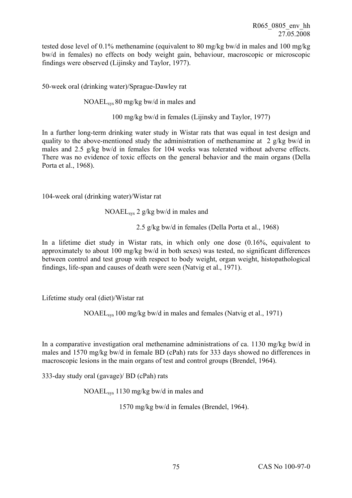tested dose level of 0.1% methenamine (equivalent to 80 mg/kg bw/d in males and 100 mg/kg bw/d in females) no effects on body weight gain, behaviour, macroscopic or microscopic findings were observed (Lijinsky and Taylor, 1977).

50-week oral (drinking water)/Sprague-Dawley rat

NOAELsys 80 mg/kg bw/d in males and

100 mg/kg bw/d in females (Lijinsky and Taylor, 1977)

In a further long-term drinking water study in Wistar rats that was equal in test design and quality to the above-mentioned study the administration of methenamine at 2 g/kg bw/d in males and 2.5 g/kg bw/d in females for 104 weeks was tolerated without adverse effects. There was no evidence of toxic effects on the general behavior and the main organs (Della Porta et al., 1968).

104-week oral (drinking water)/Wistar rat

NOAELsys 2 g/kg bw/d in males and

2.5 g/kg bw/d in females (Della Porta et al., 1968)

In a lifetime diet study in Wistar rats, in which only one dose (0.16%, equivalent to approximately to about 100 mg/kg bw/d in both sexes) was tested, no significant differences between control and test group with respect to body weight, organ weight, histopathological findings, life-span and causes of death were seen (Natvig et al., 1971).

Lifetime study oral (diet)/Wistar rat

NOAELsys 100 mg/kg bw/d in males and females (Natvig et al., 1971)

In a comparative investigation oral methenamine administrations of ca. 1130 mg/kg bw/d in males and 1570 mg/kg bw/d in female BD (cPah) rats for 333 days showed no differences in macroscopic lesions in the main organs of test and control groups (Brendel, 1964).

333-day study oral (gavage)/ BD (cPah) rats

NOAELsys 1130 mg/kg bw/d in males and

1570 mg/kg bw/d in females (Brendel, 1964).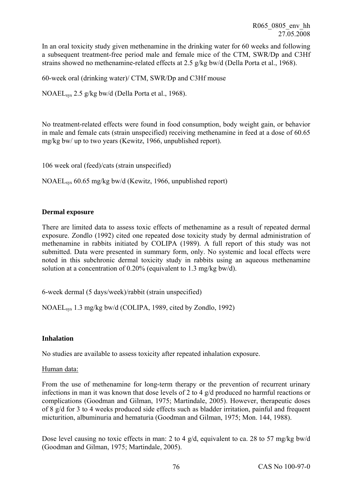In an oral toxicity study given methenamine in the drinking water for 60 weeks and following a subsequent treatment-free period male and female mice of the CTM, SWR/Dp and C3Hf strains showed no methenamine-related effects at 2.5 g/kg bw/d (Della Porta et al., 1968).

60-week oral (drinking water)/ CTM, SWR/Dp and C3Hf mouse

NOAELsys 2.5 g/kg bw/d (Della Porta et al., 1968).

No treatment-related effects were found in food consumption, body weight gain, or behavior in male and female cats (strain unspecified) receiving methenamine in feed at a dose of 60.65 mg/kg bw/ up to two years (Kewitz, 1966, unpublished report).

106 week oral (feed)/cats (strain unspecified)

NOAELsys 60.65 mg/kg bw/d (Kewitz, 1966, unpublished report)

## **Dermal exposure**

There are limited data to assess toxic effects of methenamine as a result of repeated dermal exposure. Zondlo (1992) cited one repeated dose toxicity study by dermal administration of methenamine in rabbits initiated by COLIPA (1989). A full report of this study was not submitted. Data were presented in summary form, only. No systemic and local effects were noted in this subchronic dermal toxicity study in rabbits using an aqueous methenamine solution at a concentration of 0.20% (equivalent to 1.3 mg/kg bw/d).

6-week dermal (5 days/week)/rabbit (strain unspecified)

NOAELsys 1.3 mg/kg bw/d (COLIPA, 1989, cited by Zondlo, 1992)

### **Inhalation**

No studies are available to assess toxicity after repeated inhalation exposure.

### Human data:

From the use of methenamine for long-term therapy or the prevention of recurrent urinary infections in man it was known that dose levels of 2 to 4 g/d produced no harmful reactions or complications (Goodman and Gilman, 1975; Martindale, 2005). However, therapeutic doses of 8 g/d for 3 to 4 weeks produced side effects such as bladder irritation, painful and frequent micturition, albuminuria and hematuria (Goodman and Gilman, 1975; Mon. 144, 1988).

Dose level causing no toxic effects in man: 2 to 4 g/d, equivalent to ca. 28 to 57 mg/kg bw/d (Goodman and Gilman, 1975; Martindale, 2005).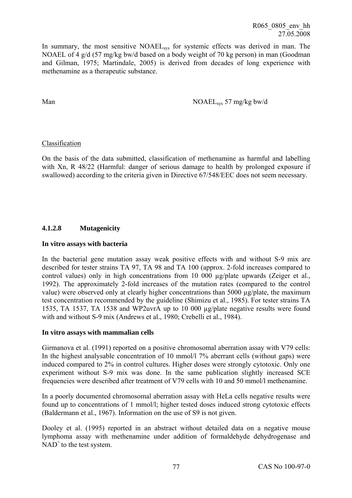In summary, the most sensitive NOAEL<sub>sys</sub> for systemic effects was derived in man. The NOAEL of 4 g/d (57 mg/kg bw/d based on a body weight of 70 kg person) in man (Goodman and Gilman, 1975; Martindale, 2005) is derived from decades of long experience with methenamine as a therapeutic substance.

Man NOAEL<sub>sys</sub> 57 mg/kg bw/d

# Classification

On the basis of the data submitted, classification of methenamine as harmful and labelling with Xn, R 48/22 (Harmful: danger of serious damage to health by prolonged exposure if swallowed) according to the criteria given in Directive 67/548/EEC does not seem necessary.

# **4.1.2.8 Mutagenicity**

# **In vitro assays with bacteria**

In the bacterial gene mutation assay weak positive effects with and without S-9 mix are described for tester strains TA 97, TA 98 and TA 100 (approx. 2-fold increases compared to control values) only in high concentrations from 10 000 µg/plate upwards (Zeiger et al., 1992). The approximately 2-fold increases of the mutation rates (compared to the control value) were observed only at clearly higher concentrations than 5000 ug/plate, the maximum test concentration recommended by the guideline (Shimizu et al., 1985). For tester strains TA 1535, TA 1537, TA 1538 and WP2uvrA up to 10 000 µg/plate negative results were found with and without S-9 mix (Andrews et al., 1980; Crebelli et al., 1984).

# **In vitro assays with mammalian cells**

Girmanova et al. (1991) reported on a positive chromosomal aberration assay with V79 cells: In the highest analysable concentration of 10 mmol/l 7% aberrant cells (without gaps) were induced compared to 2% in control cultures. Higher doses were strongly cytotoxic. Only one experiment without S-9 mix was done. In the same publication slightly increased SCE frequencies were described after treatment of V79 cells with 10 and 50 mmol/l methenamine.

In a poorly documented chromosomal aberration assay with HeLa cells negative results were found up to concentrations of 1 mmol/l; higher tested doses induced strong cytotoxic effects (Baldermann et al., 1967). Information on the use of S9 is not given.

Dooley et al. (1995) reported in an abstract without detailed data on a negative mouse lymphoma assay with methenamine under addition of formaldehyde dehydrogenase and  $NAD<sup>+</sup>$  to the test system.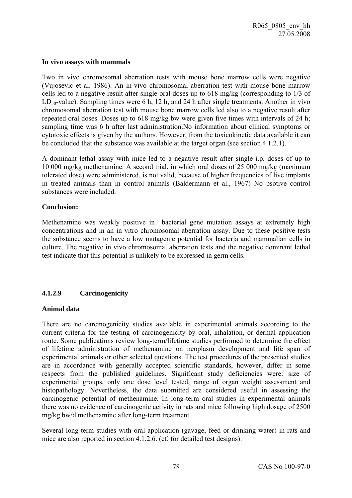#### **In vivo assays with mammals**

Two in vivo chromosomal aberration tests with mouse bone marrow cells were negative (Vujosevic et al. 1986). An in-vivo chromosomal aberration test with mouse bone marrow cells led to a negative result after single oral doses up to 618 mg/kg (corresponding to 1/3 of  $LD_{50}$ -value). Sampling times were 6 h, 12 h, and 24 h after single treatments. Another in vivo chromosomal aberration test with mouse bone marrow cells led also to a negative result after repeated oral doses. Doses up to 618 mg/kg bw were given five times with intervals of 24 h; sampling time was 6 h after last administration.No information about clinical symptoms or cytotoxic effects is given by the authors. However, from the toxicokinetic data available it can be concluded that the substance was available at the target organ (see section 4.1.2.1).

A dominant lethal assay with mice led to a negative result after single i.p. doses of up to 10 000 mg/kg methenamine. A second trial, in which oral doses of 25 000 mg/kg (maximum tolerated dose) were administered, is not valid, because of higher frequencies of live implants in treated animals than in control animals (Baldermann et al., 1967) No psotive control substances were included.

### **Conclusion:**

Methenamine was weakly positive in bacterial gene mutation assays at extremely high concentrations and in an in vitro chromosomal aberration assay. Due to these positive tests the substance seems to have a low mutagenic potential for bacteria and mammalian cells in culture. The negative in vivo chromosomal aberration tests and the negative dominant lethal test indicate that this potential is unlikely to be expressed in germ cells.

# **4.1.2.9 Carcinogenicity**

### **Animal data**

There are no carcinogenicity studies available in experimental animals according to the current criteria for the testing of carcinogenicity by oral, inhalation, or dermal application route. Some publications review long-term/lifetime studies performed to determine the effect of lifetime administration of methenamine on neoplasm development and life span of experimental animals or other selected questions. The test procedures of the presented studies are in accordance with generally accepted scientific standards, however, differ in some respects from the published guidelines. Significant study deficiencies were: size of experimental groups, only one dose level tested, range of organ weight assessment and histopathology. Nevertheless, the data submitted are considered useful in assessing the carcinogenic potential of methenamine. In long-term oral studies in experimental animals there was no evidence of carcinogenic activity in rats and mice following high dosage of 2500 mg/kg bw/d methenamine after long-term treatment.

Several long-term studies with oral application (gavage, feed or drinking water) in rats and mice are also reported in section 4.1.2.6. (cf. for detailed test designs).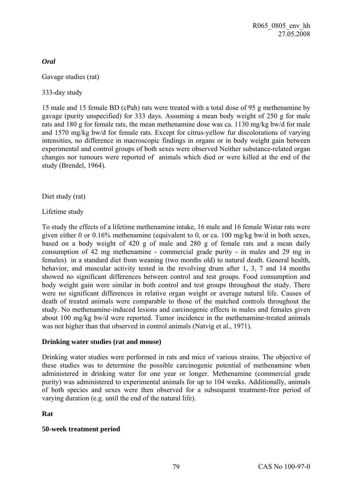# *Oral*

Gavage studies (rat)

333-day study

15 male and 15 female BD (cPah) rats were treated with a total dose of 95 g methenamine by gavage (purity unspecified) for 333 days. Assuming a mean body weight of 250 g for male rats and 180 g for female rats, the mean methenamine dose was ca. 1130 mg/kg bw/d for male and 1570 mg/kg bw/d for female rats. Except for citrus-yellow fur discolorations of varying intensities, no difference in macroscopic findings in organs or in body weight gain between experimental and control groups of both sexes were observed Neither substance-related organ changes nor tumours were reported of animals which died or were killed at the end of the study (Brendel, 1964).

Diet study (rat)

Lifetime study

To study the effects of a lifetime methenamine intake, 16 male and 16 female Wistar rats were given either 0 or 0.16% methenamine (equivalent to 0, or ca. 100 mg/kg bw/d in both sexes, based on a body weight of 420 g of male and 280 g of female rats and a mean daily consumption of 42 mg methenamine - commercial grade purity - in males and 29 mg in females) in a standard diet from weaning (two months old) to natural death. General health, behavior, and muscular activity tested in the revolving drum after 1, 3, 7 and 14 months showed no significant differences between control and test groups. Food consumption and body weight gain were similar in both control and test groups throughout the study. There were no significant differences in relative organ weight or average natural life. Causes of death of treated animals were comparable to those of the matched controls throughout the study. No methenamine-induced lesions and carcinogenic effects in males and females given about 100 mg/kg bw/d were reported. Tumor incidence in the methenamine-treated animals was not higher than that observed in control animals (Natvig et al., 1971).

# **Drinking water studies (rat and mouse)**

Drinking water studies were performed in rats and mice of various strains. The objective of these studies was to determine the possible carcinogenic potential of methenamine when administered in drinking water for one year or longer. Methenamine (commercial grade purity) was administered to experimental animals for up to 104 weeks. Additionally, animals of both species and sexes were then observed for a subsequent treatment-free period of varying duration (e.g. until the end of the natural life).

**Rat** 

# **50-week treatment period**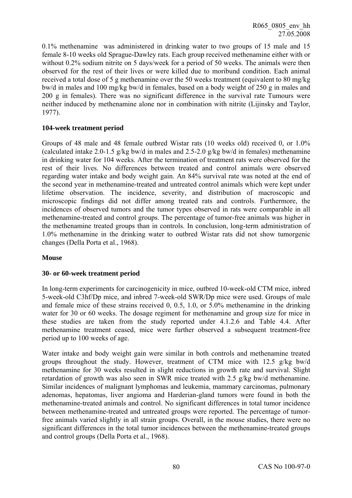0.1% methenamine was administered in drinking water to two groups of 15 male and 15 female 8-10 weeks old Sprague-Dawley rats. Each group received methenamine either with or without 0.2% sodium nitrite on 5 days/week for a period of 50 weeks. The animals were then observed for the rest of their lives or were killed due to moribund condition. Each animal received a total dose of 5 g methenamine over the 50 weeks treatment (equivalent to 80 mg/kg bw/d in males and 100 mg/kg bw/d in females, based on a body weight of 250 g in males and 200 g in females). There was no significant difference in the survival rate Tumours were neither induced by methenamine alone nor in combination with nitrite (Lijinsky and Taylor, 1977).

## **104-week treatment period**

Groups of 48 male and 48 female outbred Wistar rats (10 weeks old) received 0, or 1.0% (calculated intake 2.0-1.5 g/kg bw/d in males and 2.5-2.0 g/kg bw/d in females) methenamine in drinking water for 104 weeks. After the termination of treatment rats were observed for the rest of their lives. No differences between treated and control animals were observed regarding water intake and body weight gain. An 84% survival rate was noted at the end of the second year in methenamine-treated and untreated control animals which were kept under lifetime observation. The incidence, severity, and distribution of macroscopic and microscopic findings did not differ among treated rats and controls. Furthermore, the incidences of observed tumors and the tumor types observed in rats were comparable in all methenamine-treated and control groups. The percentage of tumor-free animals was higher in the methenamine treated groups than in controls. In conclusion, long-term administration of 1.0% methenamine in the drinking water to outbred Wistar rats did not show tumorgenic changes (Della Porta et al., 1968).

### **Mouse**

### **30- or 60-week treatment period**

In long-term experiments for carcinogenicity in mice, outbred 10-week-old CTM mice, inbred 5-week-old C3hf/Dp mice, and inbred 7-week-old SWR/Dp mice were used. Groups of male and female mice of these strains received 0, 0.5, 1.0, or 5.0% methenamine in the drinking water for 30 or 60 weeks. The dosage regiment for methenamine and group size for mice in these studies are taken from the study reported under 4.1.2.6 and Table 4.4. After methenamine treatment ceased, mice were further observed a subsequent treatment-free period up to 100 weeks of age.

Water intake and body weight gain were similar in both controls and methenamine treated groups throughout the study. However, treatment of CTM mice with 12.5 g/kg bw/d methenamine for 30 weeks resulted in slight reductions in growth rate and survival. Slight retardation of growth was also seen in SWR mice treated with 2.5 g/kg bw/d methenamine. Similar incidences of malignant lymphomas and leukemia, mammary carcinomas, pulmonary adenomas, hepatomas, liver angioma and Harderian-gland tumors were found in both the methenamine-treated animals and control. No significant differences in total tumor incidence between methenamine-treated and untreated groups were reported. The percentage of tumorfree animals varied slightly in all strain groups. Overall, in the mouse studies, there were no significant differences in the total tumor incidences between the methenamine-treated groups and control groups (Della Porta et al., 1968).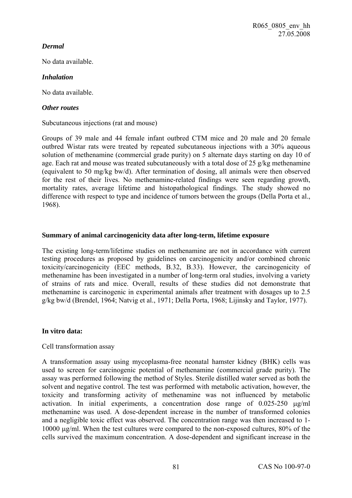# *Dermal*

No data available.

# *Inhalation*

No data available.

# *Other routes*

Subcutaneous injections (rat and mouse)

Groups of 39 male and 44 female infant outbred CTM mice and 20 male and 20 female outbred Wistar rats were treated by repeated subcutaneous injections with a 30% aqueous solution of methenamine (commercial grade purity) on 5 alternate days starting on day 10 of age. Each rat and mouse was treated subcutaneously with a total dose of 25 g/kg methenamine (equivalent to 50 mg/kg bw/d). After termination of dosing, all animals were then observed for the rest of their lives. No methenamine-related findings were seen regarding growth, mortality rates, average lifetime and histopathological findings. The study showed no difference with respect to type and incidence of tumors between the groups (Della Porta et al., 1968).

# **Summary of animal carcinogenicity data after long-term, lifetime exposure**

The existing long-term/lifetime studies on methenamine are not in accordance with current testing procedures as proposed by guidelines on carcinogenicity and/or combined chronic toxicity/carcinogenicity (EEC methods, B.32, B.33). However, the carcinogenicity of methenamine has been investigated in a number of long-term oral studies, involving a variety of strains of rats and mice. Overall, results of these studies did not demonstrate that methenamine is carcinogenic in experimental animals after treatment with dosages up to 2.5 g/kg bw/d (Brendel, 1964; Natvig et al., 1971; Della Porta, 1968; Lijinsky and Taylor, 1977).

# **In vitro data:**

Cell transformation assay

A transformation assay using mycoplasma-free neonatal hamster kidney (BHK) cells was used to screen for carcinogenic potential of methenamine (commercial grade purity). The assay was performed following the method of Styles. Sterile distilled water served as both the solvent and negative control. The test was performed with metabolic activation, however, the toxicity and transforming activity of methenamine was not influenced by metabolic activation. In initial experiments, a concentration dose range of 0.025-250 µg/ml methenamine was used. A dose-dependent increase in the number of transformed colonies and a negligible toxic effect was observed. The concentration range was then increased to 1- 10000 µg/ml. When the test cultures were compared to the non-exposed cultures, 80% of the cells survived the maximum concentration. A dose-dependent and significant increase in the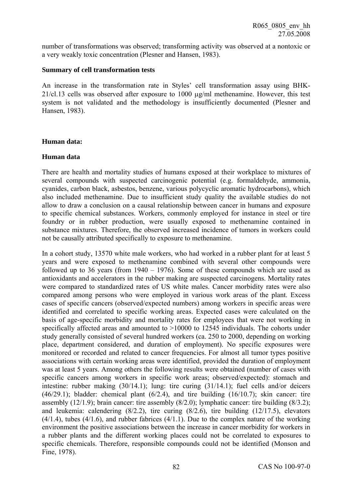number of transformations was observed; transforming activity was observed at a nontoxic or a very weakly toxic concentration (Plesner and Hansen, 1983).

### **Summary of cell transformation tests**

An increase in the transformation rate in Styles' cell transformation assay using BHK-21/cl.13 cells was observed after exposure to 1000 µg/ml methenamine. However, this test system is not validated and the methodology is insufficiently documented (Plesner and Hansen, 1983).

### **Human data:**

### **Human data**

There are health and mortality studies of humans exposed at their workplace to mixtures of several compounds with suspected carcinogenic potential (e.g. formaldehyde, ammonia, cyanides, carbon black, asbestos, benzene, various polycyclic aromatic hydrocarbons), which also included methenamine. Due to insufficient study quality the available studies do not allow to draw a conclusion on a causal relationship between cancer in humans and exposure to specific chemical substances. Workers, commonly employed for instance in steel or tire foundry or in rubber production, were usually exposed to methenamine contained in substance mixtures. Therefore, the observed increased incidence of tumors in workers could not be causally attributed specifically to exposure to methenamine.

In a cohort study, 13570 white male workers, who had worked in a rubber plant for at least 5 years and were exposed to methenamine combined with several other compounds were followed up to 36 years (from 1940 – 1976). Some of these compounds which are used as antioxidants and accelerators in the rubber making are suspected carcinogens. Mortality rates were compared to standardized rates of US white males. Cancer morbidity rates were also compared among persons who were employed in various work areas of the plant. Excess cases of specific cancers (observed/expected numbers) among workers in specific areas were identified and correlated to specific working areas. Expected cases were calculated on the basis of age-specific morbidity and mortality rates for employees that were not working in specifically affected areas and amounted to  $>10000$  to 12545 individuals. The cohorts under study generally consisted of several hundred workers (ca. 250 to 2000, depending on working place, department considered, and duration of employment). No specific exposures were monitored or recorded and related to cancer frequencies. For almost all tumor types positive associations with certain working areas were identified, provided the duration of employment was at least 5 years. Among others the following results were obtained (number of cases with specific cancers among workers in specific work areas; observed/expected): stomach and intestine: rubber making (30/14.1); lung: tire curing (31/14.1); fuel cells and/or deicers  $(46/29.1)$ ; bladder: chemical plant  $(6/2.4)$ , and tire building  $(16/10.7)$ ; skin cancer: tire assembly (12/1.9); brain cancer: tire assembly (8/2.0); lymphatic cancer: tire building (8/3.2); and leukemia: calendering (8/2.2), tire curing (8/2.6), tire building (12/17.5), elevators  $(4/1.4)$ , tubes  $(4/1.6)$ , and rubber fabrices  $(4/1.1)$ . Due to the complex nature of the working environment the positive associations between the increase in cancer morbidity for workers in a rubber plants and the different working places could not be correlated to exposures to specific chemicals. Therefore, responsible compounds could not be identified (Monson and Fine, 1978).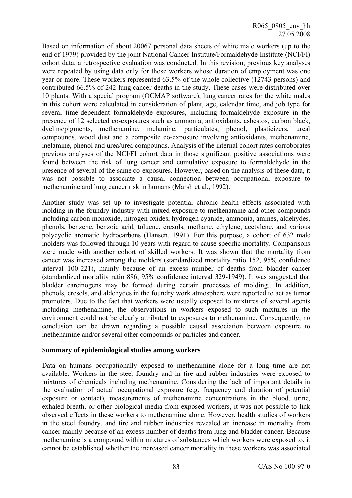Based on information of about 20067 personal data sheets of white male workers (up to the end of 1979) provided by the joint National Cancer Institute/Formaldehyde Institute (NCI/FI) cohort data, a retrospective evaluation was conducted. In this revision, previous key analyses were repeated by using data only for those workers whose duration of employment was one year or more. These workers represented 63.5% of the whole collective (12743 persons) and contributed 66.5% of 242 lung cancer deaths in the study. These cases were distributed over 10 plants. With a special program (OCMAP software), lung cancer rates for the white males in this cohort were calculated in consideration of plant, age, calendar time, and job type for several time-dependent formaldehyde exposures, including formaldehyde exposure in the presence of 12 selected co-exposures such as ammonia, antioxidants, asbestos, carbon black, dyelins/pigments, methenamine, melamine, particulates, phenol, plasticizers, ureal compounds, wood dust and a composite co-exposure involving antioxidants, methenamine, melamine, phenol and urea/urea compounds. Analysis of the internal cohort rates corroborates previous analyses of the NCI/FI cohort data in those significant positive associations were found between the risk of lung cancer and cumulative exposure to formaldehyde in the presence of several of the same co-exposures. However, based on the analysis of these data, it was not possible to associate a causal connection between occupational exposure to methenamine and lung cancer risk in humans (Marsh et al., 1992).

Another study was set up to investigate potential chronic health effects associated with molding in the foundry industry with mixed exposure to methenamine and other compounds including carbon monoxide, nitrogen oxides, hydrogen cyanide, ammonia, amines, aldehydes, phenols, benzene, benzoic acid, toluene, cresols, methane, ethylene, acetylene, and various polycyclic aromatic hydrocarbons (Hansen, 1991). For this purpose, a cohort of 632 male molders was followed through 10 years with regard to cause-specific mortality. Comparisons were made with another cohort of skilled workers. It was shown that the mortality from cancer was increased among the molders (standardized mortality ratio 152, 95% confidence interval 100-221), mainly because of an excess number of deaths from bladder cancer (standardized mortality ratio 896, 95% confidence interval 329-1949). It was suggested that bladder carcinogens may be formed during certain processes of molding.. In addition, phenols, cresols, and aldehydes in the foundry work atmosphere were reported to act as tumor promoters. Due to the fact that workers were usually exposed to mixtures of several agents including methenamine, the observations in workers exposed to such mixtures in the environment could not be clearly attributed to exposures to methenamine. Consequently, no conclusion can be drawn regarding a possible causal association between exposure to methenamine and/or several other compounds or particles and cancer.

# **Summary of epidemiological studies among workers**

Data on humans occupationally exposed to methenamine alone for a long time are not available. Workers in the steel foundry and in tire and rubber industries were exposed to mixtures of chemicals including methenamine. Considering the lack of important details in the evaluation of actual occupational exposure (e.g. frequency and duration of potential exposure or contact), measurements of methenamine concentrations in the blood, urine, exhaled breath, or other biological media from exposed workers, it was not possible to link observed effects in these workers to methenamine alone. However, health studies of workers in the steel foundry, and tire and rubber industries revealed an increase in mortality from cancer mainly because of an excess number of deaths from lung and bladder cancer. Because methenamine is a compound within mixtures of substances which workers were exposed to, it cannot be established whether the increased cancer mortality in these workers was associated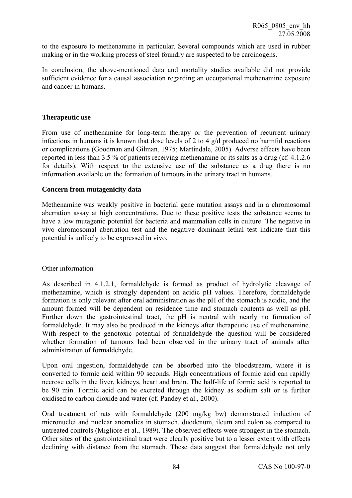to the exposure to methenamine in particular. Several compounds which are used in rubber making or in the working process of steel foundry are suspected to be carcinogens.

In conclusion, the above-mentioned data and mortality studies available did not provide sufficient evidence for a causal association regarding an occupational methenamine exposure and cancer in humans.

## **Therapeutic use**

From use of methenamine for long-term therapy or the prevention of recurrent urinary infections in humans it is known that dose levels of 2 to 4 g/d produced no harmful reactions or complications (Goodman and Gilman, 1975; Martindale, 2005). Adverse effects have been reported in less than 3.5 % of patients receiving methenamine or its salts as a drug (cf. 4.1.2.6 for details). With respect to the extensive use of the substance as a drug there is no information available on the formation of tumours in the urinary tract in humans.

### **Concern from mutagenicity data**

Methenamine was weakly positive in bacterial gene mutation assays and in a chromosomal aberration assay at high concentrations. Due to these positive tests the substance seems to have a low mutagenic potential for bacteria and mammalian cells in culture. The negative in vivo chromosomal aberration test and the negative dominant lethal test indicate that this potential is unlikely to be expressed in vivo.

### Other information

As described in 4.1.2.1, formaldehyde is formed as product of hydrolytic cleavage of methenamine, which is strongly dependent on acidic pH values. Therefore, formaldehyde formation is only relevant after oral administration as the pH of the stomach is acidic, and the amount formed will be dependent on residence time and stomach contents as well as pH. Further down the gastrointestinal tract, the pH is neutral with nearly no formation of formaldehyde. It may also be produced in the kidneys after therapeutic use of methenamine. With respect to the genotoxic potential of formaldehyde the question will be considered whether formation of tumours had been observed in the urinary tract of animals after administration of formaldehyde.

Upon oral ingestion, formaldehyde can be absorbed into the bloodstream, where it is converted to formic acid within 90 seconds. High concentrations of formic acid can rapidly necrose cells in the liver, kidneys, heart and brain. The half-life of formic acid is reported to be 90 min. Formic acid can be excreted through the kidney as sodium salt or is further oxidised to carbon dioxide and water (cf. Pandey et al., 2000).

Oral treatment of rats with formaldehyde (200 mg/kg bw) demonstrated induction of micronuclei and nuclear anomalies in stomach, duodenum, ileum and colon as compared to untreated controls (Migliore et al., 1989). The observed effects were strongest in the stomach. Other sites of the gastrointestinal tract were clearly positive but to a lesser extent with effects declining with distance from the stomach. These data suggest that formaldehyde not only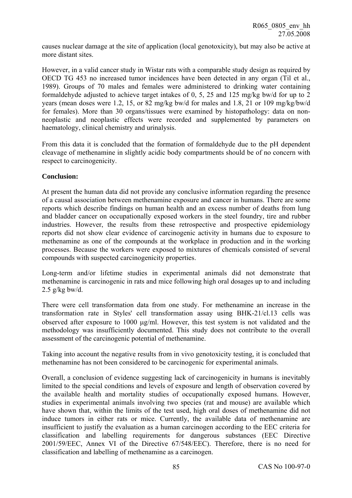causes nuclear damage at the site of application (local genotoxicity), but may also be active at more distant sites.

However, in a valid cancer study in Wistar rats with a comparable study design as required by OECD TG 453 no increased tumor incidences have been detected in any organ (Til et al., 1989). Groups of 70 males and females were administered to drinking water containing formaldehyde adjusted to achieve target intakes of 0, 5, 25 and 125 mg/kg bw/d for up to 2 years (mean doses were 1.2, 15, or 82 mg/kg bw/d for males and 1.8, 21 or 109 mg/kg/bw/d for females). More than 30 organs/tissues were examined by histopathology: data on nonneoplastic and neoplastic effects were recorded and supplemented by parameters on haematology, clinical chemistry and urinalysis.

From this data it is concluded that the formation of formaldehyde due to the pH dependent cleavage of methenamine in slightly acidic body compartments should be of no concern with respect to carcinogenicity.

## **Conclusion:**

At present the human data did not provide any conclusive information regarding the presence of a causal association between methenamine exposure and cancer in humans. There are some reports which describe findings on human health and an excess number of deaths from lung and bladder cancer on occupationally exposed workers in the steel foundry, tire and rubber industries. However, the results from these retrospective and prospective epidemiology reports did not show clear evidence of carcinogenic activity in humans due to exposure to methenamine as one of the compounds at the workplace in production and in the working processes. Because the workers were exposed to mixtures of chemicals consisted of several compounds with suspected carcinogenicity properties.

Long-term and/or lifetime studies in experimental animals did not demonstrate that methenamine is carcinogenic in rats and mice following high oral dosages up to and including  $2.5$  g/kg bw/d.

There were cell transformation data from one study. For methenamine an increase in the transformation rate in Styles' cell transformation assay using BHK-21/cl.13 cells was observed after exposure to 1000 µg/ml. However, this test system is not validated and the methodology was insufficiently documented. This study does not contribute to the overall assessment of the carcinogenic potential of methenamine.

Taking into account the negative results from in vivo genotoxicity testing, it is concluded that methenamine has not been considered to be carcinogenic for experimental animals.

Overall, a conclusion of evidence suggesting lack of carcinogenicity in humans is inevitably limited to the special conditions and levels of exposure and length of observation covered by the available health and mortality studies of occupationally exposed humans. However, studies in experimental animals involving two species (rat and mouse) are available which have shown that, within the limits of the test used, high oral doses of methenamine did not induce tumors in either rats or mice. Currently, the available data of methenamine are insufficient to justify the evaluation as a human carcinogen according to the EEC criteria for classification and labelling requirements for dangerous substances (EEC Directive 2001/59/EEC, Annex VI of the Directive 67/548/EEC). Therefore, there is no need for classification and labelling of methenamine as a carcinogen.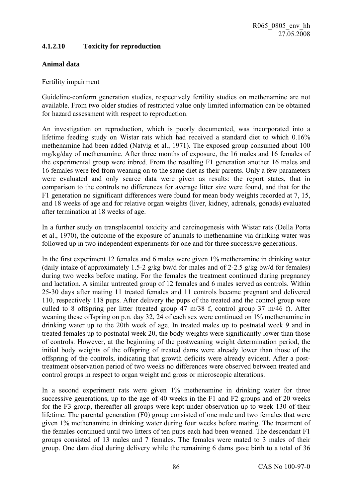# **4.1.2.10 Toxicity for reproduction**

# **Animal data**

## Fertility impairment

Guideline-conform generation studies, respectively fertility studies on methenamine are not available. From two older studies of restricted value only limited information can be obtained for hazard assessment with respect to reproduction.

An investigation on reproduction, which is poorly documented, was incorporated into a lifetime feeding study on Wistar rats which had received a standard diet to which 0.16% methenamine had been added (Natvig et al., 1971). The exposed group consumed about 100 mg/kg/day of methenamine. After three months of exposure, the 16 males and 16 females of the experimental group were inbred. From the resulting F1 generation another 16 males and 16 females were fed from weaning on to the same diet as their parents. Only a few parameters were evaluated and only scarce data were given as results: the report states, that in comparison to the controls no differences for average litter size were found, and that for the F1 generation no significant differences were found for mean body weights recorded at 7, 15, and 18 weeks of age and for relative organ weights (liver, kidney, adrenals, gonads) evaluated after termination at 18 weeks of age.

In a further study on transplacental toxicity and carcinogenesis with Wistar rats (Della Porta et al., 1970), the outcome of the exposure of animals to methenamine via drinking water was followed up in two independent experiments for one and for three successive generations.

In the first experiment 12 females and 6 males were given 1% methenamine in drinking water (daily intake of approximately 1.5-2 g/kg bw/d for males and of 2-2.5 g/kg bw/d for females) during two weeks before mating. For the females the treatment continued during pregnancy and lactation. A similar untreated group of 12 females and 6 males served as controls. Within 25-30 days after mating 11 treated females and 11 controls became pregnant and delivered 110, respectively 118 pups. After delivery the pups of the treated and the control group were culled to 8 offspring per litter (treated group 47 m/38 f, control group 37 m/46 f). After weaning these offspring on p.n. day 32, 24 of each sex were continued on 1% methenamine in drinking water up to the 20th week of age. In treated males up to postnatal week 9 and in treated females up to postnatal week 20, the body weights were significantly lower than those of controls. However, at the beginning of the postweaning weight determination period, the initial body weights of the offspring of treated dams were already lower than those of the offspring of the controls, indicating that growth deficits were already evident. After a posttreatment observation period of two weeks no differences were observed between treated and control groups in respect to organ weight and gross or microscopic alterations.

In a second experiment rats were given 1% methenamine in drinking water for three successive generations, up to the age of 40 weeks in the F1 and F2 groups and of 20 weeks for the F3 group, thereafter all groups were kept under observation up to week 130 of their lifetime. The parental generation (F0) group consisted of one male and two females that were given 1% methenamine in drinking water during four weeks before mating. The treatment of the females continued until two litters of ten pups each had been weaned. The descendant F1 groups consisted of 13 males and 7 females. The females were mated to 3 males of their group. One dam died during delivery while the remaining 6 dams gave birth to a total of 36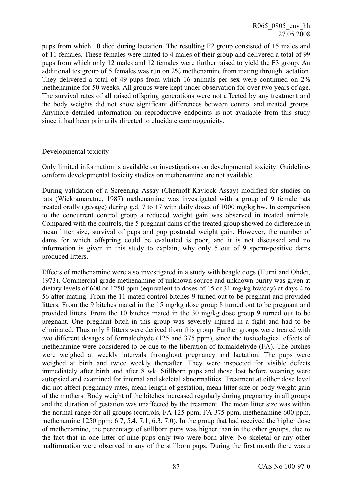pups from which 10 died during lactation. The resulting F2 group consisted of 15 males and of 11 females. These females were mated to 4 males of their group and delivered a total of 99 pups from which only 12 males and 12 females were further raised to yield the F3 group. An additional testgroup of 5 females was run on 2% methenamine from mating through lactation. They delivered a total of 49 pups from which 16 animals per sex were continued on 2% methenamine for 50 weeks. All groups were kept under observation for over two years of age. The survival rates of all raised offspring generations were not affected by any treatment and the body weights did not show significant differences between control and treated groups. Anymore detailed information on reproductive endpoints is not available from this study since it had been primarily directed to elucidate carcinogenicity.

## Developmental toxicity

Only limited information is available on investigations on developmental toxicity. Guidelineconform developmental toxicity studies on methenamine are not available.

During validation of a Screening Assay (Chernoff-Kavlock Assay) modified for studies on rats (Wickramaratne, 1987) methenamine was investigated with a group of 9 female rats treated orally (gavage) during g.d. 7 to 17 with daily doses of 1000 mg/kg bw. In comparison to the concurrent control group a reduced weight gain was observed in treated animals. Compared with the controls, the 5 pregnant dams of the treated group showed no difference in mean litter size, survival of pups and pup postnatal weight gain. However, the number of dams for which offspring could be evaluated is poor, and it is not discussed and no information is given in this study to explain, why only 5 out of 9 sperm-positive dams produced litters.

Effects of methenamine were also investigated in a study with beagle dogs (Hurni and Ohder, 1973). Commercial grade methenamine of unknown source and unknown purity was given at dietary levels of 600 or 1250 ppm (equivalent to doses of 15 or 31 mg/kg bw/day) at days 4 to 56 after mating. From the 11 mated control bitches 9 turned out to be pregnant and provided litters. From the 9 bitches mated in the 15 mg/kg dose group 8 turned out to be pregnant and provided litters. From the 10 bitches mated in the 30 mg/kg dose group 9 turned out to be pregnant. One pregnant bitch in this group was severely injured in a fight and had to be eliminated. Thus only 8 litters were derived from this group. Further groups were treated with two different dosages of formaldehyde (125 and 375 ppm), since the toxicological effects of methenamine were considered to be due to the liberation of formaldehyde (FA). The bitches were weighed at weekly intervals throughout pregnancy and lactation. The pups were weighed at birth and twice weekly thereafter. They were inspected for visible defects immediately after birth and after 8 wk. Stillborn pups and those lost before weaning were autopsied and examined for internal and skeletal abnormalities. Treatment at either dose level did not affect pregnancy rates, mean length of gestation, mean litter size or body weight gain of the mothers. Body weight of the bitches increased regularly during pregnancy in all groups and the duration of gestation was unaffected by the treatment. The mean litter size was within the normal range for all groups (controls, FA 125 ppm, FA 375 ppm, methenamine 600 ppm, methenamine 1250 ppm: 6.7, 5.4, 7.1, 6.3, 7.0). In the group that had received the higher dose of methenamine, the percentage of stillborn pups was higher than in the other groups, due to the fact that in one litter of nine pups only two were born alive. No skeletal or any other malformation were observed in any of the stillborn pups. During the first month there was a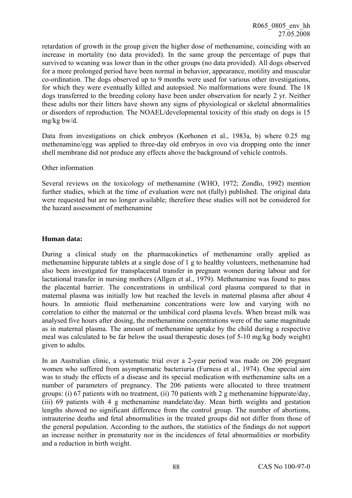retardation of growth in the group given the higher dose of methenamine, coinciding with an increase in mortality (no data provided). In the same group the percentage of pups that survived to weaning was lower than in the other groups (no data provided). All dogs observed for a more prolonged period have been normal in behavior, appearance, motility and muscular co-ordination. The dogs observed up to 9 months were used for various other investigations, for which they were eventually killed and autopsied. No malformations were found. The 18 dogs transferred to the breeding colony have been under observation for nearly 2 yr. Neither these adults nor their litters have shown any signs of physiological or skeletal abnormalities or disorders of reproduction. The NOAEL/developmental toxicity of this study on dogs is 15 mg/kg bw/d.

Data from investigations on chick embryos (Korhonen et al., 1983a, b) where 0.25 mg methenamine/egg was applied to three-day old embryos in ovo via dropping onto the inner shell membrane did not produce any effects above the background of vehicle controls.

Other information

Several reviews on the toxicology of methenamine (WHO, 1972; Zondlo, 1992) mention further studies, which at the time of evaluation were not (fully) published. The original data were requested but are no longer available; therefore these studies will not be considered for the hazard assessment of methenamine

### **Human data:**

During a clinical study on the pharmacokinetics of methenamine orally applied as methenamine hippurate tablets at a single dose of 1 g to healthy volunteers, methenamine had also been investigated for transplacental transfer in pregnant women during labour and for lactational transfer in nursing mothers (Allgen et al., 1979). Methenamine was found to pass the placental barrier. The concentrations in umbilical cord plasma compared to that in maternal plasma was initially low but reached the levels in maternal plasma after about 4 hours. In amniotic fluid methenamine concentrations were low and varying with no correlation to either the maternal or the umbilical cord plasma levels. When breast milk was analysed five hours after dosing, the methenamine concentrations were of the same magnitude as in maternal plasma. The amount of methenamine uptake by the child during a respective meal was calculated to be far below the usual therapeutic doses (of 5-10 mg/kg body weight) given to adults.

In an Australian clinic, a systematic trial over a 2-year period was made on 206 pregnant women who suffered from asymptomatic bacteriuria (Furness et al., 1974). One special aim was to study the effects of a disease and its special medication with methenamine salts on a number of parameters of pregnancy. The 206 patients were allocated to three treatment groups: (i) 67 patients with no treatment, (ii) 70 patients with 2 g methenamine hippurate/day, (iii) 69 patients with 4 g methenamine mandelate/day. Mean birth weights and gestation lengths showed no significant difference from the control group. The number of abortions, intrauterine deaths and fetal abnormalities in the treated groups did not differ from those of the general population. According to the authors, the statistics of the findings do not support an increase neither in prematurity nor in the incidences of fetal abnormalities or morbidity and a reduction in birth weight.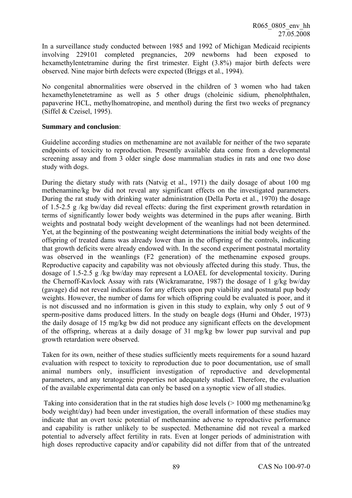In a surveillance study conducted between 1985 and 1992 of Michigan Medicaid recipients involving 229101 completed pregnancies, 209 newborns had been exposed to hexamethylentetramine during the first trimester. Eight (3.8%) major birth defects were observed. Nine major birth defects were expected (Briggs et al., 1994).

No congenital abnormalities were observed in the children of 3 women who had taken hexamethylenetetramine as well as 5 other drugs (choleinic sidium, phenolphthalen, papaverine HCL, methylhomatropine, and menthol) during the first two weeks of pregnancy (Siffel & Czeisel, 1995).

## **Summary and conclusion**:

Guideline according studies on methenamine are not available for neither of the two separate endpoints of toxicity to reproduction. Presently available data come from a developmental screening assay and from 3 older single dose mammalian studies in rats and one two dose study with dogs.

During the dietary study with rats (Natvig et al., 1971) the daily dosage of about 100 mg methenamine/kg bw did not reveal any significant effects on the investigated parameters. During the rat study with drinking water administration (Della Porta et al., 1970) the dosage of 1.5-2.5 g /kg bw/day did reveal effects: during the first experiment growth retardation in terms of significantly lower body weights was determined in the pups after weaning. Birth weights and postnatal body weight development of the weanlings had not been determined. Yet, at the beginning of the postweaning weight determinations the initial body weights of the offspring of treated dams was already lower than in the offspring of the controls, indicating that growth deficits were already endowed with. In the second experiment postnatal mortality was observed in the weanlings (F2 generation) of the methenamine exposed groups. Reproductive capacity and capability was not obviously affected during this study. Thus, the dosage of 1.5-2.5 g /kg bw/day may represent a LOAEL for developmental toxicity. During the Chernoff-Kavlock Assay with rats (Wickramaratne, 1987) the dosage of 1 g/kg bw/day (gavage) did not reveal indications for any effects upon pup viability and postnatal pup body weights. However, the number of dams for which offspring could be evaluated is poor, and it is not discussed and no information is given in this study to explain, why only 5 out of 9 sperm-positive dams produced litters. In the study on beagle dogs (Hurni and Ohder, 1973) the daily dosage of 15 mg/kg bw did not produce any significant effects on the development of the offspring, whereas at a daily dosage of 31 mg/kg bw lower pup survival and pup growth retardation were observed.

Taken for its own, neither of these studies sufficiently meets requirements for a sound hazard evaluation with respect to toxicity to reproduction due to poor documentation, use of small animal numbers only, insufficient investigation of reproductive and developmental parameters, and any teratogenic properties not adequately studied. Therefore, the evaluation of the available experimental data can only be based on a synoptic view of all studies.

 Taking into consideration that in the rat studies high dose levels (> 1000 mg methenamine/kg body weight/day) had been under investigation, the overall information of these studies may indicate that an overt toxic potential of methenamine adverse to reproductive performance and capability is rather unlikely to be suspected. Methenamine did not reveal a marked potential to adversely affect fertility in rats. Even at longer periods of administration with high doses reproductive capacity and/or capability did not differ from that of the untreated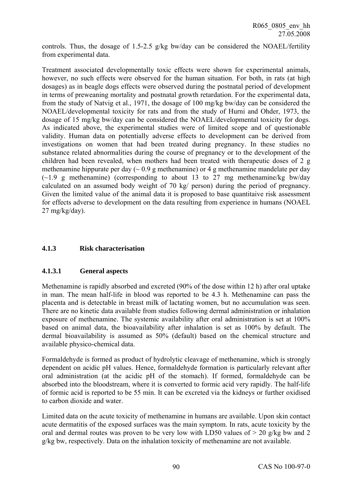controls. Thus, the dosage of 1.5-2.5 g/kg bw/day can be considered the NOAEL/fertility from experimental data.

Treatment associated developmentally toxic effects were shown for experimental animals, however, no such effects were observed for the human situation. For both, in rats (at high dosages) as in beagle dogs effects were observed during the postnatal period of development in terms of preweaning mortality and postnatal growth retardation. For the experimental data, from the study of Natvig et al., 1971, the dosage of 100 mg/kg bw/day can be considered the NOAEL/developmental toxicity for rats and from the study of Hurni and Ohder, 1973, the dosage of 15 mg/kg bw/day can be considered the NOAEL/developmental toxicity for dogs. As indicated above, the experimental studies were of limited scope and of questionable validity. Human data on potentially adverse effects to development can be derived from investigations on women that had been treated during pregnancy. In these studies no substance related abnormalities during the course of pregnancy or to the development of the children had been revealed, when mothers had been treated with therapeutic doses of 2 g methenamine hippurate per day  $(0.9 \text{ g} \text{ methenamine})$  or 4 g methenamine mandelate per day  $(\sim 1.9 \text{ g}$  methenamine) (corresponding to about 13 to 27 mg methenamine/kg bw/day calculated on an assumed body weight of 70 kg/ person) during the period of pregnancy. Given the limited value of the animal data it is proposed to base quantitaive risk assessment for effects adverse to development on the data resulting from experience in humans (NOAEL  $27 \text{ mg/kg/day}$ .

# **4.1.3 Risk characterisation**

# **4.1.3.1 General aspects**

Methenamine is rapidly absorbed and excreted (90% of the dose within 12 h) after oral uptake in man. The mean half-life in blood was reported to be 4.3 h. Methenamine can pass the placenta and is detectable in breast milk of lactating women, but no accumulation was seen. There are no kinetic data available from studies following dermal administration or inhalation exposure of methenamine. The systemic availability after oral administration is set at 100% based on animal data, the bioavailability after inhalation is set as 100% by default. The dermal bioavailability is assumed as 50% (default) based on the chemical structure and available physico-chemical data.

Formaldehyde is formed as product of hydrolytic cleavage of methenamine, which is strongly dependent on acidic pH values. Hence, formaldehyde formation is particularly relevant after oral administration (at the acidic pH of the stomach). If formed, formaldehyde can be absorbed into the bloodstream, where it is converted to formic acid very rapidly. The half-life of formic acid is reported to be 55 min. It can be excreted via the kidneys or further oxidised to carbon dioxide and water.

Limited data on the acute toxicity of methenamine in humans are available. Upon skin contact acute dermatitis of the exposed surfaces was the main symptom. In rats, acute toxicity by the oral and dermal routes was proven to be very low with LD50 values of  $> 20$  g/kg bw and 2 g/kg bw, respectively. Data on the inhalation toxicity of methenamine are not available.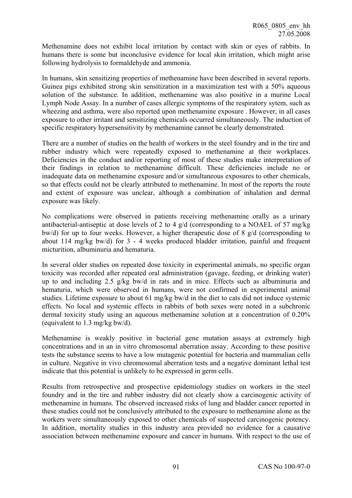Methenamine does not exhibit local irritation by contact with skin or eyes of rabbits. In humans there is some but inconclusive evidence for local skin irritation, which might arise following hydrolysis to formaldehyde and ammonia.

In humans, skin sensitizing properties of methenamine have been described in several reports. Guinea pigs exhibited strong skin sensitization in a maximization test with a 50% aqueous solution of the substance. In addition, methenamine was also positive in a murine Local Lymph Node Assay. In a number of cases allergic symptoms of the respiratory sytem, such as wheezing and asthma, were also reported upon methenamine exposure . However, in all cases exposure to other irritant and sensitizing chemicals occurred simultaneously. The induction of specific respiratory hypersensitivity by methenamine cannot be clearly demonstrated.

There are a number of studies on the health of workers in the steel foundry and in the tire and rubber industry which were repeatedly exposed to methenamine at their workplaces. Deficiencies in the conduct and/or reporting of most of these studies make interpretation of their findings in relation to methenamine difficult. These deficiencies include no or inadequate data on methenamine exposure and/or simultaneous exposures to other chemicals, so that effects could not be clearly attributed to methenamine. In most of the reports the route and extent of exposure was unclear, although a combination of inhalation and dermal exposure was likely.

No complications were observed in patients receiving methenamine orally as a urinary antibacterial-antiseptic at dose levels of 2 to 4 g/d (corresponding to a NOAEL of 57 mg/kg bw/d) for up to four weeks. However, a higher therapeutic dose of 8 g/d (corresponding to about 114 mg/kg bw/d) for 3 - 4 weeks produced bladder irritation, painful and frequent micturition, albuminuria and hematuria.

In several older studies on repeated dose toxicity in experimental animals, no specific organ toxicity was recorded after repeated oral administration (gavage, feeding, or drinking water) up to and including 2.5 g/kg bw/d in rats and in mice. Effects such as albuminuria and hematuria, which were observed in humans, were not confirmed in experimental animal studies. Lifetime exposure to about 61 mg/kg bw/d in the diet to cats did not induce systemic effects. No local and systemic effects in rabbits of both sexes were noted in a subchronic dermal toxicity study using an aqueous methenamine solution at a concentration of 0.20% (equivalent to 1.3 mg/kg bw/d).

Methenamine is weakly positive in bacterial gene mutation assays at extremely high concentrations and in an in vitro chromosomal aberration assay. According to these positive tests the substance seems to have a low mutagenic potential for bacteria and mammalian cells in culture. Negative in vivo chromosomal aberration tests and a negative dominant lethal test indicate that this potential is unlikely to be expressed in germ cells.

Results from retrospective and prospective epidemiology studies on workers in the steel foundry and in the tire and rubber industry did not clearly show a carcinogenic activity of methenamine in humans. The observed increased risks of lung and bladder cancer reported in these studies could not be conclusively attributed to the exposure to methenamine alone as the workers were simultaneously exposed to other chemicals of suspected carcinogenic potency. In addition, mortality studies in this industry area provided no evidence for a causative association between methenamine exposure and cancer in humans. With respect to the use of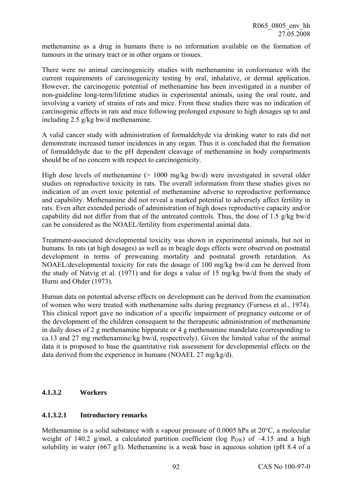methenamine as a drug in humans there is no information available on the formation of tumours in the urinary tract or in other organs or tissues.

There were no animal carcinogenicity studies with methenamine in conformance with the current requirements of carcinogenicity testing by oral, inhalative, or dermal application. However, the carcinogenic potential of methenamine has been investigated in a number of non-guideline long-term/lifetime studies in experimental animals, using the oral route, and involving a variety of strains of rats and mice. From these studies there was no indication of carcinogenic effects in rats and mice following prolonged exposure to high dosages up to and including 2.5 g/kg bw/d methenamine.

A valid cancer study with administration of formaldehyde via drinking water to rats did not demonstrate increased tumor incidences in any organ. Thus it is concluded that the formation of formaldehyde due to the pH dependent cleavage of methenamine in body compartments should be of no concern with respect to carcinogenicity.

High dose levels of methenamine  $(> 1000 \text{ mg/kg}$  bw/d) were investigated in several older studies on reproductive toxicity in rats. The overall information from these studies gives no indication of an overt toxic potential of methenamine adverse to reproductive performance and capability. Methenamine did not reveal a marked potential to adversely affect fertility in rats. Even after extended periods of administration of high doses reproductive capacity and/or capability did not differ from that of the untreated controls. Thus, the dose of 1.5 g/kg bw/d can be considered as the NOAEL/fertility from experimental animal data.

Treatment-associated developmental toxicity was shown in experimental animals, but not in humans. In rats (at high dosages) as well as in beagle dogs effects were observed on postnatal development in terms of preweaning mortality and postnatal growth retardation. As NOAEL/developmental toxicity for rats the dosage of 100 mg/kg bw/d can be derived from the study of Natvig et al. (1971) and for dogs a value of 15 mg/kg bw/d from the study of Hurni and Ohder (1973).

Human data on potential adverse effects on development can be derived from the examination of women who were treated with methenamine salts during pregnancy (Furness et al., 1974). This clinical report gave no indication of a specific impairment of pregnancy outcome or of the development of the children consequent to the therapeutic administration of methenamine in daily doses of 2 g methenamine hippurate or 4 g methenamine mandelate (corresponding to ca.13 and 27 mg methenamine/kg bw/d, respectively). Given the limited value of the animal data it is proposed to base the quantitative risk assessment for developmental effects on the data derived from the experience in humans (NOAEL 27 mg/kg/d).

# **4.1.3.2 Workers**

# **4.1.3.2.1 Introductory remarks**

Methenamine is a solid substance with a vapour pressure of 0.0005 hPa at 20°C, a molecular weight of 140.2 g/mol, a calculated partition coefficient (log P<sub>OW</sub>) of  $-4.15$  and a high solubility in water (667 g/l). Methenamine is a weak base in aqueous solution (pH 8.4 of a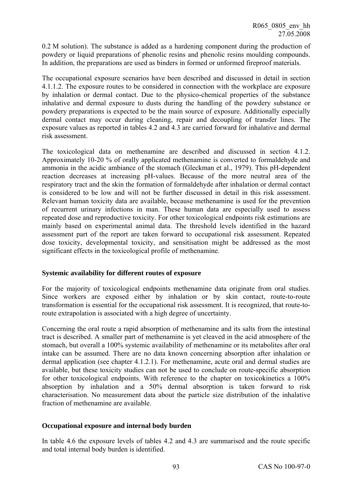0.2 M solution). The substance is added as a hardening component during the production of powdery or liquid preparations of phenolic resins and phenolic resins moulding compounds. In addition, the preparations are used as binders in formed or unformed fireproof materials.

The occupational exposure scenarios have been described and discussed in detail in section 4.1.1.2. The exposure routes to be considered in connection with the workplace are exposure by inhalation or dermal contact. Due to the physico-chemical properties of the substance inhalative and dermal exposure to dusts during the handling of the powdery substance or powdery preparations is expected to be the main source of exposure. Additionally especially dermal contact may occur during cleaning, repair and decoupling of transfer lines. The exposure values as reported in tables 4.2 and 4.3 are carried forward for inhalative and dermal risk assessment.

The toxicological data on methenamine are described and discussed in section 4.1.2. Approximately 10-20 % of orally applicated methenamine is converted to formaldehyde and ammonia in the acidic ambiance of the stomach (Gleckman et al., 1979). This pH-dependent reaction decreases at increasing pH-values. Because of the more neutral area of the respiratory tract and the skin the formation of formaldehyde after inhalation or dermal contact is considered to be low and will not be further discussed in detail in this risk assessment. Relevant human toxicity data are available, because methenamine is used for the prevention of recurrent urinary infections in man. These human data are especially used to assess repeated dose and reproductive toxicity. For other toxicological endpoints risk estimations are mainly based on experimental animal data. The threshold levels identified in the hazard assessment part of the report are taken forward to occupational risk assessment. Repeated dose toxicity, developmental toxicity, and sensitisation might be addressed as the most significant effects in the toxicological profile of methenamine.

# **Systemic availability for different routes of exposure**

For the majority of toxicological endpoints methenamine data originate from oral studies. Since workers are exposed either by inhalation or by skin contact, route-to-route transformation is essential for the occupational risk assessment. It is recognized, that route-toroute extrapolation is associated with a high degree of uncertainty.

Concerning the oral route a rapid absorption of methenamine and its salts from the intestinal tract is described. A smaller part of methenamine is yet cleaved in the acid atmosphere of the stomach, but overall a 100% systemic availability of methenamine or its metabolites after oral intake can be assumed. There are no data known concerning absorption after inhalation or dermal application (see chapter 4.1.2.1). For methenamine, acute oral and dermal studies are available, but these toxicity studies can not be used to conclude on route-specific absorption for other toxicological endpoints. With reference to the chapter on toxicokinetics a 100% absorption by inhalation and a 50% dermal absorption is taken forward to risk characterisation. No measurement data about the particle size distribution of the inhalative fraction of methenamine are available.

# **Occupational exposure and internal body burden**

In table 4.6 the exposure levels of tables 4.2 and 4.3 are summarised and the route specific and total internal body burden is identified.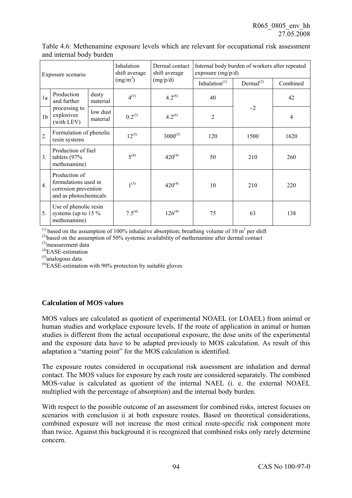| Table 4.6: Methenamine exposure levels which are relevant for occupational risk assessment |  |  |  |  |
|--------------------------------------------------------------------------------------------|--|--|--|--|
| and internal body burden                                                                   |  |  |  |  |

| Exposure scenario |                                                                                        |                      | Inhalation<br>Dermal contact<br>shift average<br>shift average |              | Internal body burden of workers after repeated<br>exposure $(mg/p/d)$ |                       |                |  |  |
|-------------------|----------------------------------------------------------------------------------------|----------------------|----------------------------------------------------------------|--------------|-----------------------------------------------------------------------|-----------------------|----------------|--|--|
|                   |                                                                                        |                      | (mg/m <sup>3</sup> )                                           | (mg/p/d)     | Inhalation $(1)$                                                      | Dermal <sup>(2)</sup> | Combined       |  |  |
| 1a                | Production<br>dusty<br>and further<br>material                                         |                      | $4^{(3)}$                                                      | $4.2^{(6)}$  | 40                                                                    |                       |                |  |  |
| 1 <sub>b</sub>    | processing to<br>explosives<br>(with LEV)                                              | low dust<br>material | $0.2^{(3)}$                                                    | $4.2^{(6)}$  | $\overline{2}$                                                        | $\sim$ 2              | $\overline{4}$ |  |  |
| $\overline{2}$ .  | Formulation of phenolic<br>resin systems                                               |                      | $12^{(5)}$                                                     | $3000^{(5)}$ | 120                                                                   | 1500                  | 1620           |  |  |
| 3.                | Production of fuel<br>tablets $(97%$<br>methenamine)                                   |                      | $5^{(4)}$                                                      | $420^{(4)}$  | 50                                                                    | 210                   | 260            |  |  |
| 4.                | Production of<br>formulations used in<br>corrosion prevention<br>and as photochemicals |                      | $1^{(5)}$                                                      | $420^{(4)}$  | 10                                                                    | 210                   | 220            |  |  |
| 5.                | Use of phenolic resin<br>systems (up to $15\%$<br>methenamine)                         |                      | $7.5^{(4)}$                                                    | $126^{(4)}$  | 75                                                                    | 63                    | 138            |  |  |

<sup>(1)</sup> based on the assumption of 100% inhalative absorption; breathing volume of 10 m<sup>3</sup> per shift

 $^{(2)}$ based on the assumption of 50% systemic availability of methenamine after dermal contact

(3)measurement data

(4)EASE-estimation

(5)analogous data

 $^{(6)}$ EASE-estimation with 90% protection by suitable gloves

# **Calculation of MOS values**

MOS values are calculated as quotient of experimental NOAEL (or LOAEL) from animal or human studies and workplace exposure levels. If the route of application in animal or human studies is different from the actual occupational exposure, the dose units of the experimental and the exposure data have to be adapted previously to MOS calculation. As result of this adaptation a "starting point" for the MOS calculation is identified.

The exposure routes considered in occupational risk assessment are inhalation and dermal contact. The MOS values for exposure by each route are considered separately. The combined MOS-value is calculated as quotient of the internal NAEL (i. e. the external NOAEL multiplied with the percentage of absorption) and the internal body burden.

With respect to the possible outcome of an assessment for combined risks, interest focuses on scenarios with conclusion ii at both exposure routes. Based on theoretical considerations, combined exposure will not increase the most critical route-specific risk component more than twice. Against this background it is recognized that combined risks only rarely determine concern.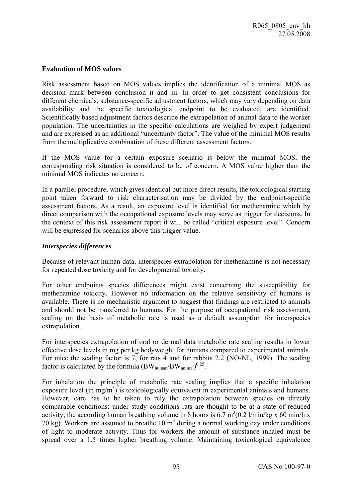## **Evaluation of MOS values**

Risk assessment based on MOS values implies the identification of a minimal MOS as decision mark between conclusion ii and iii. In order to get consistent conclusions for different chemicals, substance-specific adjustment factors, which may vary depending on data availability and the specific toxicological endpoint to be evaluated, are identified. Scientifically based adjustment factors describe the extrapolation of animal data to the worker population. The uncertainties in the specific calculations are weighed by expert judgement and are expressed as an additional "uncertainty factor". The value of the minimal MOS results from the multiplicative combination of these different assessment factors.

If the MOS value for a certain exposure scenario is below the minimal MOS, the corresponding risk situation is considered to be of concern. A MOS value higher than the minimal MOS indicates no concern.

In a parallel procedure, which gives identical but more direct results, the toxicological starting point taken forward to risk characterisation may be divided by the endpoint-specific assessment factors. As a result, an exposure level is identified for methenamine which by direct comparison with the occupational exposure levels may serve as trigger for decisions. In the context of this risk assessment report it will be called "critical exposure level". Concern will be expressed for scenarios above this trigger value.

## *Interspecies differences*

Because of relevant human data, interspecies extrapolation for methenamine is not necessary for repeated dose toxicity and for developmental toxicity.

For other endpoints species differences might exist concerning the susceptibility for methenamine toxicity. However no information on the relative sensitivity of humans is available. There is no mechanistic argument to suggest that findings are restricted to animals and should not be transferred to humans. For the purpose of occupational risk assessment, scaling on the basis of metabolic rate is used as a default assumption for interspecies extrapolation.

For interspecies extrapolation of oral or dermal data metabolic rate scaling results in lower effective dose levels in mg per kg bodyweight for humans compared to experimental animals. For mice the scaling factor is 7, for rats 4 and for rabbits 2.2 (NO-NL, 1999). The scaling factor is calculated by the formula  $(BW_{human}/BW_{animal})^{0.25}$ .

For inhalation the principle of metabolic rate scaling implies that a specific inhalation exposure level (in mg/m<sup>3</sup>) is toxicologically equivalent in experimental animals and humans. However, care has to be taken to rely the extrapolation between species on directly comparable conditions: under study conditions rats are thought to be at a state of reduced activity; the according human breathing volume in 8 hours is  $6.7 \text{ m}^3(0.2 \text{ l/min/kg} \times 60 \text{ min/h} \times$ 70 kg). Workers are assumed to breathe  $10 \text{ m}^3$  during a normal working day under conditions of light to moderate activity. Thus for workers the amount of substance inhaled must be spread over a 1.5 times higher breathing volume. Maintaining toxicological equivalence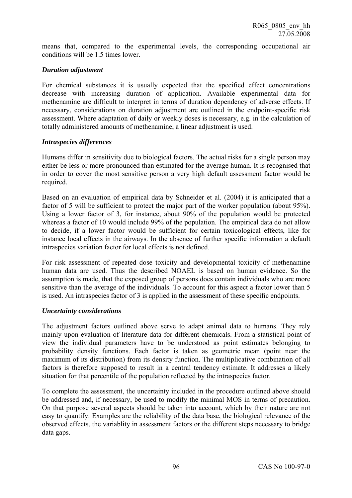means that, compared to the experimental levels, the corresponding occupational air conditions will be 1.5 times lower.

## *Duration adjustment*

For chemical substances it is usually expected that the specified effect concentrations decrease with increasing duration of application. Available experimental data for methenamine are difficult to interpret in terms of duration dependency of adverse effects. If necessary, considerations on duration adjustment are outlined in the endpoint-specific risk assessment. Where adaptation of daily or weekly doses is necessary, e.g. in the calculation of totally administered amounts of methenamine, a linear adjustment is used.

## *Intraspecies differences*

Humans differ in sensitivity due to biological factors. The actual risks for a single person may either be less or more pronounced than estimated for the average human. It is recognised that in order to cover the most sensitive person a very high default assessment factor would be required.

Based on an evaluation of empirical data by Schneider et al. (2004) it is anticipated that a factor of 5 will be sufficient to protect the major part of the worker population (about 95%). Using a lower factor of 3, for instance, about 90% of the population would be protected whereas a factor of 10 would include 99% of the population. The empirical data do not allow to decide, if a lower factor would be sufficient for certain toxicological effects, like for instance local effects in the airways. In the absence of further specific information a default intraspecies variation factor for local effects is not defined.

For risk assessment of repeated dose toxicity and developmental toxicity of methenamine human data are used. Thus the described NOAEL is based on human evidence. So the assumption is made, that the exposed group of persons does contain individuals who are more sensitive than the average of the individuals. To account for this aspect a factor lower than 5 is used. An intraspecies factor of 3 is applied in the assessment of these specific endpoints.

# *Uncertainty considerations*

The adjustment factors outlined above serve to adapt animal data to humans. They rely mainly upon evaluation of literature data for different chemicals. From a statistical point of view the individual parameters have to be understood as point estimates belonging to probability density functions. Each factor is taken as geometric mean (point near the maximum of its distribution) from its density function. The multiplicative combination of all factors is therefore supposed to result in a central tendency estimate. It addresses a likely situation for that percentile of the population reflected by the intraspecies factor.

To complete the assessment, the uncertainty included in the procedure outlined above should be addressed and, if necessary, be used to modify the minimal MOS in terms of precaution. On that purpose several aspects should be taken into account, which by their nature are not easy to quantify. Examples are the reliability of the data base, the biological relevance of the observed effects, the variablity in assessment factors or the different steps necessary to bridge data gaps.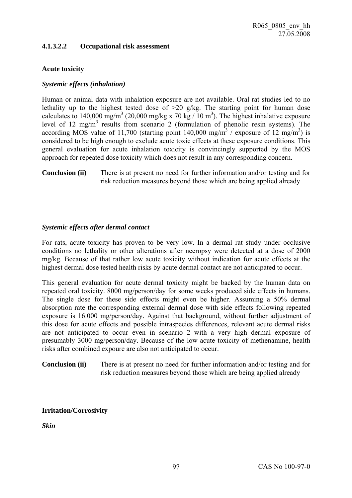### **4.1.3.2.2 Occupational risk assessment**

### **Acute toxicity**

### *Systemic effects (inhalation)*

Human or animal data with inhalation exposure are not available. Oral rat studies led to no lethality up to the highest tested dose of  $>20$  g/kg. The starting point for human dose calculates to 140,000 mg/m<sup>3</sup> (20,000 mg/kg x 70 kg / 10 m<sup>3</sup>). The highest inhalative exposure level of 12 mg/m<sup>3</sup> results from scenario 2 (formulation of phenolic resin systems). The according MOS value of 11,700 (starting point  $140,000$  mg/m<sup>3</sup> / exposure of 12 mg/m<sup>3</sup>) is considered to be high enough to exclude acute toxic effects at these exposure conditions. This general evaluation for acute inhalation toxicity is convincingly supported by the MOS approach for repeated dose toxicity which does not result in any corresponding concern.

# **Conclusion (ii)** There is at present no need for further information and/or testing and for risk reduction measures beyond those which are being applied already

### *Systemic effects after dermal contact*

For rats, acute toxicity has proven to be very low. In a dermal rat study under occlusive conditions no lethality or other alterations after necropsy were detected at a dose of 2000 mg/kg. Because of that rather low acute toxicity without indication for acute effects at the highest dermal dose tested health risks by acute dermal contact are not anticipated to occur.

This general evaluation for acute dermal toxicity might be backed by the human data on repeated oral toxicity. 8000 mg/person/day for some weeks produced side effects in humans. The single dose for these side effects might even be higher. Assuming a 50% dermal absorption rate the corresponding external dermal dose with side effects following repeated exposure is 16.000 mg/person/day. Against that background, without further adjustment of this dose for acute effects and possible intraspecies differences, relevant acute dermal risks are not anticipated to occur even in scenario 2 with a very high dermal exposure of presumably 3000 mg/person/day. Because of the low acute toxicity of methenamine, health risks after combined expoure are also not anticipated to occur.

# **Conclusion (ii)** There is at present no need for further information and/or testing and for risk reduction measures beyond those which are being applied already

### **Irritation/Corrosivity**

*Skin*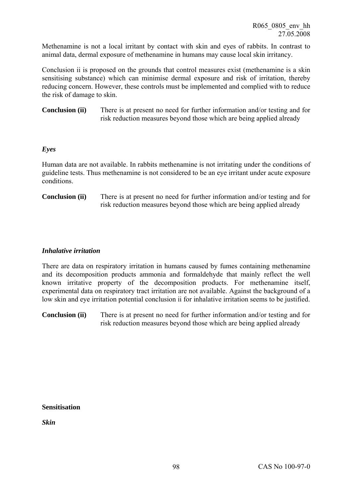Methenamine is not a local irritant by contact with skin and eyes of rabbits. In contrast to animal data, dermal exposure of methenamine in humans may cause local skin irritancy.

Conclusion ii is proposed on the grounds that control measures exist (methenamine is a skin sensitising substance) which can minimise dermal exposure and risk of irritation, thereby reducing concern. However, these controls must be implemented and complied with to reduce the risk of damage to skin.

**Conclusion (ii)** There is at present no need for further information and/or testing and for risk reduction measures beyond those which are being applied already

## *Eyes*

Human data are not available. In rabbits methenamine is not irritating under the conditions of guideline tests. Thus methenamine is not considered to be an eye irritant under acute exposure conditions.

**Conclusion (ii)** There is at present no need for further information and/or testing and for risk reduction measures beyond those which are being applied already

### *Inhalative irritation*

There are data on respiratory irritation in humans caused by fumes containing methenamine and its decomposition products ammonia and formaldehyde that mainly reflect the well known irritative property of the decomposition products. For methenamine itself, experimental data on respiratory tract irritation are not available. Against the background of a low skin and eye irritation potential conclusion ii for inhalative irritation seems to be justified.

**Conclusion (ii)** There is at present no need for further information and/or testing and for risk reduction measures beyond those which are being applied already

**Sensitisation** 

*Skin*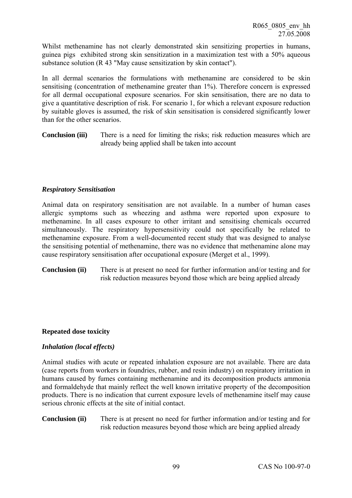Whilst methenamine has not clearly demonstrated skin sensitizing properties in humans, guinea pigs exhibited strong skin sensitization in a maximization test with a 50% aqueous substance solution (R 43 "May cause sensitization by skin contact").

In all dermal scenarios the formulations with methenamine are considered to be skin sensitising (concentration of methenamine greater than 1%). Therefore concern is expressed for all dermal occupational exposure scenarios. For skin sensitisation, there are no data to give a quantitative description of risk. For scenario 1, for which a relevant exposure reduction by suitable gloves is assumed, the risk of skin sensitisation is considered significantly lower than for the other scenarios.

**Conclusion (iii)** There is a need for limiting the risks; risk reduction measures which are already being applied shall be taken into account

## *Respiratory Sensitisation*

Animal data on respiratory sensitisation are not available. In a number of human cases allergic symptoms such as wheezing and asthma were reported upon exposure to methenamine. In all cases exposure to other irritant and sensitising chemicals occurred simultaneously. The respiratory hypersensitivity could not specifically be related to methenamine exposure. From a well-documented recent study that was designed to analyse the sensitising potential of methenamine, there was no evidence that methenamine alone may cause respiratory sensitisation after occupational exposure (Merget et al., 1999).

**Conclusion (ii)** There is at present no need for further information and/or testing and for risk reduction measures beyond those which are being applied already

# **Repeated dose toxicity**

# *Inhalation (local effects)*

Animal studies with acute or repeated inhalation exposure are not available. There are data (case reports from workers in foundries, rubber, and resin industry) on respiratory irritation in humans caused by fumes containing methenamine and its decomposition products ammonia and formaldehyde that mainly reflect the well known irritative property of the decomposition products. There is no indication that current exposure levels of methenamine itself may cause serious chronic effects at the site of initial contact.

### **Conclusion (ii)** There is at present no need for further information and/or testing and for risk reduction measures beyond those which are being applied already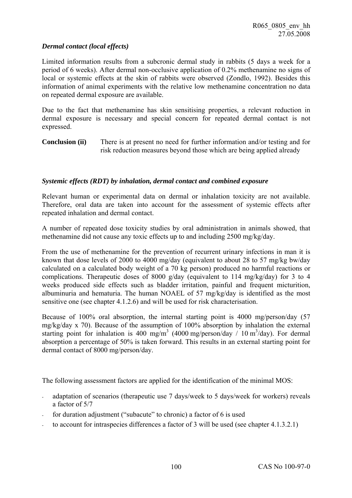# *Dermal contact (local effects)*

Limited information results from a subcronic dermal study in rabbits (5 days a week for a period of 6 weeks). After dermal non-occlusive application of 0.2% methenamine no signs of local or systemic effects at the skin of rabbits were observed (Zondlo, 1992). Besides this information of animal experiments with the relative low methenamine concentration no data on repeated dermal exposure are available.

Due to the fact that methenamine has skin sensitising properties, a relevant reduction in dermal exposure is necessary and special concern for repeated dermal contact is not expressed.

**Conclusion (ii)** There is at present no need for further information and/or testing and for risk reduction measures beyond those which are being applied already

# *Systemic effects (RDT) by inhalation, dermal contact and combined exposure*

Relevant human or experimental data on dermal or inhalation toxicity are not available. Therefore, oral data are taken into account for the assessment of systemic effects after repeated inhalation and dermal contact.

A number of repeated dose toxicity studies by oral administration in animals showed, that methenamine did not cause any toxic effects up to and including 2500 mg/kg/day.

From the use of methenamine for the prevention of recurrent urinary infections in man it is known that dose levels of 2000 to 4000 mg/day (equivalent to about 28 to 57 mg/kg bw/day calculated on a calculated body weight of a 70 kg person) produced no harmful reactions or complications. Therapeutic doses of 8000 g/day (equivalent to 114 mg/kg/day) for 3 to 4 weeks produced side effects such as bladder irritation, painful and frequent micturition, albuminuria and hematuria. The human NOAEL of 57 mg/kg/day is identified as the most sensitive one (see chapter 4.1.2.6) and will be used for risk characterisation.

Because of 100% oral absorption, the internal starting point is 4000 mg/person/day (57 mg/kg/day x 70). Because of the assumption of 100% absorption by inhalation the external starting point for inhalation is 400 mg/m<sup>3</sup> (4000 mg/person/day / 10 m<sup>3</sup>/day). For dermal absorption a percentage of 50% is taken forward. This results in an external starting point for dermal contact of 8000 mg/person/day.

The following assessment factors are applied for the identification of the minimal MOS:

- adaptation of scenarios (therapeutic use 7 days/week to 5 days/week for workers) reveals a factor of 5/7
- for duration adjustment ("subacute" to chronic) a factor of 6 is used
- to account for intraspecies differences a factor of 3 will be used (see chapter 4.1.3.2.1)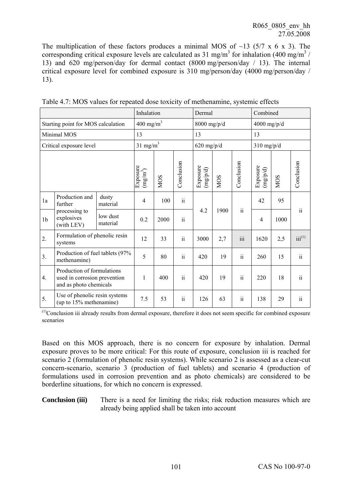The multiplication of these factors produces a minimal MOS of  $\sim$ 13 (5/7 x 6 x 3). The corresponding critical exposure levels are calculated as 31 mg/m<sup>3</sup> for inhalation (400 mg/m<sup>3</sup> / 13) and 620 mg/person/day for dermal contact (8000 mg/person/day / 13). The internal critical exposure level for combined exposure is 310 mg/person/day (4000 mg/person/day / 13).

|                                                                                            |                                                          | Inhalation           |                                 |                 | Dermal          |                     |                          | Combined                 |                      |                          |                                 |
|--------------------------------------------------------------------------------------------|----------------------------------------------------------|----------------------|---------------------------------|-----------------|-----------------|---------------------|--------------------------|--------------------------|----------------------|--------------------------|---------------------------------|
|                                                                                            | Starting point for MOS calculation                       |                      | $400 \text{ mg/m}^3$            |                 |                 | $8000$ mg/p/d       |                          |                          | $4000$ mg/p/d        |                          |                                 |
|                                                                                            | Minimal MOS                                              |                      | 13                              |                 |                 | 13                  |                          |                          | 13                   |                          |                                 |
|                                                                                            | Critical exposure level                                  |                      | $31 \text{ mg/m}^3$             |                 |                 | $620$ mg/p/d        |                          |                          | $310$ mg/p/d         |                          |                                 |
|                                                                                            |                                                          |                      | Exposure<br>$(\mathrm{mg/m}^3)$ | <b>NOS</b>      | Conclusion      | Exposure<br>$(p/d)$ | <b>NOS</b>               | Conclusion               | Exposure<br>(np/p/d) | <b>NOS</b>               | Conclusion                      |
| 1a                                                                                         | Production and<br>further                                | dusty<br>material    | $\overline{4}$                  | 100             | $\ddot{\rm ii}$ |                     |                          |                          | 42                   | 95                       |                                 |
| 1 <sub>b</sub>                                                                             | processing to<br>explosives<br>(with LEV)                | low dust<br>material | 0.2                             | 2000            | $\ddot{\rm ii}$ | 4.2                 | 1900                     | $\overline{\textbf{ii}}$ | $\overline{4}$       | 1000                     | $\ddot{\rm ii}$                 |
| 2.                                                                                         | Formulation of phenolic resin<br>systems                 |                      | 12                              | 33              | $\ddot{\rm ii}$ | 3000                | 2,7                      | iii                      | 1620                 | 2,5                      | $\overline{\mathbf{iii}}^{(1)}$ |
| 3.                                                                                         | Production of fuel tablets (97%<br>methenamine)          |                      | 5                               | 80              | $\ddot{\rm n}$  | 420                 | 19                       | $\ddot{\rm n}$           | 260                  | 15                       | $\ddot{\rm ii}$                 |
| Production of formulations<br>used in corrosion prevention<br>4.<br>and as photo chemicals |                                                          | $\mathbf{1}$         | 400                             | $\ddot{\rm ii}$ | 420             | 19                  | $\overline{\textbf{ii}}$ | 220                      | 18                   | $\overline{\textbf{ii}}$ |                                 |
| 5.                                                                                         | Use of phenolic resin systems<br>(up to 15% methenamine) |                      | 7.5                             | 53              | $\ddot{\rm ii}$ | 126                 | 63                       | $\overline{\textbf{ii}}$ | 138                  | 29                       | $\ddot{\rm ii}$                 |

Table 4.7: MOS values for repeated dose toxicity of methenamine, systemic effects

(1)Conclusion iii already results from dermal exposure, therefore it does not seem specific for combined exposure scenarios

Based on this MOS approach, there is no concern for exposure by inhalation. Dermal exposure proves to be more critical: For this route of exposure, conclusion iii is reached for scenario 2 (formulation of phenolic resin systems). While scenario 2 is assessed as a clear-cut concern-scenario, scenario 3 (production of fuel tablets) and scenario 4 (production of formulations used in corrosion prevention and as photo chemicals) are considered to be borderline situations, for which no concern is expressed.

**Conclusion (iii)** There is a need for limiting the risks; risk reduction measures which are already being applied shall be taken into account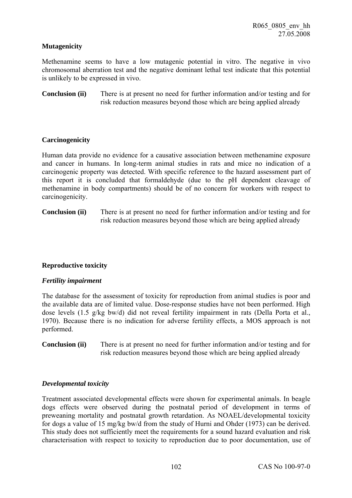## **Mutagenicity**

Methenamine seems to have a low mutagenic potential in vitro. The negative in vivo chromosomal aberration test and the negative dominant lethal test indicate that this potential is unlikely to be expressed in vivo.

**Conclusion (ii)** There is at present no need for further information and/or testing and for risk reduction measures beyond those which are being applied already

## **Carcinogenicity**

Human data provide no evidence for a causative association between methenamine exposure and cancer in humans. In long-term animal studies in rats and mice no indication of a carcinogenic property was detected. With specific reference to the hazard assessment part of this report it is concluded that formaldehyde (due to the pH dependent cleavage of methenamine in body compartments) should be of no concern for workers with respect to carcinogenicity.

**Conclusion (ii)** There is at present no need for further information and/or testing and for risk reduction measures beyond those which are being applied already

# **Reproductive toxicity**

### *Fertility impairment*

The database for the assessment of toxicity for reproduction from animal studies is poor and the available data are of limited value. Dose-response studies have not been performed. High dose levels (1.5 g/kg bw/d) did not reveal fertility impairment in rats (Della Porta et al., 1970). Because there is no indication for adverse fertility effects, a MOS approach is not performed.

**Conclusion (ii)** There is at present no need for further information and/or testing and for risk reduction measures beyond those which are being applied already

### *Developmental toxicity*

Treatment associated developmental effects were shown for experimental animals. In beagle dogs effects were observed during the postnatal period of development in terms of preweaning mortality and postnatal growth retardation. As NOAEL/developmental toxicity for dogs a value of 15 mg/kg bw/d from the study of Hurni and Ohder (1973) can be derived. This study does not sufficiently meet the requirements for a sound hazard evaluation and risk characterisation with respect to toxicity to reproduction due to poor documentation, use of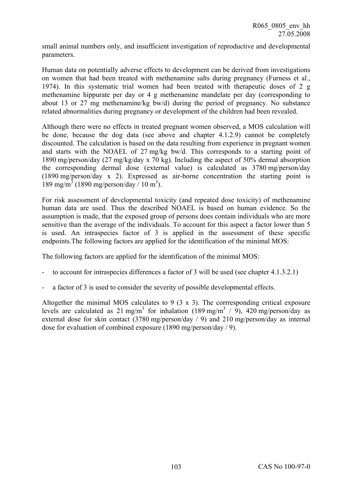small animal numbers only, and insufficient investigation of reproductive and developmental parameters.

Human data on potentially adverse effects to development can be derived from investigations on women that had been treated with methenamine salts during pregnancy (Furness et al., 1974). In this systematic trial women had been treated with therapeutic doses of 2 g methenamine hippurate per day or 4 g methenamine mandelate per day (corresponding to about 13 or 27 mg methenamine/kg bw/d) during the period of pregnancy. No substance related abnormalities during pregnancy or development of the children had been revealed.

Although there were no effects in treated pregnant women observed, a MOS calculation will be done, because the dog data (see above and chapter 4.1.2.9) cannot be completely discounted. The calculation is based on the data resulting from experience in pregnant women and starts with the NOAEL of 27 mg/kg bw/d. This corresponds to a starting point of 1890 mg/person/day (27 mg/kg/day x 70 kg). Including the aspect of 50% dermal absorption the corresponding dermal dose (external value) is calculated as 3780 mg/person/day (1890 mg/person/day x 2). Expressed as air-borne concentration the starting point is  $189 \text{ mg/m}^3$  (1890 mg/person/day / 10 m<sup>3</sup>).

For risk assessment of developmental toxicity (and repeated dose toxicity) of methenamine human data are used. Thus the described NOAEL is based on human evidence. So the assumption is made, that the exposed group of persons does contain individuals who are more sensitive than the average of the individuals. To account for this aspect a factor lower than 5 is used. An intraspecies factor of 3 is applied in the assessment of these specific endpoints.The following factors are applied for the identification of the minimal MOS:

The following factors are applied for the identification of the minimal MOS:

- to account for intraspecies differences a factor of 3 will be used (see chapter 4.1.3.2.1)
- a factor of 3 is used to consider the severity of possible developmental effects.

Altogether the minimal MOS calculates to 9 (3 x 3). The corrresponding critical exposure levels are calculated as 21 mg/m<sup>3</sup> for inhalation (189 mg/m<sup>3</sup> / 9), 420 mg/person/day as external dose for skin contact (3780 mg/person/day / 9) and 210 mg/person/day as internal dose for evaluation of combined exposure (1890 mg/person/day / 9).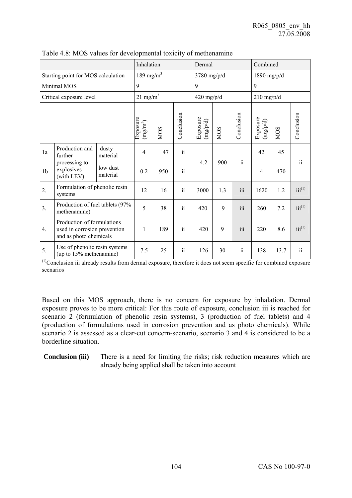|                                                                                            |                                                          |                      | Inhalation                                           |                          |                          | Dermal                                            |            |                 | Combined          |                                 |                                 |
|--------------------------------------------------------------------------------------------|----------------------------------------------------------|----------------------|------------------------------------------------------|--------------------------|--------------------------|---------------------------------------------------|------------|-----------------|-------------------|---------------------------------|---------------------------------|
|                                                                                            | Starting point for MOS calculation                       |                      | 189 mg/m <sup>3</sup>                                |                          |                          | $3780$ mg/p/d                                     |            |                 | 1890 mg/p/d       |                                 |                                 |
|                                                                                            | Minimal MOS                                              |                      | 9                                                    |                          |                          | 9                                                 |            |                 | 9                 |                                 |                                 |
|                                                                                            | Critical exposure level                                  |                      | $21 \text{ mg/m}^3$                                  |                          |                          | $420$ mg/p/d                                      |            |                 | $210$ mg/p/d      |                                 |                                 |
|                                                                                            |                                                          |                      | Exposure<br>$(\mathrm{m} \mathrm{g} / \mathrm{m}^3)$ | <b>NOS</b>               | Conclusion               | Exposure<br>$(\mathrm{mg}/\mathrm{p}/\mathrm{d})$ | <b>NOS</b> | Conclusion      | Exposure<br>(p/d) | <b>NOS</b>                      | Conclusion                      |
| 1a                                                                                         | Production and<br>further                                | dusty<br>material    | $\overline{4}$                                       | 47                       | $\overline{\textbf{ii}}$ |                                                   |            |                 | 42                | 45                              |                                 |
| 1 <sub>b</sub>                                                                             | processing to<br>explosives<br>(with LEV)                | low dust<br>material | 0.2                                                  | 950                      | $\overline{\textbf{ii}}$ | 4.2                                               | 900        | $\ddot{\rm ii}$ | $\overline{4}$    | 470                             | $\ddot{\rm n}$                  |
| 2.                                                                                         | Formulation of phenolic resin<br>systems                 |                      | 12                                                   | 16                       | $\ddot{\mathbf{i}}$      | 3000                                              | 1.3        | iii             | 1620              | 1.2                             | $\overline{\mathbf{iii}}^{(1)}$ |
| Production of fuel tablets (97%<br>3.<br>methenamine)                                      |                                                          | 5                    | 38                                                   | $\overline{\textbf{ii}}$ | 420                      | 9                                                 | iii        | 260             | 7.2               | $\overline{\mathbf{iii}}^{(1)}$ |                                 |
| Production of formulations<br>used in corrosion prevention<br>4.<br>and as photo chemicals |                                                          | 1                    | 189                                                  | $\ddot{\rm ii}$          | 420                      | 9                                                 | iii        | 220             | 8.6               | $\overline{\mathbf{iii}}^{(1)}$ |                                 |
| 5.                                                                                         | Use of phenolic resin systems<br>(up to 15% methenamine) |                      | 7.5                                                  | 25                       | $\ddot{\rm ii}$          | 126                                               | 30         | $\ddot{\rm ii}$ | 138               | 13.7                            | $\ddot{\rm ii}$                 |

Table 4.8: MOS values for developmental toxicity of methenamine

(1)Conclusion iii already results from dermal exposure, therefore it does not seem specific for combined exposure scenarios

Based on this MOS approach, there is no concern for exposure by inhalation. Dermal exposure proves to be more critical: For this route of exposure, conclusion iii is reached for scenario 2 (formulation of phenolic resin systems), 3 (production of fuel tablets) and 4 (production of formulations used in corrosion prevention and as photo chemicals). While scenario 2 is assessed as a clear-cut concern-scenario, scenario 3 and 4 is considered to be a borderline situation.

**Conclusion (iii)** There is a need for limiting the risks; risk reduction measures which are already being applied shall be taken into account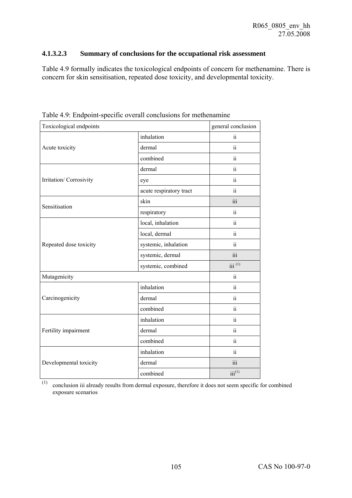## **4.1.3.2.3 Summary of conclusions for the occupational risk assessment**

Table 4.9 formally indicates the toxicological endpoints of concern for methenamine. There is concern for skin sensitisation, repeated dose toxicity, and developmental toxicity.

| Toxicological endpoints |                         | general conclusion              |
|-------------------------|-------------------------|---------------------------------|
|                         | inhalation              | $\overline{\mathbf{u}}$         |
| Acute toxicity          | dermal                  | $\ddot{\mathbf{i}}$             |
|                         | combined                | $\ddot{\rm ii}$                 |
|                         | dermal                  | $\ddot{\rm n}$                  |
| Irritation/ Corrosivity | eye                     | $\ddot{\rm ii}$                 |
|                         | acute respiratory tract | $\ddot{\rm ii}$                 |
| Sensitisation           | skin                    | iii                             |
|                         | respiratory             | $\ddot{\rm ii}$                 |
|                         | local, inhalation       | $\ddot{\rm ii}$                 |
|                         | local, dermal           | $\ddot{\rm n}$                  |
| Repeated dose toxicity  | systemic, inhalation    | $\ddot{\mathbf{i}}$             |
|                         | systemic, dermal        | $\overline{\text{iii}}$         |
|                         | systemic, combined      | $\overline{\text{iii}}^{(1)}$   |
| Mutagenicity            |                         | $\ddot{\mathbf{u}}$             |
|                         | inhalation              | $\ddot{\rm n}$                  |
| Carcinogenicity         | dermal                  | $\ddot{\mathbf{i}}$             |
|                         | combined                | $\ddot{\rm ii}$                 |
|                         | inhalation              | $\ddot{\rm ii}$                 |
| Fertility impairment    | dermal                  | $\ddot{\rm ii}$                 |
|                         | combined                | $\ddot{\rm ii}$                 |
|                         | inhalation              | $\ddot{\rm ii}$                 |
| Developmental toxicity  | dermal                  | iii                             |
|                         | combined                | $\overline{\mathbf{iii}}^{(1)}$ |

Table 4.9: Endpoint-specific overall conclusions for methenamine

(1) conclusion iii already results from dermal exposure, therefore it does not seem specific for combined exposure scenarios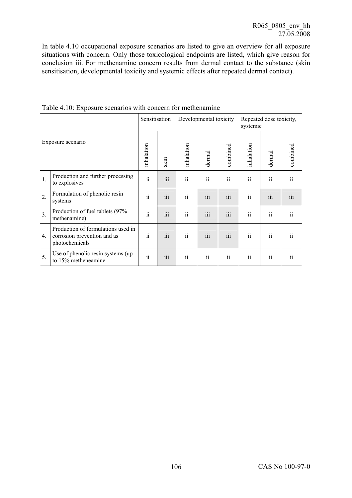In table 4.10 occupational exposure scenarios are listed to give an overview for all exposure situations with concern. Only those toxicological endpoints are listed, which give reason for conclusion iii. For methenamine concern results from dermal contact to the substance (skin sensitisation, developmental toxicity and systemic effects after repeated dermal contact).

| Exposure scenario |                                                                                     | Sensitisation              |                 |                | Developmental toxicity   |                 | Repeated dose toxicity,<br>systemic |                 |                 |
|-------------------|-------------------------------------------------------------------------------------|----------------------------|-----------------|----------------|--------------------------|-----------------|-------------------------------------|-----------------|-----------------|
|                   |                                                                                     | inhalation                 | $\sin$          | inhalation     | dermal                   | combined        | inhalation                          | dermal          | combined        |
| $\mathbf{1}$ .    | Production and further processing<br>to explosives                                  | $\overline{\mathbf{ii}}$   | $\ddots$<br>111 | $\ddot{\rm n}$ | $\overline{\mathbf{ii}}$ | $\ddot{\rm ii}$ | $\ddot{\rm ii}$                     | $\ddot{\rm ii}$ | $\ddot{\rm ii}$ |
| $\overline{2}$ .  | Formulation of phenolic resin<br>systems                                            | $\mathbf{ii}$              | iii             | $\ddot{\rm n}$ | iii                      | iii             | $\ddot{\rm ii}$                     | iii             | iii             |
| 3.                | Production of fuel tablets (97%<br>methenamine)                                     | 11                         | iii             | $\ddot{\rm n}$ | iii                      | iii             | $\ddot{\rm n}$                      | $\ddot{\rm n}$  | $\rm ii$        |
| $\overline{4}$ .  | Production of formulations used in<br>corrosion prevention and as<br>photochemicals | $\cdot$ .<br><sup>11</sup> | iii             | $\ddot{\rm n}$ | iii                      | iii             | $\ddot{\rm ii}$                     | $\ddot{\rm n}$  | $\ddot{\rm ii}$ |
| 5.                | Use of phenolic resin systems (up)<br>to 15% metheneamine                           | $\ddot{\textbf{i}}$        | 111             | $\ddot{\rm n}$ | $\overline{\mathbf{u}}$  | $\ddot{\rm n}$  | $\ddot{\rm n}$                      | $\ddot{\rm n}$  | $\ddot{\rm n}$  |

Table 4.10: Exposure scenarios with concern for methenamine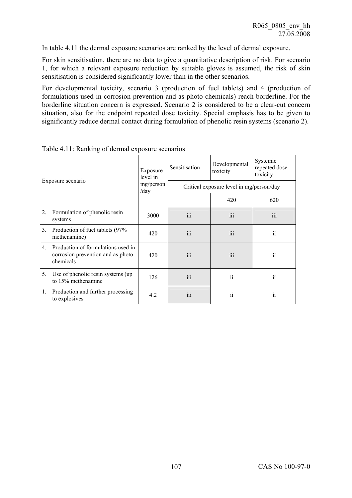In table 4.11 the dermal exposure scenarios are ranked by the level of dermal exposure.

For skin sensitisation, there are no data to give a quantitative description of risk. For scenario 1, for which a relevant exposure reduction by suitable gloves is assumed, the risk of skin sensitisation is considered significantly lower than in the other scenarios.

For developmental toxicity, scenario 3 (production of fuel tablets) and 4 (production of formulations used in corrosion prevention and as photo chemicals) reach borderline. For the borderline situation concern is expressed. Scenario 2 is considered to be a clear-cut concern situation, also for the endpoint repeated dose toxicity. Special emphasis has to be given to significantly reduce dermal contact during formulation of phenolic resin systems (scenario 2).

|             |                                                                                      | Exposure<br>level in | Sensitisation                            | Developmental<br>toxicity | Systemic<br>repeated dose<br>toxicity. |  |  |  |
|-------------|--------------------------------------------------------------------------------------|----------------------|------------------------------------------|---------------------------|----------------------------------------|--|--|--|
|             | Exposure scenario                                                                    | mg/person<br>/day    | Critical exposure level in mg/person/day |                           |                                        |  |  |  |
|             |                                                                                      |                      |                                          | 420                       | 620                                    |  |  |  |
| 2.          | Formulation of phenolic resin<br>systems                                             | 3000                 | 111                                      | 111                       | iii                                    |  |  |  |
| 3.          | Production of fuel tablets (97%<br>methenamine)                                      | 420                  | iii                                      | 111                       | $\ddot{\rm ii}$                        |  |  |  |
| $4_{\cdot}$ | Production of formulations used in<br>corrosion prevention and as photo<br>chemicals | 420                  | $\overline{iii}$                         | $\overline{111}$          | $\ddot{\rm n}$                         |  |  |  |
| 5.          | Use of phenolic resin systems (up)<br>to 15% methenamine                             | 126                  | $\overline{iii}$                         | $\ddot{\rm ii}$           | $\ddot{\rm n}$                         |  |  |  |
| 1.          | Production and further processing<br>to explosives                                   | 4.2                  | iii                                      | $\ddot{\rm ii}$           | $\ddot{\rm n}$                         |  |  |  |

Table 4.11: Ranking of dermal exposure scenarios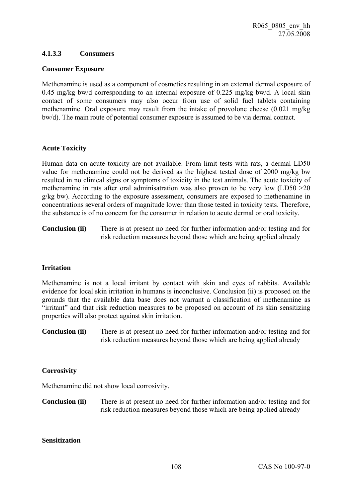## **4.1.3.3 Consumers**

### **Consumer Exposure**

Methenamine is used as a component of cosmetics resulting in an external dermal exposure of 0.45 mg/kg bw/d corresponding to an internal exposure of 0.225 mg/kg bw/d. A local skin contact of some consumers may also occur from use of solid fuel tablets containing methenamine. Oral exposure may result from the intake of provolone cheese (0.021 mg/kg bw/d). The main route of potential consumer exposure is assumed to be via dermal contact.

## **Acute Toxicity**

Human data on acute toxicity are not available. From limit tests with rats, a dermal LD50 value for methenamine could not be derived as the highest tested dose of 2000 mg/kg bw resulted in no clinical signs or symptoms of toxicity in the test animals. The acute toxicity of methenamine in rats after oral adminisatration was also proven to be very low (LD50 >20 g/kg bw). According to the exposure assessment, consumers are exposed to methenamine in concentrations several orders of magnitude lower than those tested in toxicity tests. Therefore, the substance is of no concern for the consumer in relation to acute dermal or oral toxicity.

**Conclusion (ii)** There is at present no need for further information and/or testing and for risk reduction measures beyond those which are being applied already

# **Irritation**

Methenamine is not a local irritant by contact with skin and eyes of rabbits. Available evidence for local skin irritation in humans is inconclusive. Conclusion (ii) is proposed on the grounds that the available data base does not warrant a classification of methenamine as "irritant" and that risk reduction measures to be proposed on account of its skin sensitizing properties will also protect against skin irritation.

**Conclusion (ii)** There is at present no need for further information and/or testing and for risk reduction measures beyond those which are being applied already

### **Corrosivity**

Methenamine did not show local corrosivity.

**Conclusion (ii)** There is at present no need for further information and/or testing and for risk reduction measures beyond those which are being applied already

### **Sensitization**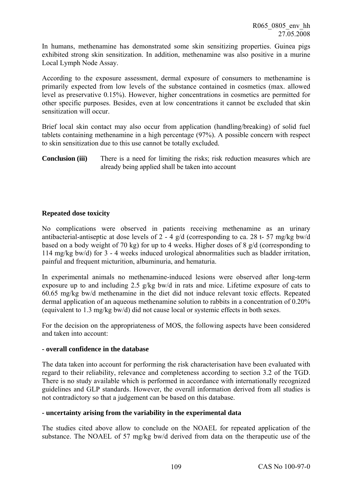In humans, methenamine has demonstrated some skin sensitizing properties. Guinea pigs exhibited strong skin sensitization. In addition, methenamine was also positive in a murine Local Lymph Node Assay.

According to the exposure assessment, dermal exposure of consumers to methenamine is primarily expected from low levels of the substance contained in cosmetics (max. allowed level as preservative 0.15%). However, higher concentrations in cosmetics are permitted for other specific purposes. Besides, even at low concentrations it cannot be excluded that skin sensitization will occur.

Brief local skin contact may also occur from application (handling/breaking) of solid fuel tablets containing methenamine in a high percentage (97%). A possible concern with respect to skin sensitization due to this use cannot be totally excluded.

**Conclusion (iii)** There is a need for limiting the risks; risk reduction measures which are already being applied shall be taken into account

# **Repeated dose toxicity**

No complications were observed in patients receiving methenamine as an urinary antibacterial-antiseptic at dose levels of 2 - 4 g/d (corresponding to ca. 28 t- 57 mg/kg bw/d based on a body weight of 70 kg) for up to 4 weeks. Higher doses of 8 g/d (corresponding to 114 mg/kg bw/d) for 3 - 4 weeks induced urological abnormalities such as bladder irritation, painful and frequent micturition, albuminuria, and hematuria.

In experimental animals no methenamine-induced lesions were observed after long-term exposure up to and including 2.5 g/kg bw/d in rats and mice. Lifetime exposure of cats to 60.65 mg/kg bw/d methenamine in the diet did not induce relevant toxic effects. Repeated dermal application of an aqueous methenamine solution to rabbits in a concentration of 0.20% (equivalent to 1.3 mg/kg bw/d) did not cause local or systemic effects in both sexes.

For the decision on the appropriateness of MOS, the following aspects have been considered and taken into account:

## **- overall confidence in the database**

The data taken into account for performing the risk characterisation have been evaluated with regard to their reliability, relevance and completeness according to section 3.2 of the TGD. There is no study available which is performed in accordance with internationally recognized guidelines and GLP standards. However, the overall information derived from all studies is not contradictory so that a judgement can be based on this database.

## **- uncertainty arising from the variability in the experimental data**

The studies cited above allow to conclude on the NOAEL for repeated application of the substance. The NOAEL of 57 mg/kg bw/d derived from data on the therapeutic use of the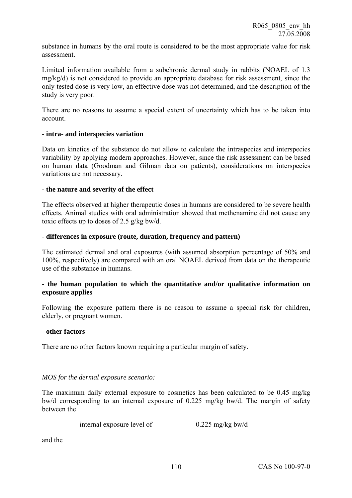substance in humans by the oral route is considered to be the most appropriate value for risk assessment.

Limited information available from a subchronic dermal study in rabbits (NOAEL of 1.3 mg/kg/d) is not considered to provide an appropriate database for risk assessment, since the only tested dose is very low, an effective dose was not determined, and the description of the study is very poor.

There are no reasons to assume a special extent of uncertainty which has to be taken into account.

### **- intra- and interspecies variation**

Data on kinetics of the substance do not allow to calculate the intraspecies and interspecies variability by applying modern approaches. However, since the risk assessment can be based on human data (Goodman and Gilman data on patients), considerations on interspecies variations are not necessary.

### **- the nature and severity of the effect**

The effects observed at higher therapeutic doses in humans are considered to be severe health effects. Animal studies with oral administration showed that methenamine did not cause any toxic effects up to doses of 2.5 g/kg bw/d.

### **- differences in exposure (route, duration, frequency and pattern)**

The estimated dermal and oral exposures (with assumed absorption percentage of 50% and 100%, respectively) are compared with an oral NOAEL derived from data on the therapeutic use of the substance in humans.

### **- the human population to which the quantitative and/or qualitative information on exposure applies**

Following the exposure pattern there is no reason to assume a special risk for children, elderly, or pregnant women.

### **- other factors**

There are no other factors known requiring a particular margin of safety.

## *MOS for the dermal exposure scenario:*

The maximum daily external exposure to cosmetics has been calculated to be 0.45 mg/kg bw/d corresponding to an internal exposure of 0.225 mg/kg bw/d. The margin of safety between the

internal exposure level of 0.225 mg/kg bw/d

and the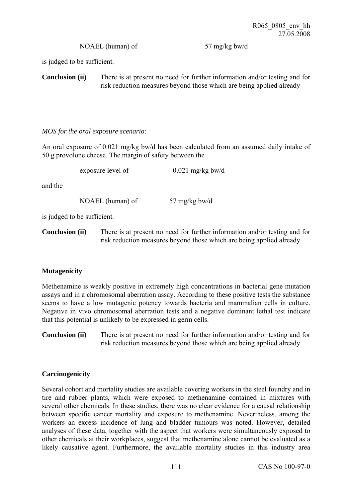NOAEL (human) of 57 mg/kg bw/d

is judged to be sufficient.

**Conclusion (ii)** There is at present no need for further information and/or testing and for risk reduction measures beyond those which are being applied already

### *MOS for the oral exposure scenario:*

An oral exposure of 0.021 mg/kg bw/d has been calculated from an assumed daily intake of 50 g provolone cheese. The margin of safety between the

exposure level of 0.021 mg/kg bw/d

and the

NOAEL (human) of 57 mg/kg bw/d

is judged to be sufficient.

**Conclusion (ii)** There is at present no need for further information and/or testing and for risk reduction measures beyond those which are being applied already

## **Mutagenicity**

Methenamine is weakly positive in extremely high concentrations in bacterial gene mutation assays and in a chromosomal aberration assay. According to these positive tests the substance seems to have a low mutagenic potency towards bacteria and mammalian cells in culture. Negative in vivo chromosomal aberration tests and a negative dominant lethal test indicate that this potential is unlikely to be expressed in germ cells.

**Conclusion (ii)** There is at present no need for further information and/or testing and for risk reduction measures beyond those which are being applied already

## **Carcinogenicity**

Several cohort and mortality studies are available covering workers in the steel foundry and in tire and rubber plants, which were exposed to methenamine contained in mixtures with several other chemicals. In these studies, there was no clear evidence for a causal relationship between specific cancer mortality and exposure to methenamine. Nevertheless, among the workers an excess incidence of lung and bladder tumours was noted. However, detailed analyses of these data, together with the aspect that workers were simultaneously exposed to other chemicals at their workplaces, suggest that methenamine alone cannot be evaluated as a likely causative agent. Furthermore, the available mortality studies in this industry area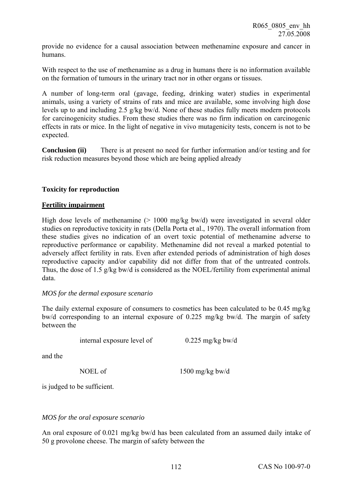provide no evidence for a causal association between methenamine exposure and cancer in humans.

With respect to the use of methenamine as a drug in humans there is no information available on the formation of tumours in the urinary tract nor in other organs or tissues.

A number of long-term oral (gavage, feeding, drinking water) studies in experimental animals, using a variety of strains of rats and mice are available, some involving high dose levels up to and including 2.5 g/kg bw/d. None of these studies fully meets modern protocols for carcinogenicity studies. From these studies there was no firm indication on carcinogenic effects in rats or mice. In the light of negative in vivo mutagenicity tests, concern is not to be expected.

**Conclusion (ii)** There is at present no need for further information and/or testing and for risk reduction measures beyond those which are being applied already

### **Toxicity for reproduction**

### **Fertility impairment**

High dose levels of methenamine  $(> 1000 \text{ mg/kg}$  bw/d) were investigated in several older studies on reproductive toxicity in rats (Della Porta et al., 1970). The overall information from these studies gives no indication of an overt toxic potential of methenamine adverse to reproductive performance or capability. Methenamine did not reveal a marked potential to adversely affect fertility in rats. Even after extended periods of administration of high doses reproductive capacity and/or capability did not differ from that of the untreated controls. Thus, the dose of 1.5 g/kg bw/d is considered as the NOEL/fertility from experimental animal data.

### *MOS for the dermal exposure scenario*

The daily external exposure of consumers to cosmetics has been calculated to be 0.45 mg/kg bw/d corresponding to an internal exposure of 0.225 mg/kg bw/d. The margin of safety between the

internal exposure level of 0.225 mg/kg bw/d

and the

NOEL of 1500 mg/kg bw/d

is judged to be sufficient.

## *MOS for the oral exposure scenario*

An oral exposure of 0.021 mg/kg bw/d has been calculated from an assumed daily intake of 50 g provolone cheese. The margin of safety between the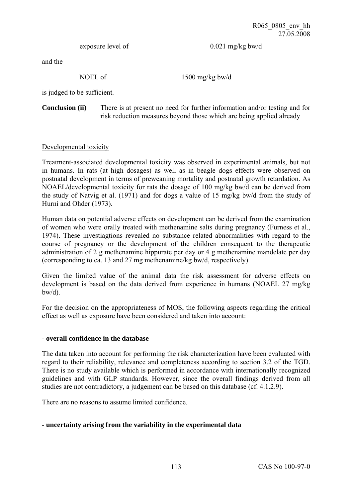exposure level of 0.021 mg/kg bw/d

and the

NOEL of 1500 mg/kg bw/d

is judged to be sufficient.

**Conclusion (ii)** There is at present no need for further information and/or testing and for risk reduction measures beyond those which are being applied already

## Developmental toxicity

Treatment-associated developmental toxicity was observed in experimental animals, but not in humans. In rats (at high dosages) as well as in beagle dogs effects were observed on postnatal development in terms of preweaning mortality and postnatal growth retardation. As NOAEL/developmental toxicity for rats the dosage of 100 mg/kg bw/d can be derived from the study of Natvig et al. (1971) and for dogs a value of 15 mg/kg bw/d from the study of Hurni and Ohder (1973).

Human data on potential adverse effects on development can be derived from the examination of women who were orally treated with methenamine salts during pregnancy (Furness et al., 1974). These investiagtions revealed no substance related abnormalities with regard to the course of pregnancy or the development of the children consequent to the therapeutic administration of 2 g methenamine hippurate per day or 4 g methenamine mandelate per day (corresponding to ca. 13 and 27 mg methenamine/kg bw/d, respectively)

Given the limited value of the animal data the risk assessment for adverse effects on development is based on the data derived from experience in humans (NOAEL 27 mg/kg  $b$ w/d).

For the decision on the appropriateness of MOS, the following aspects regarding the critical effect as well as exposure have been considered and taken into account:

### **- overall confidence in the database**

The data taken into account for performing the risk characterization have been evaluated with regard to their reliability, relevance and completeness according to section 3.2 of the TGD. There is no study available which is performed in accordance with internationally recognized guidelines and with GLP standards. However, since the overall findings derived from all studies are not contradictory, a judgement can be based on this database (cf. 4.1.2.9).

There are no reasons to assume limited confidence.

## **- uncertainty arising from the variability in the experimental data**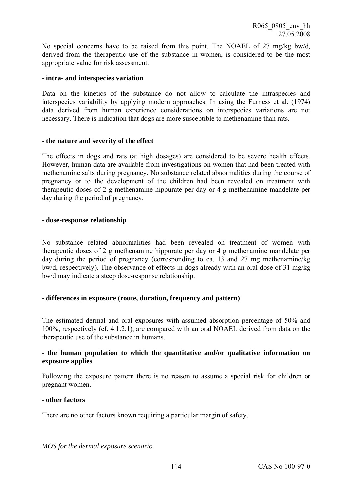No special concerns have to be raised from this point. The NOAEL of 27 mg/kg bw/d, derived from the therapeutic use of the substance in women, is considered to be the most appropriate value for risk assessment.

### **- intra- and interspecies variation**

Data on the kinetics of the substance do not allow to calculate the intraspecies and interspecies variability by applying modern approaches. In using the Furness et al. (1974) data derived from human experience considerations on interspecies variations are not necessary. There is indication that dogs are more susceptible to methenamine than rats.

### - **the nature and severity of the effect**

The effects in dogs and rats (at high dosages) are considered to be severe health effects. However, human data are available from investigations on women that had been treated with methenamine salts during pregnancy. No substance related abnormalities during the course of pregnancy or to the development of the children had been revealed on treatment with therapeutic doses of 2 g methenamine hippurate per day or 4 g methenamine mandelate per day during the period of pregnancy.

### **- dose-response relationship**

No substance related abnormalities had been revealed on treatment of women with therapeutic doses of 2 g methenamine hippurate per day or 4 g methenamine mandelate per day during the period of pregnancy (corresponding to ca. 13 and 27 mg methenamine/kg bw/d, respectively). The observance of effects in dogs already with an oral dose of 31 mg/kg bw/d may indicate a steep dose-response relationship.

## **- differences in exposure (route, duration, frequency and pattern)**

The estimated dermal and oral exposures with assumed absorption percentage of 50% and 100%, respectively (cf. 4.1.2.1), are compared with an oral NOAEL derived from data on the therapeutic use of the substance in humans.

### **- the human population to which the quantitative and/or qualitative information on exposure applies**

Following the exposure pattern there is no reason to assume a special risk for children or pregnant women.

### **- other factors**

There are no other factors known requiring a particular margin of safety.

*MOS for the dermal exposure scenario*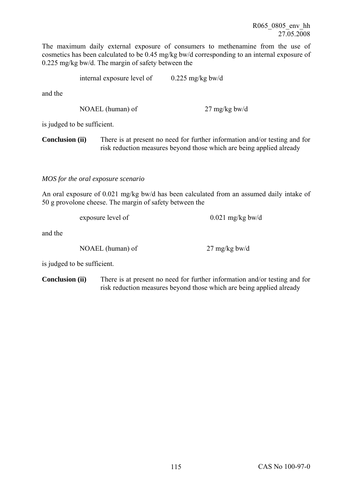The maximum daily external exposure of consumers to methenamine from the use of cosmetics has been calculated to be 0.45 mg/kg bw/d corresponding to an internal exposure of 0.225 mg/kg bw/d. The margin of safety between the

internal exposure level of 0.225 mg/kg bw/d

and the

NOAEL (human) of 27 mg/kg bw/d

is judged to be sufficient.

**Conclusion (ii)** There is at present no need for further information and/or testing and for risk reduction measures beyond those which are being applied already

*MOS for the oral exposure scenario*

An oral exposure of 0.021 mg/kg bw/d has been calculated from an assumed daily intake of 50 g provolone cheese. The margin of safety between the

exposure level of  $0.021$  mg/kg bw/d

and the

NOAEL (human) of 27 mg/kg bw/d

is judged to be sufficient.

**Conclusion (ii)** There is at present no need for further information and/or testing and for risk reduction measures beyond those which are being applied already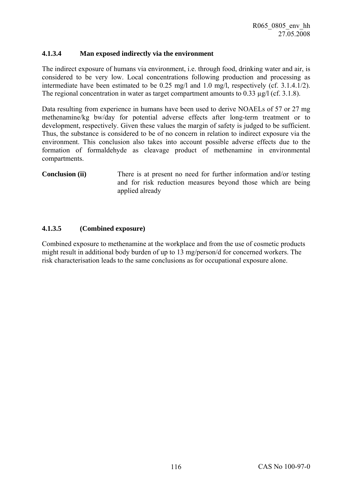## **4.1.3.4 Man exposed indirectly via the environment**

The indirect exposure of humans via environment, i.e. through food, drinking water and air, is considered to be very low. Local concentrations following production and processing as intermediate have been estimated to be 0.25 mg/l and 1.0 mg/l, respectively (cf. 3.1.4.1/2). The regional concentration in water as target compartment amounts to 0.33 µg/l (cf. 3.1.8).

Data resulting from experience in humans have been used to derive NOAELs of 57 or 27 mg methenamine/kg bw/day for potential adverse effects after long-term treatment or to development, respectively. Given these values the margin of safety is judged to be sufficient. Thus, the substance is considered to be of no concern in relation to indirect exposure via the environment. This conclusion also takes into account possible adverse effects due to the formation of formaldehyde as cleavage product of methenamine in environmental compartments.

### **Conclusion (ii)** There is at present no need for further information and/or testing and for risk reduction measures beyond those which are being applied already

### **4.1.3.5 (Combined exposure)**

Combined exposure to methenamine at the workplace and from the use of cosmetic products might result in additional body burden of up to 13 mg/person/d for concerned workers. The risk characterisation leads to the same conclusions as for occupational exposure alone.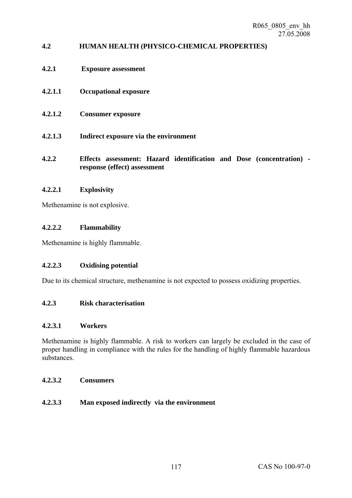### **4.2 HUMAN HEALTH (PHYSICO-CHEMICAL PROPERTIES)**

- **4.2.1 Exposure assessment**
- **4.2.1.1 Occupational exposure**
- **4.2.1.2 Consumer exposure**
- **4.2.1.3 Indirect exposure via the environment**
- **4.2.2 Effects assessment: Hazard identification and Dose (concentration) response (effect) assessment**

#### **4.2.2.1 Explosivity**

Methenamine is not explosive.

#### **4.2.2.2 Flammability**

Methenamine is highly flammable.

### **4.2.2.3 Oxidising potential**

Due to its chemical structure, methenamine is not expected to possess oxidizing properties.

### **4.2.3 Risk characterisation**

#### **4.2.3.1 Workers**

Methenamine is highly flammable. A risk to workers can largely be excluded in the case of proper handling in compliance with the rules for the handling of highly flammable hazardous substances.

### **4.2.3.2 Consumers**

### **4.2.3.3 Man exposed indirectly via the environment**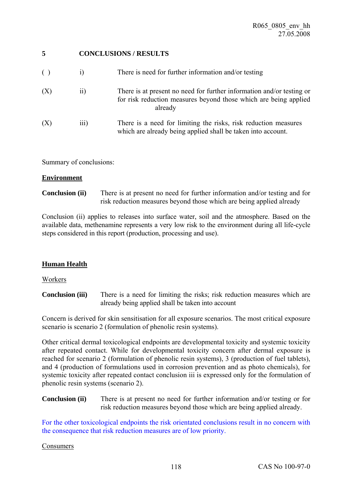# **5 CONCLUSIONS / RESULTS**

| ( ) | 1)   | There is need for further information and/or testing                                                                                                 |
|-----|------|------------------------------------------------------------------------------------------------------------------------------------------------------|
| (X) | 11)  | There is at present no need for further information and/or testing or<br>for risk reduction measures beyond those which are being applied<br>already |
| (X) | 111) | There is a need for limiting the risks, risk reduction measures<br>which are already being applied shall be taken into account.                      |

Summary of conclusions:

## **Environment**

**Conclusion (ii)** There is at present no need for further information and/or testing and for risk reduction measures beyond those which are being applied already

Conclusion (ii) applies to releases into surface water, soil and the atmosphere. Based on the available data, methenamine represents a very low risk to the environment during all life-cycle steps considered in this report (production, processing and use).

## **Human Health**

### Workers

**Conclusion (iii)** There is a need for limiting the risks; risk reduction measures which are already being applied shall be taken into account

Concern is derived for skin sensitisation for all exposure scenarios. The most critical exposure scenario is scenario 2 (formulation of phenolic resin systems).

Other critical dermal toxicological endpoints are developmental toxicity and systemic toxicity after repeated contact. While for developmental toxicity concern after dermal exposure is reached for scenario 2 (formulation of phenolic resin systems), 3 (production of fuel tablets), and 4 (production of formulations used in corrosion prevention and as photo chemicals), for systemic toxicity after repeated contact conclusion iii is expressed only for the formulation of phenolic resin systems (scenario 2).

### **Conclusion (ii)** There is at present no need for further information and/or testing or for risk reduction measures beyond those which are being applied already.

For the other toxicological endpoints the risk orientated conclusions result in no concern with the consequence that risk reduction measures are of low priority.

### Consumers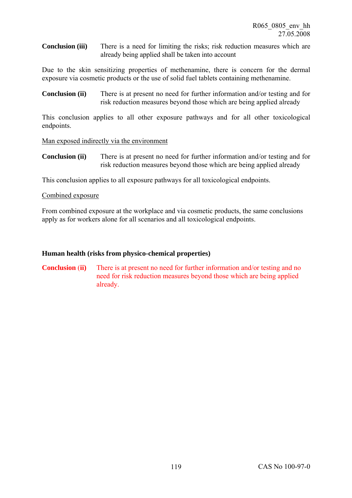**Conclusion (iii)** There is a need for limiting the risks; risk reduction measures which are already being applied shall be taken into account

Due to the skin sensitizing properties of methenamine, there is concern for the dermal exposure via cosmetic products or the use of solid fuel tablets containing methenamine.

**Conclusion (ii)** There is at present no need for further information and/or testing and for risk reduction measures beyond those which are being applied already

This conclusion applies to all other exposure pathways and for all other toxicological endpoints.

Man exposed indirectly via the environment

**Conclusion (ii)** There is at present no need for further information and/or testing and for risk reduction measures beyond those which are being applied already

This conclusion applies to all exposure pathways for all toxicological endpoints.

#### Combined exposure

From combined exposure at the workplace and via cosmetic products, the same conclusions apply as for workers alone for all scenarios and all toxicological endpoints.

### **Human health (risks from physico-chemical properties)**

**Conclusion** (**ii)** There is at present no need for further information and/or testing and no need for risk reduction measures beyond those which are being applied already.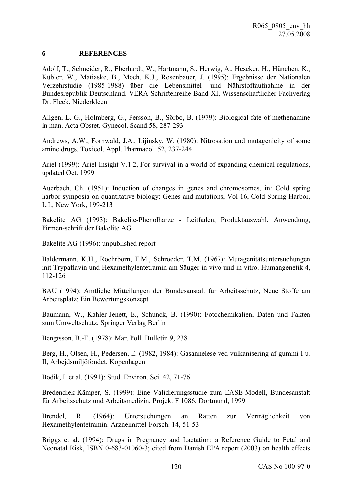### **6 REFERENCES**

Adolf, T., Schneider, R., Eberhardt, W., Hartmann, S., Herwig, A., Heseker, H., Hünchen, K., Kübler, W., Matiaske, B., Moch, K.J., Rosenbauer, J. (1995): Ergebnisse der Nationalen Verzehrstudie (1985-1988) über die Lebensmittel- und Nährstoffaufnahme in der Bundesrepublik Deutschland. VERA-Schriftenreihe Band XI, Wissenschaftlicher Fachverlag Dr. Fleck, Niederkleen

Allgen, L.-G., Holmberg, G., Persson, B., Sörbo, B. (1979): Biological fate of methenamine in man. Acta Obstet. Gynecol. Scand.58, 287-293

Andrews, A.W., Fornwald, J.A., Lijinsky, W. (1980): Nitrosation and mutagenicity of some amine drugs. Toxicol. Appl. Pharmacol. 52, 237-244

Ariel (1999): Ariel Insight V.1.2, For survival in a world of expanding chemical regulations, updated Oct. 1999

Auerbach, Ch. (1951): Induction of changes in genes and chromosomes, in: Cold spring harbor symposia on quantitative biology: Genes and mutations, Vol 16, Cold Spring Harbor, L.I., New York, 199-213

Bakelite AG (1993): Bakelite-Phenolharze - Leitfaden, Produktauswahl, Anwendung, Firmen-schrift der Bakelite AG

Bakelite AG (1996): unpublished report

Baldermann, K.H., Roehrborn, T.M., Schroeder, T.M. (1967): Mutagenitätsuntersuchungen mit Trypaflavin und Hexamethylentetramin am Säuger in vivo und in vitro. Humangenetik 4, 112-126

BAU (1994): Amtliche Mitteilungen der Bundesanstalt für Arbeitsschutz, Neue Stoffe am Arbeitsplatz: Ein Bewertungskonzept

Baumann, W., Kahler-Jenett, E., Schunck, B. (1990): Fotochemikalien, Daten und Fakten zum Umweltschutz, Springer Verlag Berlin

Bengtsson, B.-E. (1978): Mar. Poll. Bulletin 9, 238

Berg, H., Olsen, H., Pedersen, E. (1982, 1984): Gasannelese ved vulkanisering af gummi I u. II, Arbejdsmiljöfondet, Kopenhagen

Bodik, I. et al. (1991): Stud. Environ. Sci. 42, 71-76

Bredendiek-Kämper, S. (1999): Eine Validierungsstudie zum EASE-Modell, Bundesanstalt für Arbeitsschutz und Arbeitsmedizin, Projekt F 1086, Dortmund, 1999

Brendel, R. (1964): Untersuchungen an Ratten zur Verträglichkeit von Hexamethylentetramin. Arzneimittel-Forsch. 14, 51-53

Briggs et al. (1994): Drugs in Pregnancy and Lactation: a Reference Guide to Fetal and Neonatal Risk, ISBN 0-683-01060-3; cited from Danish EPA report (2003) on health effects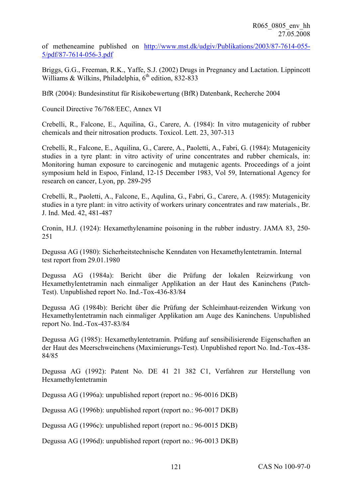of metheneamine published on [http://www.mst.dk/udgiv/Publikations/2003/87-7614-055-](http://ww,mst.dk/udgiv/Publikations/2003/87-7614-055-5/pdf/87-7614-056-3.pdf) [5/pdf/87-7614-056-3.pdf](http://ww,mst.dk/udgiv/Publikations/2003/87-7614-055-5/pdf/87-7614-056-3.pdf)

Briggs, G.G., Freeman, R.K., Yaffe, S.J. (2002) Drugs in Pregnancy and Lactation. Lippincott Williams & Wilkins, Philadelphia,  $6<sup>th</sup>$  edition, 832-833

BfR (2004): Bundesinstitut für Risikobewertung (BfR) Datenbank, Recherche 2004

Council Directive 76/768/EEC, Annex VI

Crebelli, R., Falcone, E., Aquilina, G., Carere, A. (1984): In vitro mutagenicity of rubber chemicals and their nitrosation products. Toxicol. Lett. 23, 307-313

Crebelli, R., Falcone, E., Aquilina, G., Carere, A., Paoletti, A., Fabri, G. (1984): Mutagenicity studies in a tyre plant: in vitro activity of urine concentrates and rubber chemicals, in: Monitoring human exposure to carcinogenic and mutagenic agents. Proceedings of a joint symposium held in Espoo, Finland, 12-15 December 1983, Vol 59, International Agency for research on cancer, Lyon, pp. 289-295

Crebelli, R., Paoletti, A., Falcone, E., Aqulina, G., Fabri, G., Carere, A. (1985): Mutagenicity studies in a tyre plant: in vitro activity of workers urinary concentrates and raw materials., Br. J. Ind. Med. 42, 481-487

Cronin, H.J. (1924): Hexamethylenamine poisoning in the rubber industry. JAMA 83, 250- 251

Degussa AG (1980): Sicherheitstechnische Kenndaten von Hexamethylentetramin. Internal test report from 29.01.1980

Degussa AG (1984a): Bericht über die Prüfung der lokalen Reizwirkung von Hexamethylentetramin nach einmaliger Applikation an der Haut des Kaninchens (Patch-Test). Unpublished report No. Ind.-Tox-436-83/84

Degussa AG (1984b): Bericht über die Prüfung der Schleimhaut-reizenden Wirkung von Hexamethylentetramin nach einmaliger Applikation am Auge des Kaninchens. Unpublished report No. Ind.-Tox-437-83/84

Degussa AG (1985): Hexamethylentetramin. Prüfung auf sensibilisierende Eigenschaften an der Haut des Meerschweinchens (Maximierungs-Test). Unpublished report No. Ind.-Tox-438- 84/85

Degussa AG (1992): Patent No. DE 41 21 382 C1, Verfahren zur Herstellung von Hexamethylentetramin

Degussa AG (1996a): unpublished report (report no.: 96-0016 DKB)

Degussa AG (1996b): unpublished report (report no.: 96-0017 DKB)

Degussa AG (1996c): unpublished report (report no.: 96-0015 DKB)

Degussa AG (1996d): unpublished report (report no.: 96-0013 DKB)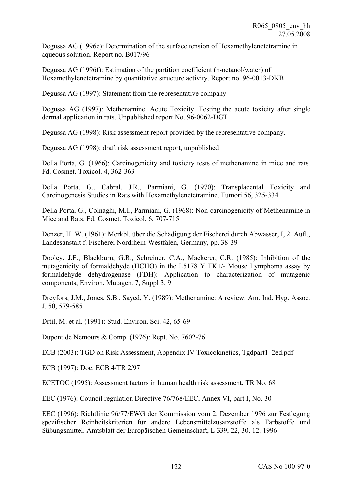Degussa AG (1996e): Determination of the surface tension of Hexamethylenetetramine in aqueous solution. Report no. B017/96

Degussa AG (1996f): Estimation of the partition coefficient (n-octanol/water) of Hexamethylenetetramine by quantitative structure activity. Report no. 96-0013-DKB

Degussa AG (1997): Statement from the representative company

Degussa AG (1997): Methenamine. Acute Toxicity. Testing the acute toxicity after single dermal application in rats. Unpublished report No. 96-0062-DGT

Degussa AG (1998): Risk assessment report provided by the representative company.

Degussa AG (1998): draft risk assessment report, unpublished

Della Porta, G. (1966): Carcinogenicity and toxicity tests of methenamine in mice and rats. Fd. Cosmet. Toxicol. 4, 362-363

Della Porta, G., Cabral, J.R., Parmiani, G. (1970): Transplacental Toxicity and Carcinogenesis Studies in Rats with Hexamethylenetetramine. Tumori 56, 325-334

Della Porta, G., Colnaghi, M.I., Parmiani, G. (1968): Non-carcinogenicity of Methenamine in Mice and Rats. Fd. Cosmet. Toxicol. 6, 707-715

Denzer, H. W. (1961): Merkbl. über die Schädigung der Fischerei durch Abwässer, I, 2. Aufl., Landesanstalt f. Fischerei Nordrhein-Westfalen, Germany, pp. 38-39

Dooley, J.F., Blackburn, G.R., Schreiner, C.A., Mackerer, C.R. (1985): Inhibition of the mutagenicity of formaldehyde (HCHO) in the L5178 Y TK+/- Mouse Lymphoma assay by formaldehyde dehydrogenase (FDH): Application to characterization of mutagenic components, Environ. Mutagen. 7, Suppl 3, 9

Dreyfors, J.M., Jones, S.B., Sayed, Y. (1989): Methenamine: A review. Am. Ind. Hyg. Assoc. J. 50, 579-585

Drtil, M. et al. (1991): Stud. Environ. Sci. 42, 65-69

Dupont de Nemours & Comp. (1976): Rept. No. 7602-76

ECB (2003): TGD on Risk Assessment, Appendix IV Toxicokinetics, Tgdpart1\_2ed.pdf

ECB (1997): Doc. ECB 4/TR 2/97

ECETOC (1995): Assessment factors in human health risk assessment, TR No. 68

EEC (1976): Council regulation Directive 76/768/EEC, Annex VI, part I, No. 30

EEC (1996): Richtlinie 96/77/EWG der Kommission vom 2. Dezember 1996 zur Festlegung spezifischer Reinheitskriterien für andere Lebensmittelzusatzstoffe als Farbstoffe und Süßungsmittel. Amtsblatt der Europäischen Gemeinschaft, L 339, 22, 30. 12. 1996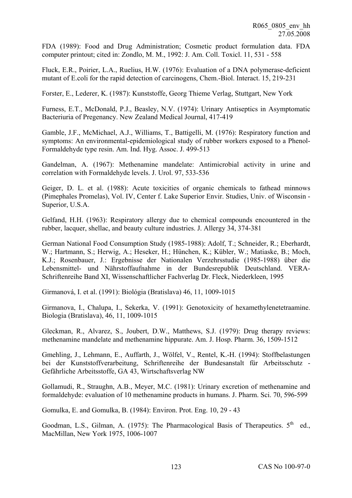FDA (1989): Food and Drug Administration; Cosmetic product formulation data. FDA computer printout; cited in: Zondlo, M. M., 1992: J. Am. Coll. Toxicl. 11, 531 - 558

Fluck, E.R., Poirier, L.A., Ruelius, H.W. (1976): Evaluation of a DNA polymerase-deficient mutant of E.coli for the rapid detection of carcinogens, Chem.-Biol. Interact. 15, 219-231

Forster, E., Lederer, K. (1987): Kunststoffe, Georg Thieme Verlag, Stuttgart, New York

Furness, E.T., McDonald, P.J., Beasley, N.V. (1974): Urinary Antiseptics in Asymptomatic Bacteriuria of Pregenancy. New Zealand Medical Journal, 417-419

Gamble, J.F., McMichael, A.J., Williams, T., Battigelli, M. (1976): Respiratory function and symptoms: An environmental-epidemiological study of rubber workers exposed to a Phenol-Formaldehyde type resin. Am. Ind. Hyg. Assoc. J. 499-513

Gandelman, A. (1967): Methenamine mandelate: Antimicrobial activity in urine and correlation with Formaldehyde levels. J. Urol. 97, 533-536

Geiger, D. L. et al. (1988): Acute toxicities of organic chemicals to fathead minnows (Pimephales Promelas), Vol. IV, Center f. Lake Superior Envir. Studies, Univ. of Wisconsin - Superior, U.S.A.

Gelfand, H.H. (1963): Respiratory allergy due to chemical compounds encountered in the rubber, lacquer, shellac, and beauty culture industries. J. Allergy 34, 374-381

German National Food Consumption Study (1985-1988): Adolf, T.; Schneider, R.; Eberhardt, W.; Hartmann, S.; Herwig, A.; Heseker, H.; Hünchen, K.; Kübler, W.; Matiaske, B.; Moch, K.J.; Rosenbauer, J.: Ergebnisse der Nationalen Verzehrsstudie (1985-1988) über die Lebensmittel- und Nährstoffaufnahme in der Bundesrepublik Deutschland. VERA-Schriftenreihe Band XI, Wissenschaftlicher Fachverlag Dr. Fleck, Niederkleen, 1995

Girmanová, I. et al. (1991): Biológia (Bratislava) 46, 11, 1009-1015

Girmanova, I., Chalupa, I., Sekerka, V. (1991): Genotoxicity of hexamethylenetetraamine. Biologia (Bratislava), 46, 11, 1009-1015

Gleckman, R., Alvarez, S., Joubert, D.W., Matthews, S.J. (1979): Drug therapy reviews: methenamine mandelate and methenamine hippurate. Am. J. Hosp. Pharm. 36, 1509-1512

Gmehling, J., Lehmann, E., Auffarth, J., Wölfel, V., Rentel, K.-H. (1994): Stoffbelastungen bei der Kunststoffverarbeitung, Schriftenreihe der Bundesanstalt für Arbeitsschutz - Gefährliche Arbeitsstoffe, GA 43, Wirtschaftsverlag NW

Gollamudi, R., Straughn, A.B., Meyer, M.C. (1981): Urinary excretion of methenamine and formaldehyde: evaluation of 10 methenamine products in humans. J. Pharm. Sci. 70, 596-599

Gomulka, E. and Gomulka, B. (1984): Environ. Prot. Eng. 10, 29 - 43

Goodman, L.S., Gilman, A. (1975): The Pharmacological Basis of Therapeutics.  $5<sup>th</sup>$  ed., MacMillan, New York 1975, 1006-1007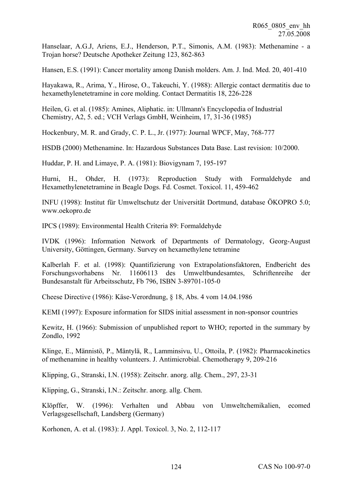Hanselaar, A.G.J, Ariens, E.J., Henderson, P.T., Simonis, A.M. (1983): Methenamine - a Trojan horse? Deutsche Apotheker Zeitung 123, 862-863

Hansen, E.S. (1991): Cancer mortality among Danish molders. Am. J. Ind. Med. 20, 401-410

Hayakawa, R., Arima, Y., Hirose, O., Takeuchi, Y. (1988): Allergic contact dermatitis due to hexamethylenetetramine in core molding. Contact Dermatitis 18, 226-228

Heilen, G. et al. (1985): Amines, Aliphatic. in: Ullmann's Encyclopedia of Industrial Chemistry, A2, 5. ed.; VCH Verlags GmbH, Weinheim, 17, 31-36 (1985)

Hockenbury, M. R. and Grady, C. P. L., Jr. (1977): Journal WPCF, May, 768-777

HSDB (2000) Methenamine. In: Hazardous Substances Data Base. Last revision: 10/2000.

Huddar, P. H. and Limaye, P. A. (1981): Biovigynam 7, 195-197

Hurni, H., Ohder, H. (1973): Reproduction Study with Formaldehyde and Hexamethylenetetramine in Beagle Dogs. Fd. Cosmet. Toxicol. 11, 459-462

INFU (1998): Institut für Umweltschutz der Universität Dortmund, database ÖKOPRO 5.0; www.oekopro.de

IPCS (1989): Environmental Health Criteria 89: Formaldehyde

IVDK (1996): Information Network of Departments of Dermatology, Georg-August University, Göttingen, Germany. Survey on hexamethylene tetramine

Kalberlah F. et al. (1998): Quantifizierung von Extrapolationsfaktoren, Endbericht des Forschungsvorhabens Nr. 11606113 des Umweltbundesamtes, Schriftenreihe der Bundesanstalt für Arbeitsschutz, Fb 796, ISBN 3-89701-105-0

Cheese Directive (1986): Käse-Verordnung, § 18, Abs. 4 vom 14.04.1986

KEMI (1997): Exposure information for SIDS initial assessment in non-sponsor countries

Kewitz, H. (1966): Submission of unpublished report to WHO; reported in the summary by Zondlo, 1992

Klinge, E., Männistö, P., Mäntylä, R., Lamminsivu, U., Ottoila, P. (1982): Pharmacokinetics of methenamine in healthy volunteers. J. Antimicrobial. Chemotherapy 9, 209-216

Klipping, G., Stranski, I.N. (1958): Zeitschr. anorg. allg. Chem., 297, 23-31

Klipping, G., Stranski, I.N.: Zeitschr. anorg. allg. Chem.

Klöpffer, W. (1996): Verhalten und Abbau von Umweltchemikalien, ecomed Verlagsgesellschaft, Landsberg (Germany)

Korhonen, A. et al. (1983): J. Appl. Toxicol. 3, No. 2, 112-117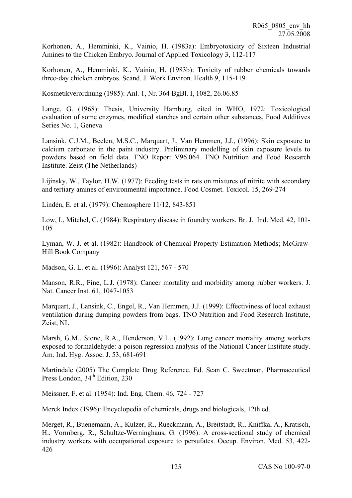Korhonen, A., Hemminki, K., Vainio, H. (1983a): Embryotoxicity of Sixteen Industrial Amines to the Chicken Embryo. Journal of Applied Toxicology 3, 112-117

Korhonen, A., Hemminki, K., Vainio, H. (1983b): Toxicity of rubber chemicals towards three-day chicken embryos. Scand. J. Work Environ. Health 9, 115-119

Kosmetikverordnung (1985): Anl. 1, Nr. 364 BgBl. I, 1082, 26.06.85

Lange, G. (1968): Thesis, University Hamburg, cited in WHO, 1972: Toxicological evaluation of some enzymes, modified starches and certain other substances, Food Additives Series No. 1, Geneva

Lansink, C.J.M., Beelen, M.S.C., Marquart, J., Van Hemmen, J.J., (1996): Skin exposure to calcium carbonate in the paint industry. Preliminary modelling of skin exposure levels to powders based on field data. TNO Report V96.064. TNO Nutrition and Food Research Institute. Zeist (The Netherlands)

Lijinsky, W., Taylor, H.W. (1977): Feeding tests in rats on mixtures of nitrite with secondary and tertiary amines of environmental importance. Food Cosmet. Toxicol. 15, 269-274

Lindén, E. et al. (1979): Chemosphere 11/12, 843-851

Low, I., Mitchel, C. (1984): Respiratory disease in foundry workers. Br. J. Ind. Med. 42, 101- 105

Lyman, W. J. et al. (1982): Handbook of Chemical Property Estimation Methods; McGraw-Hill Book Company

Madson, G. L. et al. (1996): Analyst 121, 567 - 570

Manson, R.R., Fine, L.J. (1978): Cancer mortality and morbidity among rubber workers. J. Nat. Cancer Inst. 61, 1047-1053

Marquart, J., Lansink, C., Engel, R., Van Hemmen, J.J. (1999): Effectiviness of local exhaust ventilation during dumping powders from bags. TNO Nutrition and Food Research Institute, Zeist, NL

Marsh, G.M., Stone, R.A., Henderson, V.L. (1992): Lung cancer mortality among workers exposed to formaldehyde: a poison regression analysis of the National Cancer Institute study. Am. Ind. Hyg. Assoc. J. 53, 681-691

Martindale (2005) The Complete Drug Reference. Ed. Sean C. Sweetman, Pharmaceutical Press London, 34<sup>th</sup> Edition, 230

Meissner, F. et al. (1954): Ind. Eng. Chem. 46, 724 - 727

Merck Index (1996): Encyclopedia of chemicals, drugs and biologicals, 12th ed.

Merget, R., Buenemann, A., Kulzer, R., Rueckmann, A., Breitstadt, R., Kniffka, A., Kratisch, H., Vormberg, R., Schultze-Werninghaus, G. (1996): A cross-sectional study of chemical industry workers with occupational exposure to persufates. Occup. Environ. Med. 53, 422- 426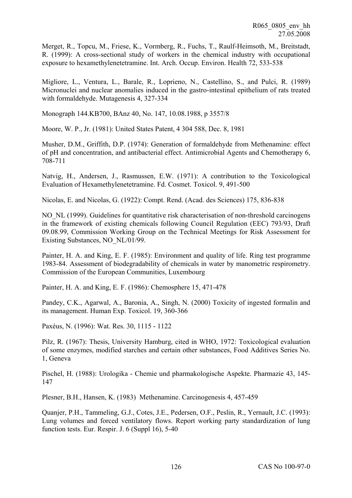Merget, R., Topcu, M., Friese, K., Vormberg, R., Fuchs, T., Raulf-Heimsoth, M., Breitstadt, R. (1999): A cross-sectional study of workers in the chemical industry with occupational exposure to hexamethylenetetramine. Int. Arch. Occup. Environ. Health 72, 533-538

Migliore, L., Ventura, L., Barale, R., Loprieno, N., Castellino, S., and Pulci, R. (1989) Micronuclei and nuclear anomalies induced in the gastro-intestinal epithelium of rats treated with formaldehyde. Mutagenesis 4, 327-334

Monograph 144.KB700, BAnz 40, No. 147, 10.08.1988, p 3557/8

Moore, W. P., Jr. (1981): United States Patent, 4 304 588, Dec. 8, 1981

Musher, D.M., Griffith, D.P. (1974): Generation of formaldehyde from Methenamine: effect of pH and concentration, and antibacterial effect. Antimicrobial Agents and Chemotherapy 6, 708-711

Natvig, H., Andersen, J., Rasmussen, E.W. (1971): A contribution to the Toxicological Evaluation of Hexamethylenetetramine. Fd. Cosmet. Toxicol. 9, 491-500

Nicolas, E. and Nicolas, G. (1922): Compt. Rend. (Acad. des Sciences) 175, 836-838

NO\_NL (1999). Guidelines for quantitative risk characterisation of non-threshold carcinogens in the framework of existing chemicals following Council Regulation (EEC) 793/93, Draft 09.08.99, Commission Working Group on the Technical Meetings for Risk Assessment for Existing Substances, NO\_NL/01/99.

Painter, H. A. and King, E. F. (1985): Environment and quality of life. Ring test programme 1983-84. Assessment of biodegradability of chemicals in water by manometric respirometry. Commission of the European Communities, Luxembourg

Painter, H. A. and King, E. F. (1986): Chemosphere 15, 471-478

Pandey, C.K., Agarwal, A., Baronia, A., Singh, N. (2000) Toxicity of ingested formalin and its management. Human Exp. Toxicol. 19, 360-366

Paxéus, N. (1996): Wat. Res. 30, 1115 - 1122

Pilz, R. (1967): Thesis, University Hamburg, cited in WHO, 1972: Toxicological evaluation of some enzymes, modified starches and certain other substances, Food Additives Series No. 1, Geneva

Pischel, H. (1988): Urologika - Chemie und pharmakologische Aspekte. Pharmazie 43, 145- 147

Plesner, B.H., Hansen, K. (1983) Methenamine. Carcinogenesis 4, 457-459

Quanjer, P.H., Tammeling, G.J., Cotes, J.E., Pedersen, O.F., Peslin, R., Yernault, J.C. (1993): Lung volumes and forced ventilatory flows. Report working party standardization of lung function tests. Eur. Respir. J. 6 (Suppl 16), 5-40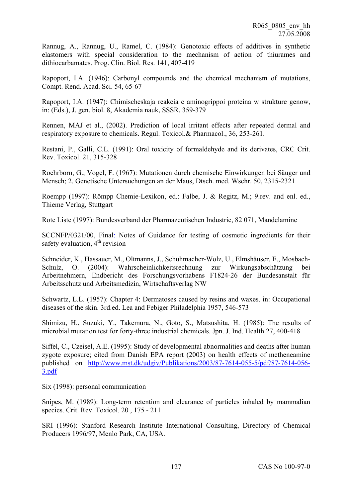Rannug, A., Rannug, U., Ramel, C. (1984): Genotoxic effects of additives in synthetic elastomers with special consideration to the mechanism of action of thiurames and dithiocarbamates. Prog. Clin. Biol. Res. 141, 407-419

Rapoport, I.A. (1946): Carbonyl compounds and the chemical mechanism of mutations, Compt. Rend. Acad. Sci. 54, 65-67

Rapoport, I.A. (1947): Chimischeskaja reakcia c aminogrippoi proteina w strukture genow, in: (Eds.), J. gen. biol. 8, Akademia nauk, SSSR, 359-379

Rennen, MAJ et al., (2002). Prediction of local irritant effects after repeated dermal and respiratory exposure to chemicals. Regul. Toxicol.& Pharmacol., 36, 253-261.

Restani, P., Galli, C.L. (1991): Oral toxicity of formaldehyde and its derivates, CRC Crit. Rev. Toxicol. 21, 315-328

Roehrborn, G., Vogel, F. (1967): Mutationen durch chemische Einwirkungen bei Säuger und Mensch; 2. Genetische Untersuchungen an der Maus, Dtsch. med. Wschr. 50, 2315-2321

Roempp (1997): Römpp Chemie-Lexikon, ed.: Falbe, J. & Regitz, M.; 9.rev. and enl. ed., Thieme Verlag, Stuttgart

Rote Liste (1997): Bundesverband der Pharmazeutischen Industrie, 82 071, Mandelamine

SCCNFP/0321/00, Final: Notes of Guidance for testing of cosmetic ingredients for their safety evaluation,  $4<sup>th</sup>$  revision

Schneider, K., Hassauer, M., Oltmanns, J., Schuhmacher-Wolz, U., Elmshäuser, E., Mosbach-Schulz, O. (2004): Wahrscheinlichkeitsrechnung zur Wirkungsabschätzung bei Arbeitnehmern, Endbericht des Forschungsvorhabens F1824-26 der Bundesanstalt für Arbeitsschutz und Arbeitsmedizin, Wirtschaftsverlag NW

Schwartz, L.L. (1957): Chapter 4: Dermatoses caused by resins and waxes. in: Occupational diseases of the skin. 3rd.ed. Lea and Febiger Philadelphia 1957, 546-573

Shimizu, H., Suzuki, Y., Takemura, N., Goto, S., Matsushita, H. (1985): The results of microbial mutation test for forty-three industrial chemicals. Jpn. J. Ind. Health 27, 400-418

Siffel, C., Czeisel, A.E. (1995): Study of developmental abnormalities and deaths after human zygote exposure; cited from Danish EPA report (2003) on health effects of metheneamine published on [http://www.mst.dk/udgiv/Publikations/2003/87-7614-055-5/pdf/87-7614-056-](http://ww,mst.dk/udgiv/Publikations/2003/87-7614-055-5/pdf/87-7614-056-3.pdf) [3.pdf](http://ww,mst.dk/udgiv/Publikations/2003/87-7614-055-5/pdf/87-7614-056-3.pdf)

Six (1998): personal communication

Snipes, M. (1989): Long-term retention and clearance of particles inhaled by mammalian species. Crit. Rev. Toxicol. 20 , 175 - 211

SRI (1996): Stanford Research Institute International Consulting, Directory of Chemical Producers 1996/97, Menlo Park, CA, USA.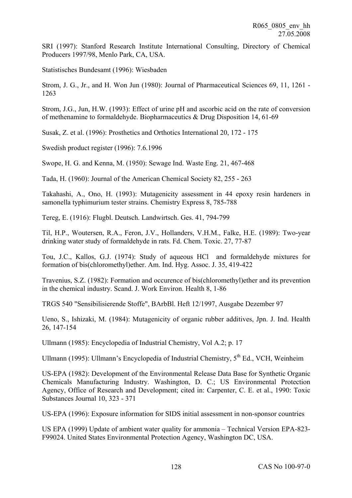SRI (1997): Stanford Research Institute International Consulting, Directory of Chemical Producers 1997/98, Menlo Park, CA, USA.

Statistisches Bundesamt (1996): Wiesbaden

Strom, J. G., Jr., and H. Won Jun (1980): Journal of Pharmaceutical Sciences 69, 11, 1261 - 1263

Strom, J.G., Jun, H.W. (1993): Effect of urine pH and ascorbic acid on the rate of conversion of methenamine to formaldehyde. Biopharmaceutics & Drug Disposition 14, 61-69

Susak, Z. et al. (1996): Prosthetics and Orthotics International 20, 172 - 175

Swedish product register (1996): 7.6.1996

Swope, H. G. and Kenna, M. (1950): Sewage Ind. Waste Eng. 21, 467-468

Tada, H. (1960): Journal of the American Chemical Society 82, 255 - 263

Takahashi, A., Ono, H. (1993): Mutagenicity assessment in 44 epoxy resin hardeners in samonella typhimurium tester strains. Chemistry Express 8, 785-788

Tereg, E. (1916): Flugbl. Deutsch. Landwirtsch. Ges. 41, 794-799

Til, H.P., Woutersen, R.A., Feron, J.V., Hollanders, V.H.M., Falke, H.E. (1989): Two-year drinking water study of formaldehyde in rats. Fd. Chem. Toxic. 27, 77-87

Tou, J.C., Kallos, G.J. (1974): Study of aqueous HCl and formaldehyde mixtures for formation of bis(chloromethyl)ether. Am. Ind. Hyg. Assoc. J. 35, 419-422

Travenius, S.Z. (1982): Formation and occurence of bis(chloromethyl)ether and its prevention in the chemical industry. Scand. J. Work Environ. Health 8, 1-86

TRGS 540 "Sensibilisierende Stoffe", BArbBl. Heft 12/1997, Ausgabe Dezember 97

Ueno, S., Ishizaki, M. (1984): Mutagenicity of organic rubber additives, Jpn. J. Ind. Health 26, 147-154

Ullmann (1985): Encyclopedia of Industrial Chemistry, Vol A.2; p. 17

Ullmann (1995): Ullmann's Encyclopedia of Industrial Chemistry, 5<sup>th</sup> Ed., VCH, Weinheim

US-EPA (1982): Development of the Environmental Release Data Base for Synthetic Organic Chemicals Manufacturing Industry. Washington, D. C.; US Environmental Protection Agency, Office of Research and Development; cited in: Carpenter, C. E. et al., 1990: Toxic Substances Journal 10, 323 - 371

US-EPA (1996): Exposure information for SIDS initial assessment in non-sponsor countries

US EPA (1999) Update of ambient water quality for ammonia – Technical Version EPA-823- F99024. United States Environmental Protection Agency, Washington DC, USA.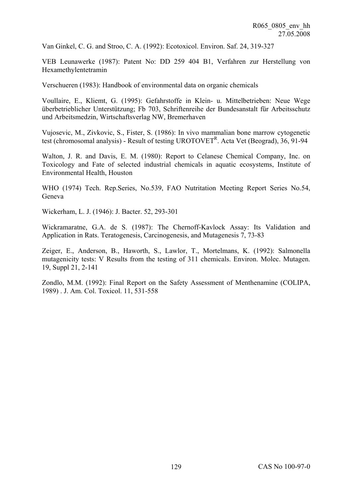Van Ginkel, C. G. and Stroo, C. A. (1992): Ecotoxicol. Environ. Saf. 24, 319-327

VEB Leunawerke (1987): Patent No: DD 259 404 B1, Verfahren zur Herstellung von Hexamethylentetramin

Verschueren (1983): Handbook of environmental data on organic chemicals

Voullaire, E., Kliemt, G. (1995): Gefahrstoffe in Klein- u. Mittelbetrieben: Neue Wege überbetrieblicher Unterstützung; Fb 703, Schriftenreihe der Bundesanstalt für Arbeitsschutz und Arbeitsmedzin, Wirtschaftsverlag NW, Bremerhaven

Vujosevic, M., Zivkovic, S., Fister, S. (1986): In vivo mammalian bone marrow cytogenetic test (chromosomal analysis) - Result of testing UROTOVET<sup>R</sup>. Acta Vet (Beograd), 36, 91-94

Walton, J. R. and Davis, E. M. (1980): Report to Celanese Chemical Company, Inc. on Toxicology and Fate of selected industrial chemicals in aquatic ecosystems, Institute of Environmental Health, Houston

WHO (1974) Tech. Rep.Series, No.539, FAO Nutritation Meeting Report Series No.54, Geneva

Wickerham, L. J. (1946): J. Bacter. 52, 293-301

Wickramaratne, G.A. de S. (1987): The Chernoff-Kavlock Assay: Its Validation and Application in Rats. Teratogenesis, Carcinogenesis, and Mutagenesis 7, 73-83

Zeiger, E., Anderson, B., Haworth, S., Lawlor, T., Mortelmans, K. (1992): Salmonella mutagenicity tests: V Results from the testing of 311 chemicals. Environ. Molec. Mutagen. 19, Suppl 21, 2-141

Zondlo, M.M. (1992): Final Report on the Safety Assessment of Menthenamine (COLIPA, 1989) . J. Am. Col. Toxicol. 11, 531-558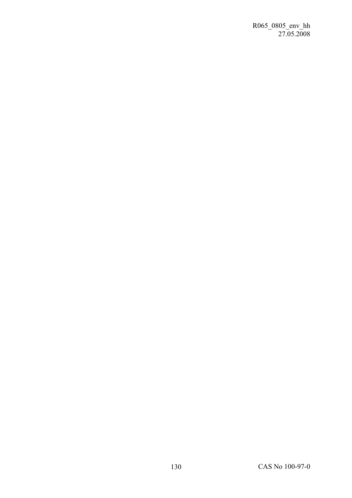R065\_0805\_env\_hh 27.05.2008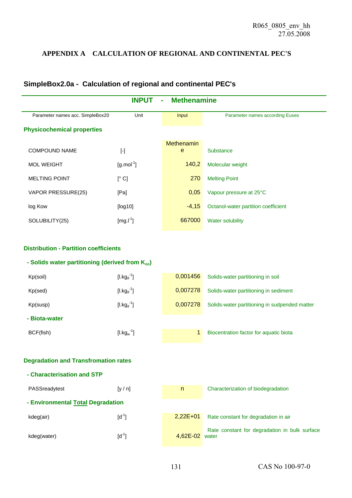# **APPENDIX A CALCULATION OF REGIONAL AND CONTINENTAL PEC'S**

| <b>Methenamine</b><br><b>INPUT</b>                          |                                                                                                                                                                                                                                                                                                                                                                                                                                                                                                                                                                                                                                                                                                                                                                                                                                                                                          |                |                                               |
|-------------------------------------------------------------|------------------------------------------------------------------------------------------------------------------------------------------------------------------------------------------------------------------------------------------------------------------------------------------------------------------------------------------------------------------------------------------------------------------------------------------------------------------------------------------------------------------------------------------------------------------------------------------------------------------------------------------------------------------------------------------------------------------------------------------------------------------------------------------------------------------------------------------------------------------------------------------|----------------|-----------------------------------------------|
| Parameter names acc. SimpleBox20                            | Unit                                                                                                                                                                                                                                                                                                                                                                                                                                                                                                                                                                                                                                                                                                                                                                                                                                                                                     | Input          | Parameter names according Euses               |
| <b>Physicochemical properties</b>                           |                                                                                                                                                                                                                                                                                                                                                                                                                                                                                                                                                                                                                                                                                                                                                                                                                                                                                          |                |                                               |
|                                                             |                                                                                                                                                                                                                                                                                                                                                                                                                                                                                                                                                                                                                                                                                                                                                                                                                                                                                          | Methenamin     |                                               |
| <b>COMPOUND NAME</b>                                        | $[\cdot] % \centering \includegraphics[width=0.9\textwidth]{images/TrDiM-Architecture.png} % \caption{The first two different values of $S$ and $S$ are shown in the left, the first two different values of $S$ and $S$ are shown in the right, and the second two different values of $S$ are shown in the right, and the second two different values of $S$ are shown in the right, and the second two different values of $S$ are shown in the right, and the third two different values of $S$ are shown in the right, and the third two different values of $S$ are shown in the right, and the third two different values of $S$ are shown in the right, and the third two different values of $S$ are shown in the right, and the third two different values of $S$ are shown in the right, and the third two different values of $S$ are shown in the right, and the third two$ | ${\bf e}$      | Substance                                     |
| <b>MOL WEIGHT</b>                                           | $[g$ .mol <sup>-1</sup> ]                                                                                                                                                                                                                                                                                                                                                                                                                                                                                                                                                                                                                                                                                                                                                                                                                                                                | 140,2          | Molecular weight                              |
| <b>MELTING POINT</b>                                        | [°C]                                                                                                                                                                                                                                                                                                                                                                                                                                                                                                                                                                                                                                                                                                                                                                                                                                                                                     | 270            | <b>Melting Point</b>                          |
| VAPOR PRESSURE(25)                                          | [Pa]                                                                                                                                                                                                                                                                                                                                                                                                                                                                                                                                                                                                                                                                                                                                                                                                                                                                                     | 0,05           | Vapour pressure at 25°C                       |
| log Kow                                                     | [log10]                                                                                                                                                                                                                                                                                                                                                                                                                                                                                                                                                                                                                                                                                                                                                                                                                                                                                  | $-4,15$        | Octanol-water partition coefficient           |
| SOLUBILITY(25)                                              | [mg. $\mathsf{I}^1$ ]                                                                                                                                                                                                                                                                                                                                                                                                                                                                                                                                                                                                                                                                                                                                                                                                                                                                    | 667000         | Water solubility                              |
|                                                             |                                                                                                                                                                                                                                                                                                                                                                                                                                                                                                                                                                                                                                                                                                                                                                                                                                                                                          |                |                                               |
| <b>Distribution - Partition coefficients</b>                |                                                                                                                                                                                                                                                                                                                                                                                                                                                                                                                                                                                                                                                                                                                                                                                                                                                                                          |                |                                               |
| - Solids water partitioning (derived from K <sub>oc</sub> ) |                                                                                                                                                                                                                                                                                                                                                                                                                                                                                                                                                                                                                                                                                                                                                                                                                                                                                          |                |                                               |
| Kp(soil)                                                    | $[1.kg_d^{-1}]$                                                                                                                                                                                                                                                                                                                                                                                                                                                                                                                                                                                                                                                                                                                                                                                                                                                                          | 0,001456       | Solids-water partitioning in soil             |
| Kp(sed)                                                     | $[1.kg_d^{-1}]$                                                                                                                                                                                                                                                                                                                                                                                                                                                                                                                                                                                                                                                                                                                                                                                                                                                                          | 0,007278       | Solids-water partitioning in sediment         |
| Kp(susp)                                                    | $[1.kg_d^{-1}]$                                                                                                                                                                                                                                                                                                                                                                                                                                                                                                                                                                                                                                                                                                                                                                                                                                                                          | 0,007278       | Solids-water partitioning in sudpended matter |
| - Biota-water                                               |                                                                                                                                                                                                                                                                                                                                                                                                                                                                                                                                                                                                                                                                                                                                                                                                                                                                                          |                |                                               |
| BCF(fish)                                                   | $[1.kg_w^{-1}]$                                                                                                                                                                                                                                                                                                                                                                                                                                                                                                                                                                                                                                                                                                                                                                                                                                                                          | $\mathbf{1}$   | Biocentration factor for aquatic biota        |
|                                                             |                                                                                                                                                                                                                                                                                                                                                                                                                                                                                                                                                                                                                                                                                                                                                                                                                                                                                          |                |                                               |
| <b>Degradation and Transfromation rates</b>                 |                                                                                                                                                                                                                                                                                                                                                                                                                                                                                                                                                                                                                                                                                                                                                                                                                                                                                          |                |                                               |
| - Characterisation and STP                                  |                                                                                                                                                                                                                                                                                                                                                                                                                                                                                                                                                                                                                                                                                                                                                                                                                                                                                          |                |                                               |
| PASSreadytest                                               | [y/n]                                                                                                                                                                                                                                                                                                                                                                                                                                                                                                                                                                                                                                                                                                                                                                                                                                                                                    | n              | Characterization of biodegradation            |
| - Environmental Total Degradation                           |                                                                                                                                                                                                                                                                                                                                                                                                                                                                                                                                                                                                                                                                                                                                                                                                                                                                                          |                |                                               |
| kdeg(air)                                                   | $[d^{-1}]$                                                                                                                                                                                                                                                                                                                                                                                                                                                                                                                                                                                                                                                                                                                                                                                                                                                                               | $2,22E+01$     | Rate constant for degradation in air          |
| kdeg(water)                                                 | $[d^{-1}]$                                                                                                                                                                                                                                                                                                                                                                                                                                                                                                                                                                                                                                                                                                                                                                                                                                                                               | 4,62E-02 water | Rate constant for degradation in bulk surface |

# **SimpleBox2.0a - Calculation of regional and continental PEC's**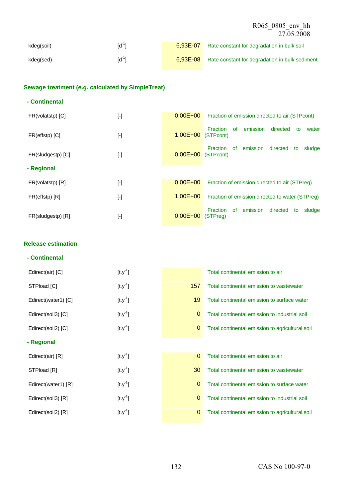R065\_0805\_env\_hh 27.05.2008

| kdeg(soil) | $[d^{-1}]$             | 6.93E-07 | Rate constant for degradation in bulk soil              |
|------------|------------------------|----------|---------------------------------------------------------|
| kdeg(sed)  | $\lceil d^{-1} \rceil$ |          | 6,93E-08 Rate constant for degradation in bulk sediment |

### **Sewage treatment (e.g. calculated by SimpleTreat)**

 **- Continental** 

| FR(volatstp) [C]  | $[\cdot]$ | $0.00E + 00$<br>Fraction of emission directed to air (STPcont)                     |
|-------------------|-----------|------------------------------------------------------------------------------------|
| FR(effstp) [C]    | $[\cdot]$ | emission<br>directed<br>Fraction<br>of<br>to<br>water<br>$1,00E + 00$<br>(STPcont) |
| FR(sludgestp) [C] | $[\cdot]$ | Fraction of emission<br>directed<br>sludge<br>to<br>$0.00E + 00$<br>(STPcont)      |
| - Regional        |           |                                                                                    |
| FR(volatstp) [R]  | $[\cdot]$ | $0.00E + 00$<br>Fraction of emission directed to air (STPreg)                      |
| FR(effstp) [R]    | $[\cdot]$ | $1.00E + 00$<br>Fraction of emission directed to water (STPreg)                    |
| FR(sludgestp) [R] | $[\cdot]$ | of emission<br>directed<br>Fraction<br>sludge<br>to<br>$0,00E+00$<br>(STPreg)      |

### **Release estimation**

| - Continental       |                     |             |                                                 |
|---------------------|---------------------|-------------|-------------------------------------------------|
| Edirect(air) [C]    | $[t.y^{-1}]$        |             | Total continental emission to air               |
| STPload [C]         | $[t.y^{-1}]$        | 157         | Total continental emission to wastewater        |
| Edirect(water1) [C] | $[t.y^{-1}]$        | 19          | Total continental emission to surface water     |
| Edirect(soil3) [C]  | $[t.y^{-1}]$        | $\Omega$    | Total continental emission to industrial soil   |
| Edirect(soil2) [C]  | $[t.y^{-1}]$        | $\mathbf 0$ | Total continental emission to agricultural soil |
| - Regional          |                     |             |                                                 |
| Edirect(air) [R]    | $[t.y-1]$           | $\Omega$    | Total continental emission to air               |
| STPload [R]         | $[t.y-1]$           | 30          | Total continental emission to wastewater        |
| Edirect(water1) [R] | [t.y <sup>1</sup> ] | $\mathbf 0$ | Total continental emission to surface water     |
| Edirect(soil3) [R]  | $[t.y^{-1}]$        | $\mathbf 0$ | Total continental emission to industrial soil   |
| Edirect(soil2) [R]  | $[t.y-1]$           | $\mathbf 0$ | Total continental emission to agricultural soil |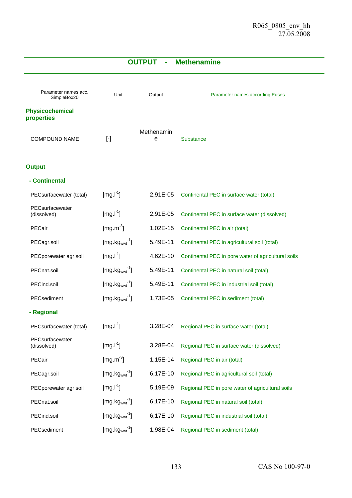| Parameter names acc.<br>SimpleBox20  | Unit                                 | Output          | Parameter names according Euses                     |
|--------------------------------------|--------------------------------------|-----------------|-----------------------------------------------------|
| <b>Physicochemical</b><br>properties |                                      |                 |                                                     |
| <b>COMPOUND NAME</b>                 | $[\cdot]$                            | Methenamin<br>e | Substance                                           |
| <b>Output</b>                        |                                      |                 |                                                     |
| - Continental                        |                                      |                 |                                                     |
| PECsurfacewater (total)              | $[mg.I^1]$                           | 2,91E-05        | Continental PEC in surface water (total)            |
| PECsurfacewater<br>(dissolved)       | $[mg.I^1]$                           | 2,91E-05        | Continental PEC in surface water (dissolved)        |
| PECair                               | [mg.m $3$ ]                          | 1,02E-15        | Continental PEC in air (total)                      |
| PECagr.soil                          | $[mg.kgwwt]-1]$                      | 5,49E-11        | Continental PEC in agricultural soil (total)        |
| PECporewater agr.soil                | $[mg.I^1]$                           | 4,62E-10        | Continental PEC in pore water of agricultural soils |
| PECnat.soil                          | [mg.kg <sub>wwt</sub> ] <sup>1</sup> | 5,49E-11        | Continental PEC in natural soil (total)             |
| PECind.soil                          | $[mg.kgwwt]-1]$                      | 5,49E-11        | Continental PEC in industrial soil (total)          |
| PECsediment                          | $[mg.kgwwt]-1]$                      | 1,73E-05        | Continental PEC in sediment (total)                 |
| - Regional                           |                                      |                 |                                                     |
| PECsurfacewater (total)              | $[mg.I^1]$                           | 3,28E-04        | Regional PEC in surface water (total)               |
| PECsurfacewater<br>(dissolved)       | $[mg.I^1]$                           | 3,28E-04        | Regional PEC in surface water (dissolved)           |
| PECair                               | [mg.m <sup>-3</sup> ]                | 1,15E-14        | Regional PEC in air (total)                         |
| PECagr.soil                          | $[mg.kgwwt-1]$                       | 6,17E-10        | Regional PEC in agricultural soil (total)           |
| PECporewater agr.soil                | $[mg.I^1]$                           | 5,19E-09        | Regional PEC in pore water of agricultural soils    |
| PECnat.soil                          | $[mg.kgwwt-1]$                       | 6,17E-10        | Regional PEC in natural soil (total)                |
| PECind.soil                          | $[mg.kgwwt]-1]$                      | 6,17E-10        | Regional PEC in industrial soil (total)             |
| PECsediment                          | $[mg.kgwwt]-1]$                      | 1,98E-04        | Regional PEC in sediment (total)                    |

# **OUTPUT - Methenamine**